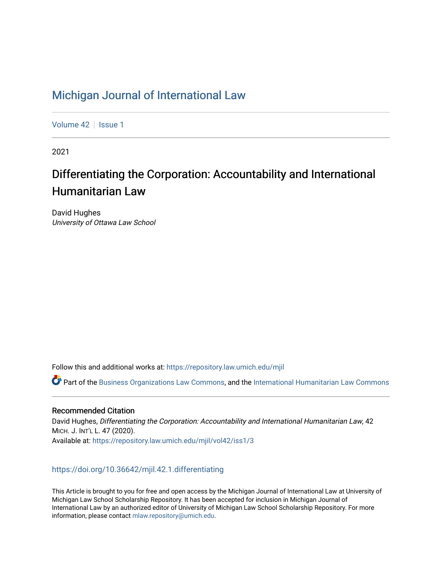# [Michigan Journal of International Law](https://repository.law.umich.edu/mjil)

[Volume 42](https://repository.law.umich.edu/mjil/vol42) | [Issue 1](https://repository.law.umich.edu/mjil/vol42/iss1)

2021

# Differentiating the Corporation: Accountability and International Humanitarian Law

David Hughes University of Ottawa Law School

Follow this and additional works at: [https://repository.law.umich.edu/mjil](https://repository.law.umich.edu/mjil?utm_source=repository.law.umich.edu%2Fmjil%2Fvol42%2Fiss1%2F3&utm_medium=PDF&utm_campaign=PDFCoverPages) 

Part of the [Business Organizations Law Commons](http://network.bepress.com/hgg/discipline/900?utm_source=repository.law.umich.edu%2Fmjil%2Fvol42%2Fiss1%2F3&utm_medium=PDF&utm_campaign=PDFCoverPages), and the [International Humanitarian Law Commons](http://network.bepress.com/hgg/discipline/1330?utm_source=repository.law.umich.edu%2Fmjil%2Fvol42%2Fiss1%2F3&utm_medium=PDF&utm_campaign=PDFCoverPages)

# Recommended Citation

David Hughes, Differentiating the Corporation: Accountability and International Humanitarian Law, 42 MICH. J. INT'L L. 47 (2020). Available at: [https://repository.law.umich.edu/mjil/vol42/iss1/3](https://repository.law.umich.edu/mjil/vol42/iss1/3?utm_source=repository.law.umich.edu%2Fmjil%2Fvol42%2Fiss1%2F3&utm_medium=PDF&utm_campaign=PDFCoverPages) 

# <https://doi.org/10.36642/mjil.42.1.differentiating>

This Article is brought to you for free and open access by the Michigan Journal of International Law at University of Michigan Law School Scholarship Repository. It has been accepted for inclusion in Michigan Journal of International Law by an authorized editor of University of Michigan Law School Scholarship Repository. For more information, please contact [mlaw.repository@umich.edu](mailto:mlaw.repository@umich.edu).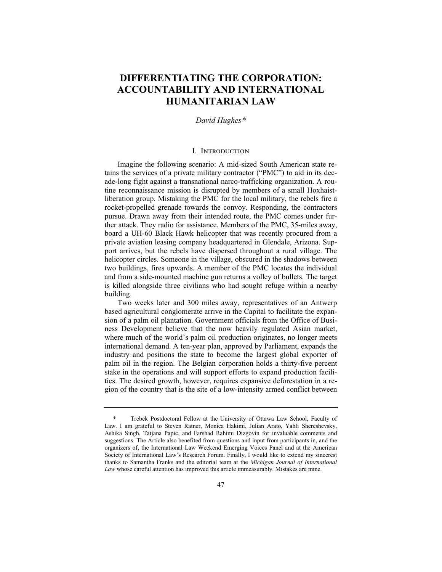# **DIFFERENTIATING THE CORPORATION: ACCOUNTABILITY AND INTERNATIONAL HUMANITARIAN LAW**

## *David Hughes\**

## I. Introduction

Imagine the following scenario: A mid-sized South American state retains the services of a private military contractor ("PMC") to aid in its decade-long fight against a transnational narco-trafficking organization. A routine reconnaissance mission is disrupted by members of a small Hoxhaistliberation group. Mistaking the PMC for the local military, the rebels fire a rocket-propelled grenade towards the convoy. Responding, the contractors pursue. Drawn away from their intended route, the PMC comes under further attack. They radio for assistance. Members of the PMC, 35-miles away, board a UH-60 Black Hawk helicopter that was recently procured from a private aviation leasing company headquartered in Glendale, Arizona. Support arrives, but the rebels have dispersed throughout a rural village. The helicopter circles. Someone in the village, obscured in the shadows between two buildings, fires upwards. A member of the PMC locates the individual and from a side-mounted machine gun returns a volley of bullets. The target is killed alongside three civilians who had sought refuge within a nearby building.

Two weeks later and 300 miles away, representatives of an Antwerp based agricultural conglomerate arrive in the Capital to facilitate the expansion of a palm oil plantation. Government officials from the Office of Business Development believe that the now heavily regulated Asian market, where much of the world's palm oil production originates, no longer meets international demand. A ten-year plan, approved by Parliament, expands the industry and positions the state to become the largest global exporter of palm oil in the region. The Belgian corporation holds a thirty-five percent stake in the operations and will support efforts to expand production facilities. The desired growth, however, requires expansive deforestation in a region of the country that is the site of a low-intensity armed conflict between

<sup>\*</sup> Trebek Postdoctoral Fellow at the University of Ottawa Law School, Faculty of Law. I am grateful to Steven Ratner, Monica Hakimi, Julian Arato, Yahli Shereshevsky, Ashika Singh, Tatjana Papic, and Farshad Rahimi Dizgovin for invaluable comments and suggestions. The Article also benefited from questions and input from participants in, and the organizers of, the International Law Weekend Emerging Voices Panel and at the American Society of International Law's Research Forum. Finally, I would like to extend my sincerest thanks to Samantha Franks and the editorial team at the *Michigan Journal of International Law* whose careful attention has improved this article immeasurably. Mistakes are mine.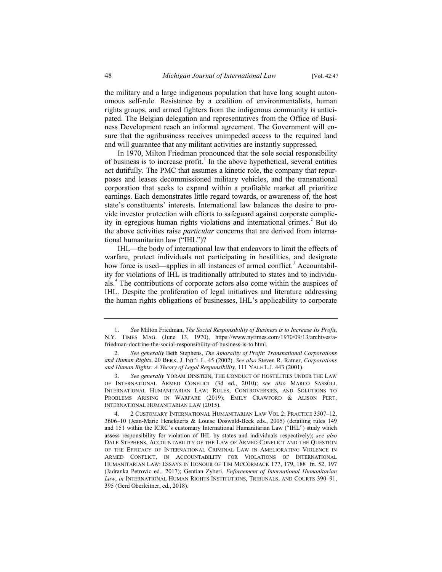the military and a large indigenous population that have long sought autonomous self-rule. Resistance by a coalition of environmentalists, human rights groups, and armed fighters from the indigenous community is anticipated. The Belgian delegation and representatives from the Office of Business Development reach an informal agreement. The Government will ensure that the agribusiness receives unimpeded access to the required land and will guarantee that any militant activities are instantly suppressed.

In 1970, Milton Friedman pronounced that the sole social responsibility of business is to increase profit.<sup>1</sup> In the above hypothetical, several entities act dutifully. The PMC that assumes a kinetic role, the company that repurposes and leases decommissioned military vehicles, and the transnational corporation that seeks to expand within a profitable market all prioritize earnings. Each demonstrates little regard towards, or awareness of, the host state's constituents' interests. International law balances the desire to provide investor protection with efforts to safeguard against corporate complicity in egregious human rights violations and international crimes.<sup>2</sup> But do the above activities raise *particular* concerns that are derived from international humanitarian law ("IHL")?

IHL—the body of international law that endeavors to limit the effects of warfare, protect individuals not participating in hostilities, and designate how force is used—applies in all instances of armed conflict.<sup>3</sup> Accountability for violations of IHL is traditionally attributed to states and to individuals.<sup>4</sup> The contributions of corporate actors also come within the auspices of IHL. Despite the proliferation of legal initiatives and literature addressing the human rights obligations of businesses, IHL's applicability to corporate

<sup>1.</sup> *See* Milton Friedman, *The Social Responsibility of Business is to Increase Its Profit*, N.Y. TIMES MAG. (June 13, 1970), https://www.nytimes.com/1970/09/13/archives/afriedman-doctrine-the-social-responsibility-of-business-is-to.html.

<sup>2.</sup> *See generally* Beth Stephens, *The Amorality of Profit: Transnational Corporations and Human Rights*, 20 BERK. J. INT'L L. 45 (2002). *See also* Steven R. Ratner, *Corporations and Human Rights: A Theory of Legal Responsibility*, 111 YALE L.J. 443 (2001).

<sup>3.</sup> *See generally* YORAM DINSTEIN, THE CONDUCT OF HOSTILITIES UNDER THE LAW OF INTERNATIONAL ARMED CONFLICT (3d ed., 2010); *see also* MARCO SASSÒLI, INTERNATIONAL HUMANITARIAN LAW: RULES, CONTROVERSIES, AND SOLUTIONS TO PROBLEMS ARISING IN WARFARE (2019); EMILY CRAWFORD & ALISON PERT, INTERNATIONAL HUMANITARIAN LAW (2015).

<sup>4. 2</sup> CUSTOMARY INTERNATIONAL HUMANITARIAN LAW VOL 2: PRACTICE 3507–12, 3606–10 (Jean-Marie Henckaerts & Louise Doswald-Beck eds., 2005) (detailing rules 149 and 151 within the ICRC's customary International Humanitarian Law ("IHL") study which assess responsibility for violation of IHL by states and individuals respectively); *see also* DALE STEPHENS, ACCOUNTABILITY OF THE LAW OF ARMED CONFLICT AND THE QUESTION OF THE EFFICACY OF INTERNATIONAL CRIMINAL LAW IN AMELIORATING VIOLENCE IN ARMED CONFLICT, IN ACCOUNTABILITY FOR VIOLATIONS OF INTERNATIONAL HUMANITARIAN LAW: ESSAYS IN HONOUR OF TIM MCCORMACK 177, 179, 188 fn. 52, 197 (Jadranka Petrovic ed., 2017); Gentian Zyberi, *Enforcement of International Humanitarian Law*, *in* INTERNATIONAL HUMAN RIGHTS INSTITUTIONS, TRIBUNALS, AND COURTS 390–91, 395 (Gerd Oberleitner, ed., 2018).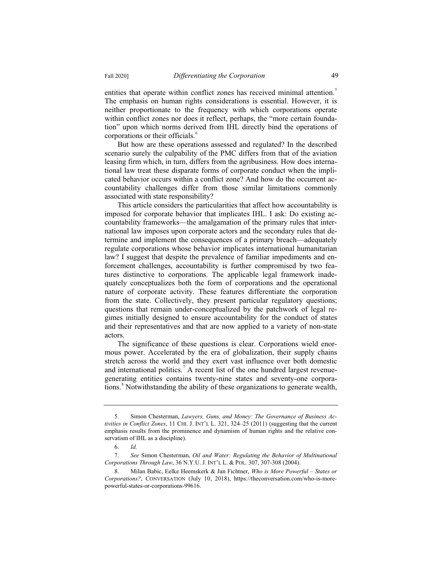entities that operate within conflict zones has received minimal attention.<sup>5</sup> The emphasis on human rights considerations is essential. However, it is neither proportionate to the frequency with which corporations operate within conflict zones nor does it reflect, perhaps, the "more certain foundation" upon which norms derived from IHL directly bind the operations of corporations or their officials.<sup>6</sup>

But how are these operations assessed and regulated? In the described scenario surely the culpability of the PMC differs from that of the aviation leasing firm which, in turn, differs from the agribusiness. How does international law treat these disparate forms of corporate conduct when the implicated behavior occurs within a conflict zone? And how do the occurrent accountability challenges differ from those similar limitations commonly associated with state responsibility?

This article considers the particularities that affect how accountability is imposed for corporate behavior that implicates IHL. I ask: Do existing accountability frameworks—the amalgamation of the primary rules that international law imposes upon corporate actors and the secondary rules that determine and implement the consequences of a primary breach—adequately regulate corporations whose behavior implicates international humanitarian law? I suggest that despite the prevalence of familiar impediments and enforcement challenges, accountability is further compromised by two features distinctive to corporations. The applicable legal framework inadequately conceptualizes both the form of corporations and the operational nature of corporate activity. These features differentiate the corporation from the state. Collectively, they present particular regulatory questions; questions that remain under-conceptualized by the patchwork of legal regimes initially designed to ensure accountability for the conduct of states and their representatives and that are now applied to a variety of non-state actors.

The significance of these questions is clear. Corporations wield enormous power. Accelerated by the era of globalization, their supply chains stretch across the world and they exert vast influence over both domestic and international politics.<sup>7</sup> A recent list of the one hundred largest revenuegenerating entities contains twenty-nine states and seventy-one corporations.<sup>8</sup> Notwithstanding the ability of these organizations to generate wealth,

<sup>5.</sup> Simon Chesterman, *Lawyers, Guns, and Money: The Governance of Business Activities in Conflict Zones*, 11 CHI. J. INT'L L. 321, 324–25 (2011) (suggesting that the current emphasis results from the prominence and dynamism of human rights and the relative conservatism of IHL as a discipline).

<sup>6.</sup> *Id.*

<sup>7.</sup> *See* Simon Chesterman, *Oil and Water: Regulating the Behavior of Multinational Corporations Through Law*, 36 N.Y.U. J. INT'L L. & POL. 307, 307-308 (2004).

<sup>8.</sup> Milan Babic, Eelke Heemskerk & Jan Fichtner, *Who is More Powerful – States or Corporations?*, CONVERSATION (July 10, 2018), https://theconversation.com/who-is-morepowerful-states-or-corporations-99616.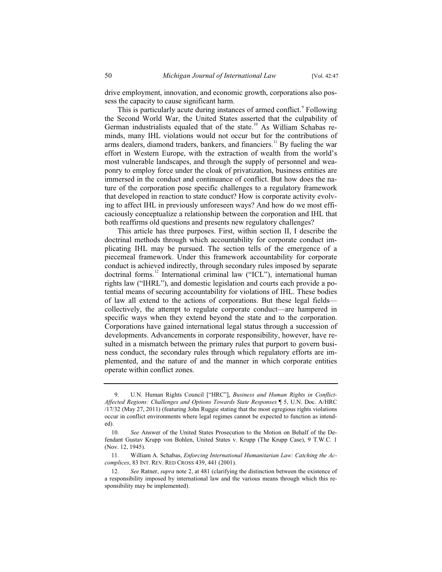drive employment, innovation, and economic growth, corporations also possess the capacity to cause significant harm.

This is particularly acute during instances of armed conflict.<sup>9</sup> Following the Second World War, the United States asserted that the culpability of German industrialists equaled that of the state.<sup>10</sup> As William Schabas reminds, many IHL violations would not occur but for the contributions of arms dealers, diamond traders, bankers, and financiers.<sup>11</sup> By fueling the war effort in Western Europe, with the extraction of wealth from the world's most vulnerable landscapes, and through the supply of personnel and weaponry to employ force under the cloak of privatization, business entities are immersed in the conduct and continuance of conflict. But how does the nature of the corporation pose specific challenges to a regulatory framework that developed in reaction to state conduct? How is corporate activity evolving to affect IHL in previously unforeseen ways? And how do we most efficaciously conceptualize a relationship between the corporation and IHL that both reaffirms old questions and presents new regulatory challenges?

This article has three purposes. First, within section II, I describe the doctrinal methods through which accountability for corporate conduct implicating IHL may be pursued. The section tells of the emergence of a piecemeal framework. Under this framework accountability for corporate conduct is achieved indirectly, through secondary rules imposed by separate doctrinal forms.<sup>12</sup> International criminal law ("ICL"), international human rights law ("IHRL"), and domestic legislation and courts each provide a potential means of securing accountability for violations of IHL. These bodies of law all extend to the actions of corporations. But these legal fields collectively, the attempt to regulate corporate conduct—are hampered in specific ways when they extend beyond the state and to the corporation. Corporations have gained international legal status through a succession of developments. Advancements in corporate responsibility, however, have resulted in a mismatch between the primary rules that purport to govern business conduct, the secondary rules through which regulatory efforts are implemented, and the nature of and the manner in which corporate entities operate within conflict zones.

U.N. Human Rights Council ["HRC"], *Business and Human Rights in Conflict-Affected Regions: Challenges and Options Towards State Responses* ¶ 5, U.N. Doc. A/HRC /17/32 (May 27, 2011) (featuring John Ruggie stating that the most egregious rights violations occur in conflict environments where legal regimes cannot be expected to function as intended).

<sup>10.</sup> *See* Answer of the United States Prosecution to the Motion on Behalf of the Defendant Gustav Krupp von Bohlen, United States v. Krupp (The Krupp Case), 9 T.W.C. 1 (Nov. 12, 1945).

<sup>11.</sup> William A. Schabas, *Enforcing International Humanitarian Law: Catching the Accomplices*, 83 INT. REV. RED CROSS 439, 441 (2001).

<sup>12.</sup> *See* Ratner, *supra* note 2, at 481 (clarifying the distinction between the existence of a responsibility imposed by international law and the various means through which this responsibility may be implemented).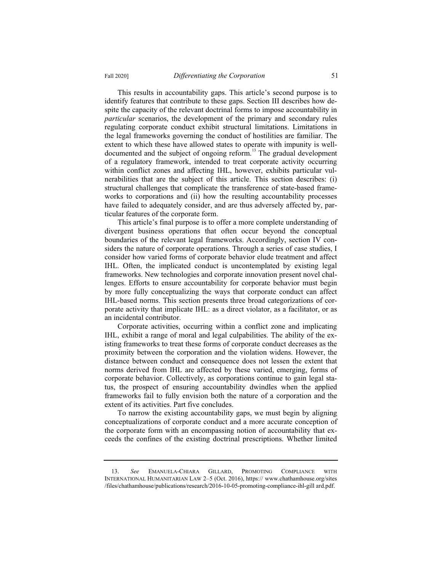This results in accountability gaps. This article's second purpose is to identify features that contribute to these gaps. Section III describes how despite the capacity of the relevant doctrinal forms to impose accountability in *particular* scenarios, the development of the primary and secondary rules regulating corporate conduct exhibit structural limitations. Limitations in the legal frameworks governing the conduct of hostilities are familiar. The extent to which these have allowed states to operate with impunity is welldocumented and the subject of ongoing reform.<sup>13</sup> The gradual development of a regulatory framework, intended to treat corporate activity occurring within conflict zones and affecting IHL, however, exhibits particular vulnerabilities that are the subject of this article. This section describes: (i) structural challenges that complicate the transference of state-based frameworks to corporations and (ii) how the resulting accountability processes have failed to adequately consider, and are thus adversely affected by, particular features of the corporate form.

This article's final purpose is to offer a more complete understanding of divergent business operations that often occur beyond the conceptual boundaries of the relevant legal frameworks. Accordingly, section IV considers the nature of corporate operations. Through a series of case studies, I consider how varied forms of corporate behavior elude treatment and affect IHL. Often, the implicated conduct is uncontemplated by existing legal frameworks. New technologies and corporate innovation present novel challenges. Efforts to ensure accountability for corporate behavior must begin by more fully conceptualizing the ways that corporate conduct can affect IHL-based norms. This section presents three broad categorizations of corporate activity that implicate IHL: as a direct violator, as a facilitator, or as an incidental contributor.

Corporate activities, occurring within a conflict zone and implicating IHL, exhibit a range of moral and legal culpabilities. The ability of the existing frameworks to treat these forms of corporate conduct decreases as the proximity between the corporation and the violation widens. However, the distance between conduct and consequence does not lessen the extent that norms derived from IHL are affected by these varied, emerging, forms of corporate behavior. Collectively, as corporations continue to gain legal status, the prospect of ensuring accountability dwindles when the applied frameworks fail to fully envision both the nature of a corporation and the extent of its activities. Part five concludes.

To narrow the existing accountability gaps, we must begin by aligning conceptualizations of corporate conduct and a more accurate conception of the corporate form with an encompassing notion of accountability that exceeds the confines of the existing doctrinal prescriptions. Whether limited

<sup>13.</sup> *See* EMANUELA-CHIARA GILLARD, PROMOTING COMPLIANCE WITH INTERNATIONAL HUMANITARIAN LAW 2–5 (Oct. 2016), https:// www.chathamhouse.org/sites /files/chathamhouse/publications/research/2016-10-05-promoting-compliance-ihl-gill ard.pdf.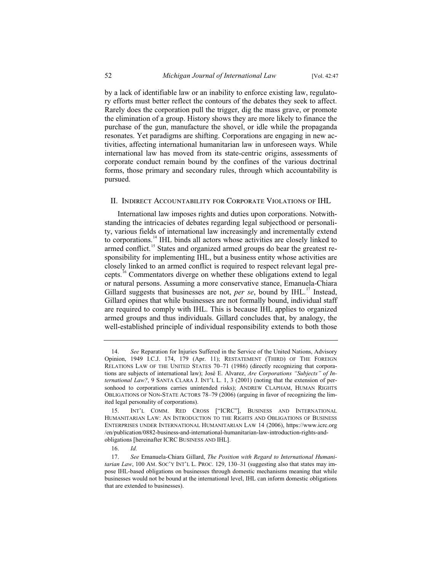by a lack of identifiable law or an inability to enforce existing law, regulatory efforts must better reflect the contours of the debates they seek to affect. Rarely does the corporation pull the trigger, dig the mass grave, or promote the elimination of a group. History shows they are more likely to finance the purchase of the gun, manufacture the shovel, or idle while the propaganda resonates. Yet paradigms are shifting. Corporations are engaging in new activities, affecting international humanitarian law in unforeseen ways. While international law has moved from its state-centric origins, assessments of corporate conduct remain bound by the confines of the various doctrinal forms, those primary and secondary rules, through which accountability is pursued.

#### II. Indirect Accountability for Corporate Violations of IHL

International law imposes rights and duties upon corporations. Notwithstanding the intricacies of debates regarding legal subjecthood or personality, various fields of international law increasingly and incrementally extend to corporations.<sup>14</sup> IHL binds all actors whose activities are closely linked to armed conflict.<sup>15</sup> States and organized armed groups do bear the greatest responsibility for implementing IHL, but a business entity whose activities are closely linked to an armed conflict is required to respect relevant legal precepts.<sup>16</sup> Commentators diverge on whether these obligations extend to legal or natural persons. Assuming a more conservative stance, Emanuela-Chiara Gillard suggests that businesses are not, *per se*, bound by IHL.<sup>17</sup> Instead, Gillard opines that while businesses are not formally bound, individual staff are required to comply with IHL. This is because IHL applies to organized armed groups and thus individuals. Gillard concludes that, by analogy, the well-established principle of individual responsibility extends to both those

<sup>14.</sup> *See* Reparation for Injuries Suffered in the Service of the United Nations, Advisory Opinion, 1949 I.C.J. 174, 179 (Apr. 11); RESTATEMENT (THIRD) OF THE FOREIGN RELATIONS LAW OF THE UNITED STATES 70–71 (1986) (directly recognizing that corporations are subjects of international law); José E. Alvarez, *Are Corporations "Subjects" of International Law?*, 9 SANTA CLARA J. INT'L L. 1, 3 (2001) (noting that the extension of personhood to corporations carries unintended risks); ANDREW CLAPHAM, HUMAN RIGHTS OBLIGATIONS OF NON-STATE ACTORS 78–79 (2006) (arguing in favor of recognizing the limited legal personality of corporations).

<sup>15.</sup> INT'L COMM. RED CROSS ["ICRC"], BUSINESS AND INTERNATIONAL HUMANITARIAN LAW: AN INTRODUCTION TO THE RIGHTS AND OBLIGATIONS OF BUSINESS ENTERPRISES UNDER INTERNATIONAL HUMANITARIAN LAW 14 (2006), https://www.icrc.org /en/publication/0882-business-and-international-humanitarian-law-introduction-rights-andobligations [hereinafter ICRC BUSINESS AND IHL].

<sup>16.</sup> *Id.*

<sup>17.</sup> *See* Emanuela-Chiara Gillard, *The Position with Regard to International Humanitarian Law*, 100 AM. SOC'Y INT'L L. PROC. 129, 130–31 (suggesting also that states may impose IHL-based obligations on businesses through domestic mechanisms meaning that while businesses would not be bound at the international level, IHL can inform domestic obligations that are extended to businesses).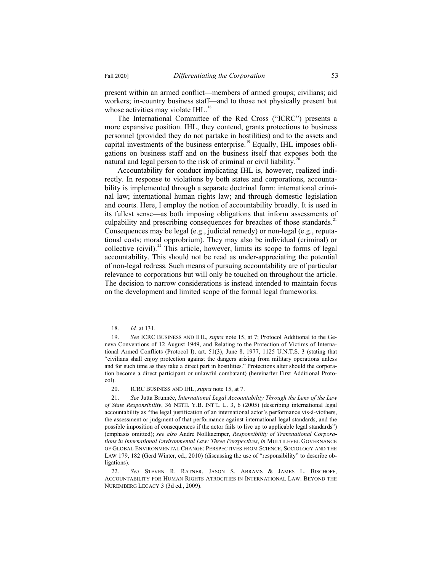present within an armed conflict—members of armed groups; civilians; aid workers; in-country business staff—and to those not physically present but whose activities may violate IHL.<sup>18</sup>

The International Committee of the Red Cross ("ICRC") presents a more expansive position. IHL, they contend, grants protections to business personnel (provided they do not partake in hostilities) and to the assets and capital investments of the business enterprise.<sup>19</sup> Equally, IHL imposes obligations on business staff and on the business itself that exposes both the natural and legal person to the risk of criminal or civil liability.<sup>20</sup>

Accountability for conduct implicating IHL is, however, realized indirectly. In response to violations by both states and corporations, accountability is implemented through a separate doctrinal form: international criminal law; international human rights law; and through domestic legislation and courts. Here, I employ the notion of accountability broadly. It is used in its fullest sense—as both imposing obligations that inform assessments of culpability and prescribing consequences for breaches of those standards.<sup>21</sup> Consequences may be legal (e.g., judicial remedy) or non-legal (e.g., reputational costs; moral opprobrium). They may also be individual (criminal) or collective (civil).<sup>22</sup> This article, however, limits its scope to forms of legal accountability. This should not be read as under-appreciating the potential of non-legal redress. Such means of pursuing accountability are of particular relevance to corporations but will only be touched on throughout the article. The decision to narrow considerations is instead intended to maintain focus on the development and limited scope of the formal legal frameworks.

<sup>18.</sup> *Id.* at 131.

<sup>19.</sup> *See* ICRC BUSINESS AND IHL, *supra* note 15, at 7; Protocol Additional to the Geneva Conventions of 12 August 1949, and Relating to the Protection of Victims of International Armed Conflicts (Protocol I), art. 51(3), June 8, 1977, 1125 U.N.T.S. 3 (stating that "civilians shall enjoy protection against the dangers arising from military operations unless and for such time as they take a direct part in hostilities." Protections alter should the corporation become a direct participant or unlawful combatant) (hereinafter First Additional Protocol).

<sup>20.</sup> ICRC BUSINESS AND IHL, *supra* note 15, at 7.

<sup>21.</sup> *See* Jutta Brunnée, *International Legal Accountability Through the Lens of the Law of State Responsibility*, 36 NETH. Y.B. INT'L. L. 3, 6 (2005) (describing international legal accountability as "the legal justification of an international actor's performance vis-à-viothers, the assessment or judgment of that performance against international legal standards, and the possible imposition of consequences if the actor fails to live up to applicable legal standards") (emphasis omitted); *see also* André Nollkaemper, *Responsibility of Transnational Corporations in International Environmental Law: Three Perspectives*, *in* MULTILEVEL GOVERNANCE OF GLOBAL ENVIRONMENTAL CHANGE: PERSPECTIVES FROM SCIENCE, SOCIOLOGY AND THE LAW 179, 182 (Gerd Winter, ed., 2010) (discussing the use of "responsibility" to describe obligations).

<sup>22.</sup> *See* STEVEN R. RATNER, JASON S. ABRAMS & JAMES L. BISCHOFF, ACCOUNTABILITY FOR HUMAN RIGHTS ATROCITIES IN INTERNATIONAL LAW: BEYOND THE NUREMBERG LEGACY 3 (3d ed., 2009).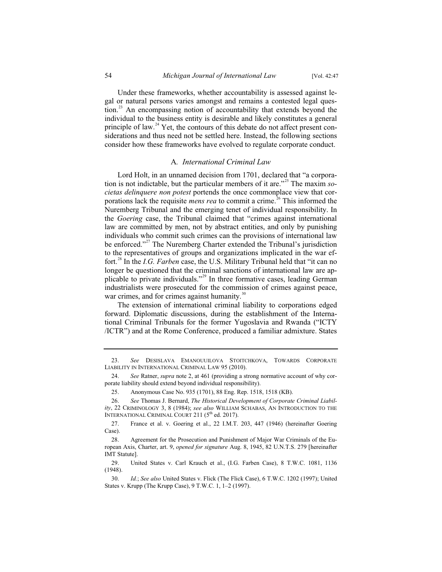Under these frameworks, whether accountability is assessed against legal or natural persons varies amongst and remains a contested legal question.<sup>23</sup> An encompassing notion of accountability that extends beyond the individual to the business entity is desirable and likely constitutes a general principle of law. $^{24}$  Yet, the contours of this debate do not affect present considerations and thus need not be settled here. Instead, the following sections consider how these frameworks have evolved to regulate corporate conduct.

#### A*. International Criminal Law*

Lord Holt, in an unnamed decision from 1701, declared that "a corporation is not indictable, but the particular members of it are."<sup>25</sup> The maxim *societas delinquere non potest* portends the once commonplace view that corporations lack the requisite *mens rea* to commit a crime.<sup>26</sup> This informed the Nuremberg Tribunal and the emerging tenet of individual responsibility. In the *Goering* case, the Tribunal claimed that "crimes against international law are committed by men, not by abstract entities, and only by punishing individuals who commit such crimes can the provisions of international law be enforced."<sup>27</sup> The Nuremberg Charter extended the Tribunal's jurisdiction to the representatives of groups and organizations implicated in the war effort.<sup>28</sup> In the *I.G. Farben* case, the U.S. Military Tribunal held that "it can no longer be questioned that the criminal sanctions of international law are applicable to private individuals."<sup>29</sup> In three formative cases, leading German industrialists were prosecuted for the commission of crimes against peace, war crimes, and for crimes against humanity.<sup>3</sup>

The extension of international criminal liability to corporations edged forward. Diplomatic discussions, during the establishment of the International Criminal Tribunals for the former Yugoslavia and Rwanda ("ICTY /ICTR") and at the Rome Conference, produced a familiar admixture. States

<sup>23.</sup> *See* DESISLAVA EMANOUUILOVA STOITCHKOVA, TOWARDS CORPORATE LIABILITY IN INTERNATIONAL CRIMINAL LAW 95 (2010).

<sup>24.</sup> *See* Ratner, *supra* note 2, at 461 (providing a strong normative account of why corporate liability should extend beyond individual responsibility).

<sup>25.</sup> Anonymous Case No. 935 (1701), 88 Eng. Rep. 1518, 1518 (KB).

<sup>26.</sup> *See* Thomas J. Bernard, *The Historical Development of Corporate Criminal Liability*, 22 CRIMINOLOGY 3, 8 (1984); *see also* WILLIAM SCHABAS, AN INTRODUCTION TO THE INTERNATIONAL CRIMINAL COURT 211 (5<sup>th</sup> ed. 2017).

<sup>27.</sup> France et al. v. Goering et al., 22 I.M.T. 203, 447 (1946) (hereinafter Goering Case).

<sup>28.</sup> Agreement for the Prosecution and Punishment of Major War Criminals of the European Axis, Charter, art. 9, *opened for signature* Aug. 8, 1945, 82 U.N.T.S. 279 [hereinafter IMT Statute].

<sup>29.</sup> United States v. Carl Krauch et al., (I.G. Farben Case), 8 T.W.C. 1081, 1136 (1948).

<sup>30.</sup> *Id.*; *See also* United States v. Flick (The Flick Case), 6 T.W.C. 1202 (1997); United States v. Krupp (The Krupp Case), 9 T.W.C. 1, 1–2 (1997).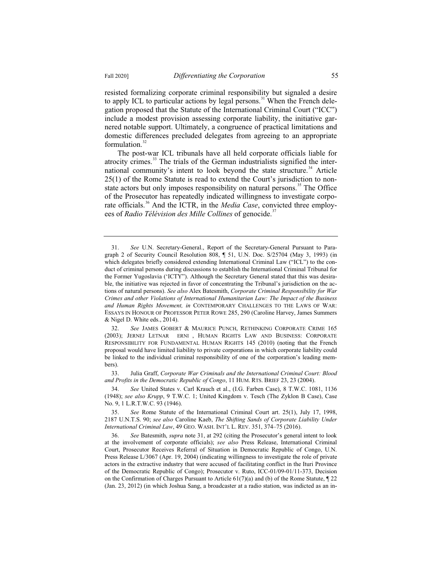resisted formalizing corporate criminal responsibility but signaled a desire to apply ICL to particular actions by legal persons.<sup>31</sup> When the French delegation proposed that the Statute of the International Criminal Court ("ICC") include a modest provision assessing corporate liability, the initiative garnered notable support. Ultimately, a congruence of practical limitations and domestic differences precluded delegates from agreeing to an appropriate formulation. $32$ 

The post-war ICL tribunals have all held corporate officials liable for atrocity crimes. $33$  The trials of the German industrialists signified the international community's intent to look beyond the state structure.<sup>34</sup> Article 25(1) of the Rome Statute is read to extend the Court's jurisdiction to nonstate actors but only imposes responsibility on natural persons.<sup>35</sup> The Office of the Prosecutor has repeatedly indicated willingness to investigate corporate officials.<sup>36</sup> And the ICTR, in the *Media Case*, convicted three employees of *Radio Télévision des Mille Collines* of genocide.<sup>37</sup>

33. Julia Graff, *Corporate War Criminals and the International Criminal Court: Blood and Profits in the Democratic Republic of Congo*, 11 HUM. RTS. BRIEF 23, 23 (2004).

<sup>31.</sup> *See* U.N. Secretary-General., Report of the Secretary-General Pursuant to Paragraph 2 of Security Council Resolution 808, ¶ 51, U.N. Doc. S/25704 (May 3, 1993) (in which delegates briefly considered extending International Criminal Law ("ICL") to the conduct of criminal persons during discussions to establish the International Criminal Tribunal for the Former Yugoslavia ('ICTY"). Although the Secretary General stated that this was desirable, the initiative was rejected in favor of concentrating the Tribunal's jurisdiction on the actions of natural persons). *See also* Alex Batesmith, *Corporate Criminal Responsibility for War Crimes and other Violations of International Humanitarian Law: The Impact of the Business and Human Rights Movement, in* CONTEMPORARY CHALLENGES TO THE LAWS OF WAR: ESSAYS IN HONOUR OF PROFESSOR PETER ROWE 285, 290 (Caroline Harvey, James Summers & Nigel D. White eds., 2014).

<sup>32.</sup> *See* JAMES GOBERT & MAURICE PUNCH, RETHINKING CORPORATE CRIME 165 (2003); JERNEJ LETNAR ERNI , HUMAN RIGHTS LAW AND BUSINESS: CORPORATE RESPONSIBILITY FOR FUNDAMENTAL HUMAN RIGHTS 145 (2010) (noting that the French proposal would have limited liability to private corporations in which corporate liability could be linked to the individual criminal responsibility of one of the corporation's leading members).

<sup>34.</sup> *See* United States v. Carl Krauch et al., (I.G. Farben Case), 8 T.W.C. 1081, 1136 (1948); *see also Krupp*, 9 T.W.C. 1; United Kingdom v. Tesch (The Zyklon B Case), Case No. 9, 1 L.R.T.W.C. 93 (1946).

<sup>35.</sup> *See* Rome Statute of the International Criminal Court art. 25(1), July 17, 1998, 2187 U.N.T.S. 90; *see also* Caroline Kaeb, *The Shifting Sands of Corporate Liability Under International Criminal Law*, 49 GEO. WASH. INT'L L. REV. 351, 374–75 (2016).

<sup>36.</sup> *See* Batesmith, *supra* note 31, at 292 (citing the Prosecutor's general intent to look at the involvement of corporate officials); *see also* Press Release, International Criminal Court, Prosecutor Receives Referral of Situation in Democratic Republic of Congo, U.N. Press Release L/3067 (Apr. 19, 2004) (indicating willingness to investigate the role of private actors in the extractive industry that were accused of facilitating conflict in the Ituri Province of the Democratic Republic of Congo); Prosecutor v. Ruto, ICC-01/09-01/11-373, Decision on the Confirmation of Charges Pursuant to Article  $61(7)(a)$  and (b) of the Rome Statute,  $\sqrt{22}$ (Jan. 23, 2012) (in which Joshua Sang, a broadcaster at a radio station, was indicted as an in-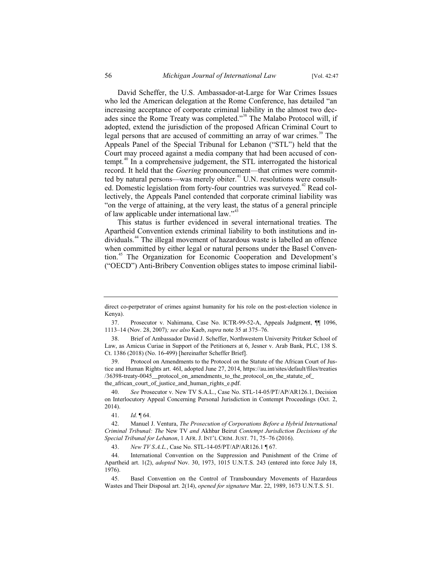David Scheffer, the U.S. Ambassador-at-Large for War Crimes Issues who led the American delegation at the Rome Conference, has detailed "an increasing acceptance of corporate criminal liability in the almost two decades since the Rome Treaty was completed."<sup>38</sup> The Malabo Protocol will, if adopted, extend the jurisdiction of the proposed African Criminal Court to legal persons that are accused of committing an array of war crimes.<sup>39</sup> The Appeals Panel of the Special Tribunal for Lebanon ("STL") held that the Court may proceed against a media company that had been accused of contempt.<sup>40</sup> In a comprehensive judgement, the STL interrogated the historical record. It held that the *Goering* pronouncement—that crimes were committed by natural persons—was merely obiter.<sup>41</sup> U.N. resolutions were consulted. Domestic legislation from forty-four countries was surveyed.<sup>42</sup> Read collectively, the Appeals Panel contended that corporate criminal liability was "on the verge of attaining, at the very least, the status of a general principle of law applicable under international law."<sup>43</sup>

This status is further evidenced in several international treaties. The Apartheid Convention extends criminal liability to both institutions and individuals.<sup>44</sup> The illegal movement of hazardous waste is labelled an offence when committed by either legal or natural persons under the Basel Convention.<sup>45</sup> The Organization for Economic Cooperation and Development's ("OECD") Anti-Bribery Convention obliges states to impose criminal liabil-

direct co-perpetrator of crimes against humanity for his role on the post-election violence in Kenya).

<sup>37.</sup> Prosecutor v. Nahimana, Case No. ICTR-99-52-A, Appeals Judgment, ¶¶ 1096, 1113–14 (Nov. 28, 2007)*; see also* Kaeb, *supra* note 35 at 375–76.

<sup>38.</sup> Brief of Ambassador David J. Scheffer, Northwestern University Pritzker School of Law, as Amicus Curiae in Support of the Petitioners at 6, Jesner v. Arab Bank, PLC, 138 S. Ct. 1386 (2018) (No. 16-499) [hereinafter Scheffer Brief].

<sup>39.</sup> Protocol on Amendments to the Protocol on the Statute of the African Court of Justice and Human Rights art. 46I, adopted June 27, 2014, https://au.int/sites/default/files/treaties /36398-treaty-0045\_\_protocol\_on\_amendments\_to\_the\_protocol\_on\_the\_statute\_of\_ the\_african\_court\_of\_justice\_and\_human\_rights\_e.pdf.

<sup>40.</sup> *See* Prosecutor v. New TV S.A.L., Case No. STL-14-05/PT/AP/AR126.1, Decision on Interlocutory Appeal Concerning Personal Jurisdiction in Contempt Proceedings (Oct. 2, 2014).

<sup>41.</sup> *Id.* ¶ 64.

<sup>42.</sup> Manuel J. Ventura, *The Prosecution of Corporations Before a Hybrid International Criminal Tribunal: The* New TV *and* Akhbar Beirut *Contempt Jurisdiction Decisions of the Special Tribunal for Lebanon*, 1 AFR. J. INT'L CRIM. JUST. 71, 75–76 (2016).

<sup>43.</sup> *New TV S.A.L.*, Case No. STL-14-05/PT/AP/AR126.1 ¶ 67.

<sup>44.</sup> International Convention on the Suppression and Punishment of the Crime of Apartheid art. 1(2), *adopted* Nov. 30, 1973, 1015 U.N.T.S. 243 (entered into force July 18, 1976).

<sup>45.</sup> Basel Convention on the Control of Transboundary Movements of Hazardous Wastes and Their Disposal art. 2(14), *opened for signature* Mar. 22, 1989, 1673 U.N.T.S. 51.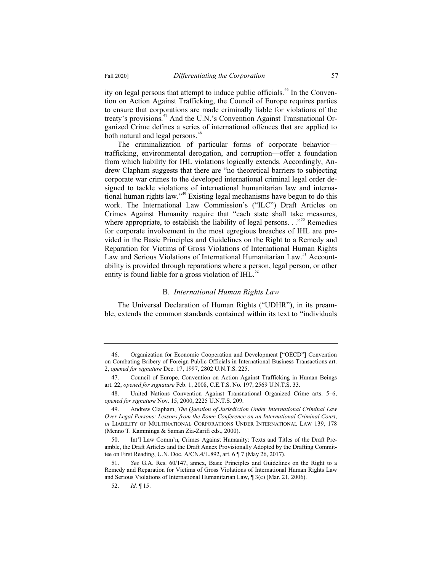ity on legal persons that attempt to induce public officials.<sup>46</sup> In the Convention on Action Against Trafficking, the Council of Europe requires parties to ensure that corporations are made criminally liable for violations of the treaty's provisions.<sup>47</sup> And the U.N.'s Convention Against Transnational Organized Crime defines a series of international offences that are applied to both natural and legal persons.<sup>48</sup>

The criminalization of particular forms of corporate behavior trafficking, environmental derogation, and corruption—offer a foundation from which liability for IHL violations logically extends. Accordingly, Andrew Clapham suggests that there are "no theoretical barriers to subjecting corporate war crimes to the developed international criminal legal order designed to tackle violations of international humanitarian law and international human rights law."<sup>49</sup> Existing legal mechanisms have begun to do this work. The International Law Commission's ("ILC") Draft Articles on Crimes Against Humanity require that "each state shall take measures, where appropriate, to establish the liability of legal persons. . ."<sup>50</sup> Remedies for corporate involvement in the most egregious breaches of IHL are provided in the Basic Principles and Guidelines on the Right to a Remedy and Reparation for Victims of Gross Violations of International Human Rights Law and Serious Violations of International Humanitarian Law.<sup>51</sup> Accountability is provided through reparations where a person, legal person, or other entity is found liable for a gross violation of  $IHL$ .<sup>52</sup>

#### B*. International Human Rights Law*

The Universal Declaration of Human Rights ("UDHR"), in its preamble, extends the common standards contained within its text to "individuals

<sup>46.</sup> Organization for Economic Cooperation and Development ["OECD"] Convention on Combating Bribery of Foreign Public Officials in International Business Transactions art. 2, *opened for signature* Dec. 17, 1997, 2802 U.N.T.S. 225.

<sup>47.</sup> Council of Europe, Convention on Action Against Trafficking in Human Beings art. 22, *opened for signature* Feb. 1, 2008, C.E.T.S. No. 197, 2569 U.N.T.S. 33.

<sup>48.</sup> United Nations Convention Against Transnational Organized Crime arts. 5–6, *opened for signature* Nov. 15, 2000, 2225 U.N.T.S. 209.

<sup>49.</sup> Andrew Clapham, *The Question of Jurisdiction Under International Criminal Law Over Legal Persons: Lessons from the Rome Conference on an International Criminal Court*, *in* LIABILITY OF MULTINATIONAL CORPORATIONS UNDER INTERNATIONAL LAW 139, 178 (Menno T. Kamminga & Saman Zia-Zarifi eds., 2000).

<sup>50.</sup> Int'l Law Comm'n, Crimes Against Humanity: Texts and Titles of the Draft Preamble, the Draft Articles and the Draft Annex Provisionally Adopted by the Drafting Committee on First Reading, U.N. Doc. A/CN.4/L.892, art. 6 ¶ 7 (May 26, 2017).

<sup>51.</sup> *See* G.A. Res. 60/147, annex, Basic Principles and Guidelines on the Right to a Remedy and Reparation for Victims of Gross Violations of International Human Rights Law and Serious Violations of International Humanitarian Law, ¶ 3(c) (Mar. 21, 2006).

<sup>52.</sup> *Id.* ¶ 15.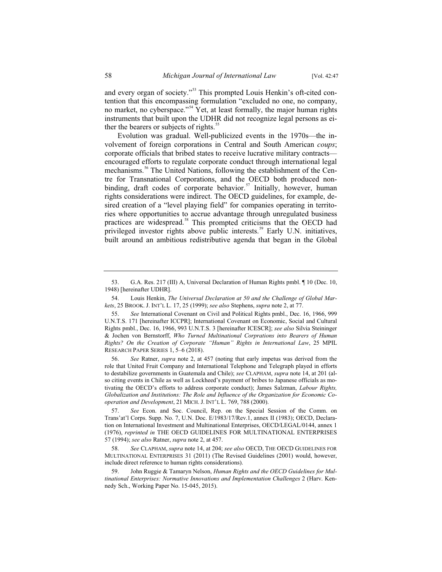and every organ of society."<sup>53</sup> This prompted Louis Henkin's oft-cited contention that this encompassing formulation "excluded no one, no company, no market, no cyberspace."<sup>54</sup> Yet, at least formally, the major human rights instruments that built upon the UDHR did not recognize legal persons as either the bearers or subjects of rights.<sup>55</sup>

Evolution was gradual. Well-publicized events in the 1970s—the involvement of foreign corporations in Central and South American *coups*; corporate officials that bribed states to receive lucrative military contracts encouraged efforts to regulate corporate conduct through international legal mechanisms.<sup>56</sup> The United Nations, following the establishment of the Centre for Transnational Corporations, and the OECD both produced nonbinding, draft codes of corporate behavior.<sup>57</sup> Initially, however, human rights considerations were indirect. The OECD guidelines, for example, desired creation of a "level playing field" for companies operating in territories where opportunities to accrue advantage through unregulated business practices are widespread.<sup>58</sup> This prompted criticisms that the OECD had privileged investor rights above public interests.<sup>59</sup> Early U.N. initiatives, built around an ambitious redistributive agenda that began in the Global

<sup>53.</sup> G.A. Res. 217 (III) A, Universal Declaration of Human Rights pmbl. ¶ 10 (Dec. 10, 1948) [hereinafter UDHR].

<sup>54.</sup> Louis Henkin, *The Universal Declaration at 50 and the Challenge of Global Markets*, 25 BROOK. J. INT'L L. 17, 25 (1999); *see also* Stephens, *supra* note 2, at 77.

<sup>55.</sup> *See* International Covenant on Civil and Political Rights pmbl., Dec. 16, 1966, 999 U.N.T.S. 171 [hereinafter ICCPR]; International Covenant on Economic, Social and Cultural Rights pmbl., Dec. 16, 1966, 993 U.N.T.S. 3 [hereinafter ICESCR]; *see also* Silvia Steininger & Jochen von Bernstorff, *Who Turned Multinational Corprations into Bearers of Human Rights? On the Creation of Corporate "Human" Rights in International Law*, 25 MPIL RESEARCH PAPER SERIES 1, 5–6 (2018).

<sup>56.</sup> *See* Ratner, *supra* note 2, at 457 (noting that early impetus was derived from the role that United Fruit Company and International Telephone and Telegraph played in efforts to destabilize governments in Guatemala and Chile); *see* CLAPHAM, *supra* note 14, at 201 (also citing events in Chile as well as Lockheed's payment of bribes to Japanese officials as motivating the OECD's efforts to address corporate conduct); James Salzman, *Labour Rights, Globalization and Institutions: The Role and Influence of the Organization for Economic Cooperation and Development*, 21 MICH. J. INT'L L. 769, 788 (2000).

<sup>57.</sup> *See* Econ. and Soc. Council, Rep. on the Special Session of the Comm. on Trans'at'l Corps. Supp. No. 7, U.N. Doc. E/1983/17/Rev.1, annex II (1983); OECD, Declaration on International Investment and Multinational Enterprises, OECD/LEGAL/0144, annex 1 (1976), *reprinted in* THE OECD GUIDELINES FOR MULTINATIONAL ENTERPRISES 57 (1994); *see also* Ratner, *supra* note 2, at 457.

<sup>58.</sup> *See* CLAPHAM, *supra* note 14, at 204; *see also* OECD, THE OECD GUIDELINES FOR MULTINATIONAL ENTERPRISES 31 (2011) (The Revised Guidelines (2001) would, however, include direct reference to human rights considerations).

<sup>59.</sup> John Ruggie & Tamaryn Nelson, *Human Rights and the OECD Guidelines for Multinational Enterprises: Normative Innovations and Implementation Challenges* 2 (Harv. Kennedy Sch., Working Paper No. 15-045, 2015).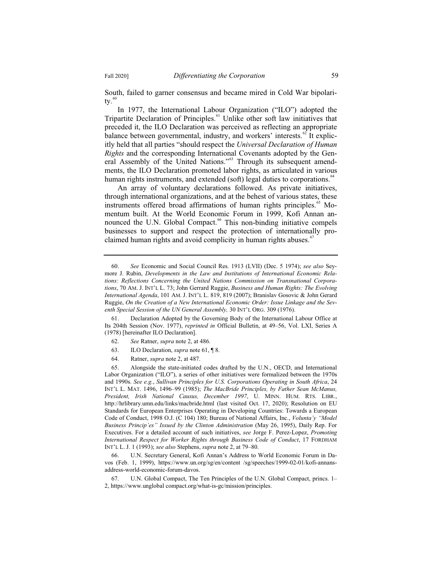South, failed to garner consensus and became mired in Cold War bipolaritv. $^{60}$ 

In 1977, the International Labour Organization ("ILO") adopted the Tripartite Declaration of Principles.<sup>61</sup> Unlike other soft law initiatives that preceded it, the ILO Declaration was perceived as reflecting an appropriate balance between governmental, industry, and workers' interests.<sup> $62$ </sup> It explicitly held that all parties "should respect the *Universal Declaration of Human Rights* and the corresponding International Covenants adopted by the General Assembly of the United Nations."<sup>63</sup> Through its subsequent amendments, the ILO Declaration promoted labor rights, as articulated in various human rights instruments, and extended (soft) legal duties to corporations.<sup> $64$ </sup>

An array of voluntary declarations followed. As private initiatives, through international organizations, and at the behest of various states, these instruments offered broad affirmations of human rights principles.<sup>65</sup> Momentum built. At the World Economic Forum in 1999, Kofi Annan announced the U.N. Global Compact.<sup>66</sup> This non-binding initiative compels businesses to support and respect the protection of internationally proclaimed human rights and avoid complicity in human rights abuses. $\frac{6}{1}$ 

61. Declaration Adopted by the Governing Body of the International Labour Office at Its 204th Session (Nov. 1977), *reprinted in* Official Bulletin, at 49–56, Vol. LXI, Series A (1978) [hereinafter ILO Declaration].

- 62. *See* Ratner, *supra* note 2, at 486.
- 63. ILO Declaration, *supra* note 61, ¶ 8.
- 64. Ratner, *supra* note 2, at 487.

65. Alongside the state-initiated codes drafted by the U.N., OECD, and International Labor Organization ("ILO"), a series of other initiatives were formalized between the 1970s and 1990s. *See e.g.*, *Sullivan Principles for U.S. Corporations Operating in South Africa*, 24 INT'L L. MAT. 1496, 1496–99 (1985); *The MacBride Principles, by Father Sean McManus, President, Irish National Causus, December 1997*, U. MINN. HUM. RTS. LIBR., http://hrlibrary.umn.edu/links/macbride.html (last visited Oct. 17, 2020); Resolution on EU Standards for European Enterprises Operating in Developing Countries: Towards a European Code of Conduct, 1998 O.J. (C 104) 180; Bureau of National Affairs, Inc., *Volunta'y "Model Business Princip'es" Issued by the Clinton Administration* (May 26, 1995), Daily Rep. For Executives. For a detailed account of such initiatives, *see* Jorge F. Perez-Lopez, *Promoting International Respect for Worker Rights through Business Code of Conduct*, 17 FORDHAM INT'L L. J. 1 (1993); *see also* Stephens, *supra* note 2, at 79–80.

66. U.N. Secretary General, Kofi Annan's Address to World Economic Forum in Davos (Feb. 1, 1999), https://www.un.org/sg/en/content /sg/speeches/1999-02-01/kofi-annansaddress-world-economic-forum-davos.

67. U.N. Global Compact, The Ten Principles of the U.N. Global Compact, princs. 1– 2, https://www.unglobal compact.org/what-is-gc/mission/principles.

<sup>60.</sup> *See* Economic and Social Council Res. 1913 (LVII) (Dec. 5 1974); *see also* Seymore J. Rubin, *Developments in the Law and Institutions of International Economic Relations: Reflections Concerning the United Nations Commission on Transnational Corporations*, 70 AM. J. INT'L L. 73; John Gerrard Ruggie, *Business and Human Rights: The Evolving International Agenda*, 101 AM. J. INT'L L. 819, 819 (2007); Branislav Gosovic & John Gerard Ruggie, *On the Creation of a New International Economic Order: Issue Linkage and the Seventh Special Session of the UN General Assembly,* 30 INT'L ORG. 309 (1976).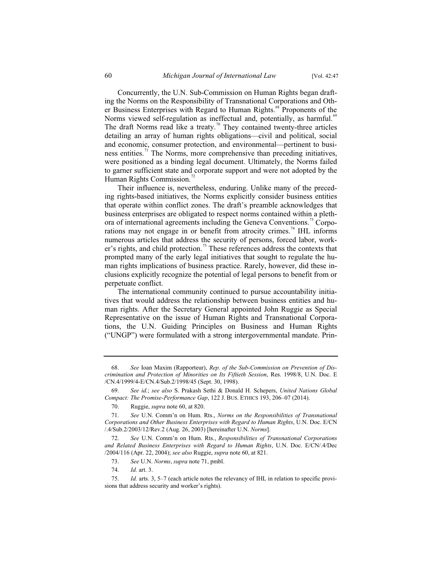Concurrently, the U.N. Sub-Commission on Human Rights began drafting the Norms on the Responsibility of Transnational Corporations and Other Business Enterprises with Regard to Human Rights.<sup>68</sup> Proponents of the Norms viewed self-regulation as ineffectual and, potentially, as harmful.<sup>69</sup> The draft Norms read like a treaty.<sup>70</sup> They contained twenty-three articles detailing an array of human rights obligations—civil and political, social and economic, consumer protection, and environmental—pertinent to business entities.<sup>71</sup> The Norms, more comprehensive than preceding initiatives, were positioned as a binding legal document. Ultimately, the Norms failed to garner sufficient state and corporate support and were not adopted by the Human Rights Commission.<sup>72</sup>

Their influence is, nevertheless, enduring. Unlike many of the preceding rights-based initiatives, the Norms explicitly consider business entities that operate within conflict zones. The draft's preamble acknowledges that business enterprises are obligated to respect norms contained within a plethora of international agreements including the Geneva Conventions.<sup>73</sup> Corporations may not engage in or benefit from atrocity crimes.<sup>74</sup> IHL informs numerous articles that address the security of persons, forced labor, worker's rights, and child protection.<sup>75</sup> These references address the contexts that prompted many of the early legal initiatives that sought to regulate the human rights implications of business practice. Rarely, however, did these inclusions explicitly recognize the potential of legal persons to benefit from or perpetuate conflict.

The international community continued to pursue accountability initiatives that would address the relationship between business entities and human rights. After the Secretary General appointed John Ruggie as Special Representative on the issue of Human Rights and Transnational Corporations, the U.N. Guiding Principles on Business and Human Rights ("UNGP") were formulated with a strong intergovernmental mandate. Prin-

<sup>68.</sup> *See* Ioan Maxim (Rapporteur), *Rep. of the Sub-Commission on Prevention of Discrimination and Protection of Minorities on Its Fiftieth Session*, Res. 1998/8, U.N. Doc. E /CN.4/1999/4-E/CN.4/Sub.2/1998/45 (Sept. 30, 1998).

<sup>69.</sup> *See id.*; *see also* S. Prakash Sethi & Donald H. Schepers, *United Nations Global Compact: The Promise-Performance Gap*, 122 J. BUS. ETHICS 193, 206–07 (2014).

<sup>70.</sup> Ruggie, *supra* note 60, at 820.

<sup>71.</sup> *See* U.N. Comm'n on Hum. Rts., *Norms on the Responsibilities of Transnational Corporations and Other Business Enterprises with Regard to Human Rights*, U.N. Doc. E/CN /.4/Sub.2/2003/12/Rev.2 (Aug. 26, 2003) [hereinafter U.N. *Norms*].

<sup>72.</sup> *See* U.N. Comm'n on Hum. Rts., *Responsibilities of Transnational Corporations and Related Business Enterprises with Regard to Human Rights*, U.N. Doc. E/CN/.4/Dec /2004/116 (Apr. 22, 2004); *see also* Ruggie, *supra* note 60, at 821.

<sup>73.</sup> *See* U.N. *Norms*, *supra* note 71, pmbl.

<sup>74.</sup> *Id.* art. 3.

<sup>75.</sup> *Id.* arts. 3, 5–7 (each article notes the relevancy of IHL in relation to specific provisions that address security and worker's rights).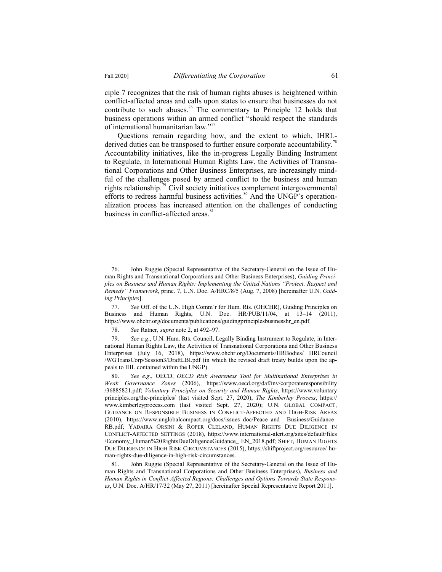ciple 7 recognizes that the risk of human rights abuses is heightened within conflict-affected areas and calls upon states to ensure that businesses do not contribute to such abuses.<sup>76</sup> The commentary to Principle 12 holds that business operations within an armed conflict "should respect the standards of international humanitarian law."<sup>77</sup>

Questions remain regarding how, and the extent to which, IHRLderived duties can be transposed to further ensure corporate accountability.<sup>7</sup> Accountability initiatives, like the in-progress Legally Binding Instrument to Regulate, in International Human Rights Law, the Activities of Transnational Corporations and Other Business Enterprises, are increasingly mindful of the challenges posed by armed conflict to the business and human rights relationship.<sup>79</sup> Civil society initiatives complement intergovernmental efforts to redress harmful business activities.<sup>80</sup> And the UNGP's operationalization process has increased attention on the challenges of conducting business in conflict-affected areas.<sup>81</sup>

77. *See* Off. of the U.N. High Comm'r for Hum. Rts. (OHCHR), Guiding Principles on Business and Human Rights, U.N. Doc. HR/PUB/11/04, at 13–14 (2011), https://www.ohchr.org/documents/publications/guidingprinciplesbusinesshr\_en.pdf.

78. *See* Ratner, *supra* note 2, at 492–97.

79. *See e.g*., U.N. Hum. Rts. Council, Legally Binding Instrument to Regulate, in International Human Rights Law, the Activities of Transnational Corporations and Other Business Enterprises (July 16, 2018), https://www.ohchr.org/Documents/HRBodies/ HRCouncil /WGTransCorp/Session3/DraftLBI.pdf (in which the revised draft treaty builds upon the appeals to IHL contained within the UNGP).

<sup>76.</sup> John Ruggie (Special Representative of the Secretary-General on the Issue of Human Rights and Transnational Corporations and Other Business Enterprises), *Guiding Principles on Business and Human Rights: Implementing the United Nations "Protect, Respect and Remedy" Framework*, princ. 7, U.N. Doc. A/HRC/8/5 (Aug. 7, 2008) [hereinafter U.N. *Guiding Principles*].

<sup>80.</sup> *See e.g*., OECD, *OECD Risk Awareness Tool for Multinational Enterprises in Weak Governance Zones* (2006), https://www.oecd.org/daf/inv/corporateresponsibility /36885821.pdf; *Voluntary Principles on Security and Human Rights*, https://www.voluntary principles.org/the-principles/ (last visited Sept. 27, 2020); *The Kimberley Process*, https:// www.kimberleyprocess.com (last visited Sept. 27, 2020); U.N. GLOBAL COMPACT, GUIDANCE ON RESPONSIBLE BUSINESS IN CONFLICT-AFFECTED AND HIGH-RISK AREAS (2010), https://www.unglobalcompact.org/docs/issues\_doc/Peace\_and\_ Business/Guidance\_ RB.pdf; YADAIRA ORSINI & ROPER CLELAND, HUMAN RIGHTS DUE DILIGENCE IN CONFLICT-AFFECTED SETTINGS (2018), https://www.international-alert.org/sites/default/files /Economy\_Human%20RightsDueDiligenceGuidance\_ EN\_2018.pdf; SHIFT, HUMAN RIGHTS DUE DILIGENCE IN HIGH RISK CIRCUMSTANCES (2015), https://shiftproject.org/resource/ human-rights-due-diligence-in-high-risk-circumstances.

<sup>81.</sup> John Ruggie (Special Representative of the Secretary-General on the Issue of Human Rights and Transnational Corporations and Other Business Enterprises), *Business and Human Rights in Conflict-Affected Regions: Challenges and Options Towards State Responses*, U.N. Doc. A/HR/17/32 (May 27, 2011) [hereinafter Special Representative Report 2011].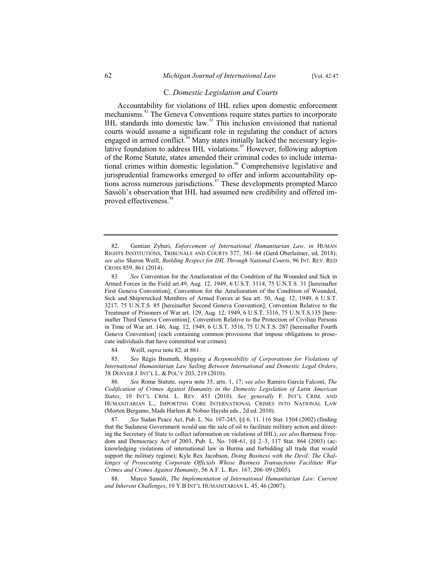# C. *Domestic Legislation and Courts*

Accountability for violations of IHL relies upon domestic enforcement mechanisms.<sup>82</sup> The Geneva Conventions require states parties to incorporate IHL standards into domestic law.<sup>83</sup> This inclusion envisioned that national courts would assume a significant role in regulating the conduct of actors engaged in armed conflict.<sup>84</sup> Many states initially lacked the necessary legislative foundation to address IHL violations.<sup>85</sup> However, following adoption of the Rome Statute, states amended their criminal codes to include international crimes within domestic legislation.<sup>86</sup> Comprehensive legislative and jurisprudential frameworks emerged to offer and inform accountability options across numerous jurisdictions.<sup>87</sup> These developments prompted Marco Sassòli's observation that IHL had assumed new credibility and offered improved effectiveness.<sup>88</sup>

84. Weill, *supra* note 82, at 861.

85. *See* Régis Bismuth, *Mapping a Responsibility of Corporations for Violations of International Humanitarian Law Sailing Between International and Domestic Legal Orders*, 38 DENVER J. INT'L L. & POL'Y 203, 219 (2010).

86*. See* Rome Statute, *supra* note 35, arts. 1, 17; *see also* Ramiro García Falconí, *The Codification of Crimes Against Humanity in the Domestic Legislation of Latin American States*, 10 INT'L CRIM. L. REV. 453 (2010). *See generally* F. INT'L CRIM. AND HUMANITARIAN L., IMPORTING CORE INTERNATIONAL CRIMES INTO NATIONAL LAW (Morten Bergsmo, Mads Harlem & Nobuo Hayshi eds., 2d ed. 2010).

87. *See* Sudan Peace Act, Pub. L. No. 107-245, §§ 6, 11, 116 Stat. 1504 (2002) (finding that the Sudanese Government would use the sale of oil to facilitate military action and directing the Secretary of State to collect information on violations of IHL); *see also* Burmese Freedom and Democracy Act of 2003, Pub. L. No. 108-61, §§ 2–3, 117 Stat. 864 (2003) (acknowledging violations of international law in Burma and forbidding all trade that would support the military regime); Kyle Rex Jacobson, *Doing Business with the Devil: The Chal*lenges of Prosecuting Corporate Officials Whose Business Transactions Facilitate War *Crimes and Crimes Against Humanity*, 56 A.F. L. Rev. 167, 206–09 (2005).

88. Marco Sassòli, *The Implementation of International Humanitarian Law: Current and Inherent Challenges*, 10 Y.B INT'L HUMANITARIAN L. 45, 46 (2007).

<sup>82.</sup> Gentian Zyberi, *Enforcement of International Humanitarian Law, in* HUMAN RIGHTS INSTITUTIONS, TRIBUNALS AND COURTS 377, 381–84 (Gerd Oberleitner, ed, 2018); *see also* Sharon Weill, *Building Respect for IHL Through National Courts*, 96 INT. REV. RED CROSS 859, 861 (2014).

<sup>83.</sup> *See* Convention for the Amelioration of the Condition of the Wounded and Sick in Armed Forces in the Field art.49, Aug. 12, 1949, 6 U.S.T. 3114, 75 U.N.T.S. 31 [hereinafter First Geneva Convention]; Convention for the Amelioration of the Condition of Wounded, Sick and Shipwrecked Members of Armed Forces at Sea art. 50, Aug. 12, 1949, 6 U.S.T. 3217, 75 U.N.T.S. 85 [hereinafter Second Geneva Convention]; Convention Relative to the Treatment of Prisoners of War art. 129, Aug. 12, 1949, 6 U.S.T. 3316, 75 U.N.T.S.135 [hereinafter Third Geneva Convention]; Convention Relative to the Protection of Civilian Persons in Time of War art. 146, Aug. 12, 1949, 6 U.S.T. 3516, 75 U.N.T.S. 287 [hereinafter Fourth Geneva Convention] (each containing common provisions that impose obligations to prosecute individuals that have committed war crimes).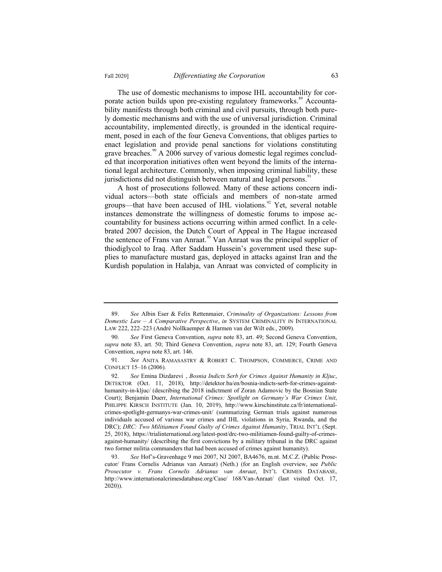The use of domestic mechanisms to impose IHL accountability for corporate action builds upon pre-existing regulatory frameworks.<sup>89</sup> Accountability manifests through both criminal and civil pursuits, through both purely domestic mechanisms and with the use of universal jurisdiction. Criminal accountability, implemented directly, is grounded in the identical require-

ment, posed in each of the four Geneva Conventions, that obliges parties to enact legislation and provide penal sanctions for violations constituting grave breaches.<sup>90</sup> A 2006 survey of various domestic legal regimes concluded that incorporation initiatives often went beyond the limits of the international legal architecture. Commonly, when imposing criminal liability, these jurisdictions did not distinguish between natural and legal persons.<sup>91</sup>

A host of prosecutions followed. Many of these actions concern individual actors—both state officials and members of non-state armed groups—that have been accused of IHL violations.<sup>92</sup> Yet, several notable instances demonstrate the willingness of domestic forums to impose accountability for business actions occurring within armed conflict. In a celebrated 2007 decision, the Dutch Court of Appeal in The Hague increased the sentence of Frans van Anraat.<sup>93</sup> Van Anraat was the principal supplier of thiodiglycol to Iraq. After Saddam Hussein's government used these supplies to manufacture mustard gas, deployed in attacks against Iran and the Kurdish population in Halabja, van Anraat was convicted of complicity in

<sup>89.</sup> *See* Albin Eser & Felix Rettenmaier, *Criminality of Organizations: Lessons from Domestic Law – A Comparative Perspective*, *in* SYSTEM CRIMINALITY IN INTERNATIONAL LAW 222, 222–223 (André Nollkaemper & Harmen van der Wilt eds., 2009).

<sup>90.</sup> *See* First Geneva Convention, *supra* note 83, art. 49; Second Geneva Convention, *supra* note 83, art. 50; Third Geneva Convention, *supra* note 83, art. 129; Fourth Geneva Convention, *supra* note 83, art. 146.

<sup>91.</sup> *See* ANITA RAMASASTRY & ROBERT C. THOMPSON, COMMERCE, CRIME AND CONFLICT 15–16 (2006).

<sup>92.</sup> *See* Emina Dizdarevi , *Bosnia Indicts Serb for Crimes Against Humanity in Kljuc*, DETEKTOR (Oct. 11, 2018), http://detektor.ba/en/bosnia-indicts-serb-for-crimes-againsthumanity-in-kljuc/ (describing the 2018 indictment of Zoran Adamovic by the Bosnian State Court); Benjamin Duerr, *International Crimes: Spotlight on Germany's War Crimes Unit*, PHILIPPE KIRSCH INSTITUTE (Jan. 10, 2019), http://www.kirschinstitute.ca/fr/internationalcrimes-spotlight-germanys-war-crimes-unit/ (summarizing German trials against numerous individuals accused of various war crimes and IHL violations in Syria, Rwanda, and the DRC); *DRC: Two Militiamen Found Guilty of Crimes Against Humanity*, TRIAL INT'L (Sept. 25, 2018), https://trialinternational.org/latest-post/drc-two-militiamen-found-guilty-of-crimesagainst-humanity/ (describing the first convictions by a military tribunal in the DRC against two former militia commanders that had been accused of crimes against humanity).

<sup>93.</sup> *See* Hof's-Gravenhage 9 mei 2007, NJ 2007, BA4676, m.nt. M.C.Z. (Public Prosecutor/ Frans Cornelis Adrianus van Anraat) (Neth.) (for an English overview, see *Public Prosecutor v. Frans Cornelis Adrianus van Anraat*, INT'L CRIMES DATABASE, http://www.internationalcrimesdatabase.org/Case/ 168/Van-Anraat/ (last visited Oct. 17, 2020)).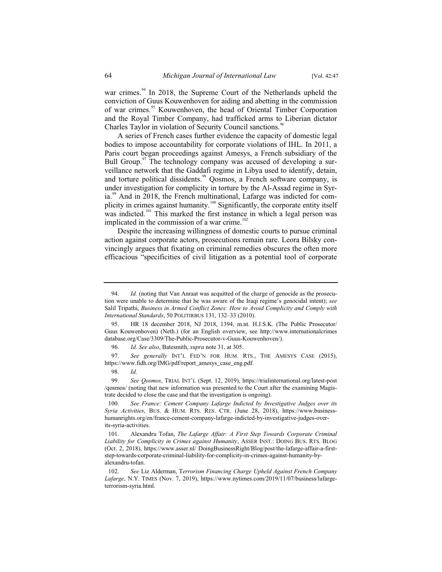war crimes.<sup>94</sup> In 2018, the Supreme Court of the Netherlands upheld the conviction of Guus Kouwenhoven for aiding and abetting in the commission of war crimes.<sup>95</sup> Kouwenhoven, the head of Oriental Timber Corporation and the Royal Timber Company, had trafficked arms to Liberian dictator Charles Taylor in violation of Security Council sanctions.<sup>96</sup>

A series of French cases further evidence the capacity of domestic legal bodies to impose accountability for corporate violations of IHL. In 2011, a Paris court began proceedings against Amesys, a French subsidiary of the Bull Group. $\frac{97}{7}$  The technology company was accused of developing a surveillance network that the Gaddafi regime in Libya used to identify, detain, and torture political dissidents.<sup>98</sup> Qosmos, a French software company, is under investigation for complicity in torture by the Al-Assad regime in Syria.<sup>99</sup> And in 2018, the French multinational, Lafarge was indicted for complicity in crimes against humanity.<sup>100</sup> Significantly, the corporate entity itself was indicted.<sup>101</sup> This marked the first instance in which a legal person was implicated in the commission of a war crime.<sup>102</sup>

Despite the increasing willingness of domestic courts to pursue criminal action against corporate actors, prosecutions remain rare. Leora Bilsky convincingly argues that fixating on criminal remedies obscures the often more efficacious "specificities of civil litigation as a potential tool of corporate

<sup>94.</sup> *Id.* (noting that Van Anraat was acquitted of the charge of genocide as the prosecution were unable to determine that he was aware of the Iraqi regime's genocidal intent); *see*  Salil Tripathi, *Business in Armed Conflict Zones: How to Avoid Complicity and Comply with International Standards*, 50 POLITIRBUS 131, 132–33 (2010).

<sup>95.</sup> HR 18 december 2018, NJ 2018, 1394, m.nt. H.J.S.K. (The Public Prosecutor/ Guus Kouwenhoven) (Neth.) (for an English overview, see http://www.internationalcrimes database.org/Case/3309/The-Public-Prosecutor-v-Guus-Kouwenhoven/).

<sup>96.</sup> *Id. See also*, Batesmith, *supra* note 31, at 305.

<sup>97.</sup> *See generally* INT'L FED'N FOR HUM. RTS., THE AMESYS CASE (2015), https://www.fidh.org/IMG/pdf/report\_amesys\_case\_eng.pdf.

<sup>98.</sup> *Id.*

<sup>99.</sup> *See Qosmos*, TRIAL INT'L (Sept. 12, 2019), https://trialinternational.org/latest-post /qosmos/ (noting that new information was presented to the Court after the examining Magistrate decided to close the case and that the investigation is ongoing).

<sup>100.</sup> *See France: Cement Company Lafarge Indicted by Investigative Judges over its Syria Activities*, BUS.&HUM. RTS. RES. CTR. (June 28, 2018), https://www.businesshumanrights.org/en/france-cement-company-lafarge-indicted-by-investigative-judges-overits-syria-activities.

<sup>101.</sup> Alexandru Tofan, *The Lafarge Affair: A First Step Towards Corporate Criminal Liability for Complicity in Crimes against Humanity*, ASSER INST.: DOING BUS. RTS. BLOG (Oct. 2, 2018), https://www.asser.nl/ DoingBusinessRight/Blog/post/the-lafarge-affair-a-firststep-towards-corporate-criminal-liability-for-complicity-in-crimes-against-humanity-byalexandru-tofan.

<sup>102.</sup> *See* Liz Alderman, T*errorism Financing Charge Upheld Against French Company Lafarge*, N.Y. TIMES (Nov. 7, 2019), https://www.nytimes.com/2019/11/07/business/lafargeterrorism-syria.html.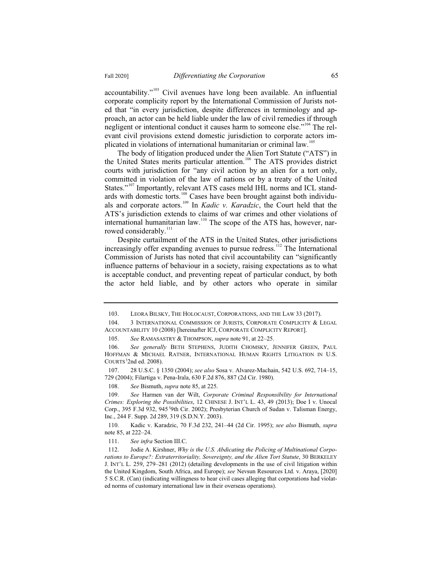$accountability." <sup>103</sup>$  Civil avenues have long been available. An influential corporate complicity report by the International Commission of Jurists noted that "in every jurisdiction, despite differences in terminology and approach, an actor can be held liable under the law of civil remedies if through negligent or intentional conduct it causes harm to someone else."<sup>104</sup> The relevant civil provisions extend domestic jurisdiction to corporate actors implicated in violations of international humanitarian or criminal law.<sup>105</sup>

The body of litigation produced under the Alien Tort Statute ("ATS") in the United States merits particular attention.<sup>106</sup> The ATS provides district courts with jurisdiction for "any civil action by an alien for a tort only, committed in violation of the law of nations or by a treaty of the United States."<sup>107</sup> Importantly, relevant ATS cases meld IHL norms and ICL standards with domestic torts.<sup>108</sup> Cases have been brought against both individuals and corporate actors.<sup>109</sup> In *Kadic v. Karadzic*, the Court held that the ATS's jurisdiction extends to claims of war crimes and other violations of international humanitarian law.<sup>110</sup> The scope of the ATS has, however, narrowed considerably.<sup>111</sup>

Despite curtailment of the ATS in the United States, other jurisdictions increasingly offer expanding avenues to pursue redress.<sup>112</sup> The International Commission of Jurists has noted that civil accountability can "significantly influence patterns of behaviour in a society, raising expectations as to what is acceptable conduct, and preventing repeat of particular conduct, by both the actor held liable, and by other actors who operate in similar

<sup>103.</sup> LEORA BILSKY, THE HOLOCAUST, CORPORATIONS, AND THE LAW 33 (2017).

<sup>104. 3</sup> INTERNATIONAL COMMISSION OF JURISTS, CORPORATE COMPLICITY & LEGAL ACCOUNTABILITY 10 (2008) [hereinafter ICJ, CORPORATE COMPLICITY REPORT].

<sup>105.</sup> *See* RAMASASTRY & THOMPSON, *supra* note 91, at 22–25.

<sup>106.</sup> *See generally* BETH STEPHENS, JUDITH CHOMSKY, JENNIFER GREEN, PAUL HOFFMAN & MICHAEL RATNER, INTERNATIONAL HUMAN RIGHTS LITIGATION IN U.S. COURTS ( 2nd ed. 2008).

<sup>107. 28</sup> U.S.C. § 1350 (2004); *see also* Sosa v. Alvarez-Machain, 542 U.S. 692, 714–15, 729 (2004); Filartiga v. Pena-Irala, 630 F.2d 876, 887 (2d Cir. 1980).

<sup>108.</sup> *See* Bismuth, *supra* note 85, at 225.

<sup>109.</sup> *See* Harmen van der Wilt, *Corporate Criminal Responsibility for International Crimes: Exploring the Possibilities*, 12 CHINESE J. INT'L L. 43, 49 (2013); Doe I v. Unocal Corp., 395 F.3d 932, 945 <sup>(</sup>9th Cir. 2002); Presbyterian Church of Sudan v. Talisman Energy, Inc., 244 F. Supp. 2d 289, 319 (S.D.N.Y. 2003).

<sup>110.</sup> Kadic v. Karadzic, 70 F.3d 232, 241–44 (2d Cir. 1995); *see also* Bismuth, *supra* note 85, at 222–24.

<sup>111.</sup> *See infra* Section III.C.

<sup>112.</sup> Jodie A. Kirshner, *Why is the U.S. Abdicating the Policing of Multinational Corpo*rations to Europe?: Extraterritoriality, Sovereignty, and the Alien Tort Statute, 30 BERKELEY J. INT'L L. 259, 279–281 (2012) (detailing developments in the use of civil litigation within the United Kingdom, South Africa, and Europe); *see* Nevsun Resources Ltd. v. Araya, [2020] 5 S.C.R. (Can) (indicating willingness to hear civil cases alleging that corporations had violated norms of customary international law in their overseas operations).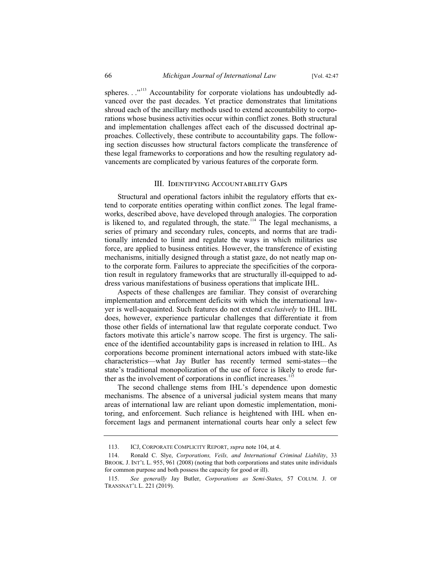spheres.  $\cdot$ ."<sup>113</sup> Accountability for corporate violations has undoubtedly advanced over the past decades. Yet practice demonstrates that limitations shroud each of the ancillary methods used to extend accountability to corporations whose business activities occur within conflict zones. Both structural and implementation challenges affect each of the discussed doctrinal approaches. Collectively, these contribute to accountability gaps. The following section discusses how structural factors complicate the transference of these legal frameworks to corporations and how the resulting regulatory advancements are complicated by various features of the corporate form.

#### III. IDENTIFYING ACCOUNTABILITY GAPS

Structural and operational factors inhibit the regulatory efforts that extend to corporate entities operating within conflict zones. The legal frameworks, described above, have developed through analogies. The corporation is likened to, and regulated through, the state.<sup>114</sup> The legal mechanisms, a series of primary and secondary rules, concepts, and norms that are traditionally intended to limit and regulate the ways in which militaries use force, are applied to business entities. However, the transference of existing mechanisms, initially designed through a statist gaze, do not neatly map onto the corporate form. Failures to appreciate the specificities of the corporation result in regulatory frameworks that are structurally ill-equipped to address various manifestations of business operations that implicate IHL.

Aspects of these challenges are familiar. They consist of overarching implementation and enforcement deficits with which the international lawyer is well-acquainted. Such features do not extend *exclusively* to IHL. IHL does, however, experience particular challenges that differentiate it from those other fields of international law that regulate corporate conduct. Two factors motivate this article's narrow scope. The first is urgency. The salience of the identified accountability gaps is increased in relation to IHL. As corporations become prominent international actors imbued with state-like characteristics—what Jay Butler has recently termed semi-states—the state's traditional monopolization of the use of force is likely to erode further as the involvement of corporations in conflict increases.

The second challenge stems from IHL's dependence upon domestic mechanisms. The absence of a universal judicial system means that many areas of international law are reliant upon domestic implementation, monitoring, and enforcement. Such reliance is heightened with IHL when enforcement lags and permanent international courts hear only a select few

<sup>113.</sup> ICJ, CORPORATE COMPLICITY REPORT, *supra* note 104, at 4.

<sup>114.</sup> Ronald C. Slye, *Corporations, Veils, and International Criminal Liability*, 33 BROOK. J. INT'L L. 955, 961 (2008) (noting that both corporations and states unite individuals for common purpose and both possess the capacity for good or ill).

<sup>115.</sup> *See generally* Jay Butler, *Corporations as Semi-States*, 57 COLUM. J. OF TRANSNAT'L L. 221 (2019).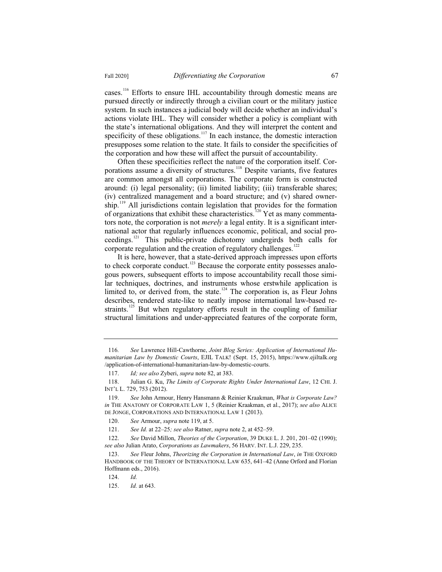cases.<sup>116</sup> Efforts to ensure IHL accountability through domestic means are pursued directly or indirectly through a civilian court or the military justice system. In such instances a judicial body will decide whether an individual's actions violate IHL. They will consider whether a policy is compliant with the state's international obligations. And they will interpret the content and specificity of these obligations.<sup>117</sup> In each instance, the domestic interaction presupposes some relation to the state. It fails to consider the specificities of the corporation and how these will affect the pursuit of accountability.

Often these specificities reflect the nature of the corporation itself. Corporations assume a diversity of structures.<sup>118</sup> Despite variants, five features are common amongst all corporations. The corporate form is constructed around: (i) legal personality; (ii) limited liability; (iii) transferable shares; (iv) centralized management and a board structure; and (v) shared ownership.<sup>119</sup> All jurisdictions contain legislation that provides for the formation of organizations that exhibit these characteristics.<sup>120</sup> Yet as many commentators note, the corporation is not *merely* a legal entity. It is a significant international actor that regularly influences economic, political, and social proceedings.<sup>121</sup> This public-private dichotomy undergirds both calls for corporate regulation and the creation of regulatory challenges.<sup>122</sup>

It is here, however, that a state-derived approach impresses upon efforts to check corporate conduct.<sup>123</sup> Because the corporate entity possesses analogous powers, subsequent efforts to impose accountability recall those similar techniques, doctrines, and instruments whose erstwhile application is limited to, or derived from, the state.<sup>124</sup> The corporation is, as Fleur Johns describes, rendered state-like to neatly impose international law-based restraints.<sup>125</sup> But when regulatory efforts result in the coupling of familiar structural limitations and under-appreciated features of the corporate form,

<sup>116</sup>*. See* Lawrence Hill-Cawthorne, *Joint Blog Series: Application of International Humanitarian Law by Domestic Courts*, EJIL TALK! (Sept. 15, 2015), https://www.ejiltalk.org /application-of-international-humanitarian-law-by-domestic-courts.

<sup>117.</sup> *Id; see also* Zyberi, *supra* note 82, at 383.

<sup>118.</sup> Julian G. Ku, *The Limits of Corporate Rights Under International Law*, 12 CHI. J. INT'L L. 729, 753 (2012).

<sup>119.</sup> *See* John Armour, Henry Hansmann & Reinier Kraakman, *What is Corporate Law? in* THE ANATOMY OF CORPORATE LAW 1, 5 (Reinier Kraakman, et al., 2017); *see also* ALICE DE JONGE, CORPORATIONS AND INTERNATIONAL LAW 1 (2013).

<sup>120.</sup> *See* Armour, *supra* note 119, at 5.

<sup>121.</sup> *See Id.* at 22–25*; see also* Ratner, *supra* note 2, at 452–59.

<sup>122.</sup> *See* David Millon, *Theories of the Corporation*, 39 DUKE L. J. 201, 201–02 (1990); *see also* Julian Arato, *Corporations as Lawmakers*, 56 HARV. INT. L.J. 229, 235.

<sup>123.</sup> *See* Fleur Johns, *Theorizing the Corporation in International Law*, *in* THE OXFORD HANDBOOK OF THE THEORY OF INTERNATIONAL LAW 635, 641–42 (Anne Orford and Florian Hoffmann eds., 2016).

<sup>124.</sup> *Id.*

<sup>125.</sup> *Id.* at 643.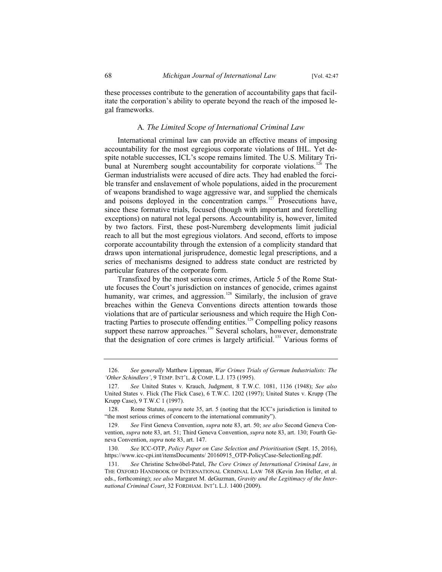these processes contribute to the generation of accountability gaps that facilitate the corporation's ability to operate beyond the reach of the imposed legal frameworks.

# A*. The Limited Scope of International Criminal Law*

International criminal law can provide an effective means of imposing accountability for the most egregious corporate violations of IHL. Yet despite notable successes, ICL's scope remains limited. The U.S. Military Tribunal at Nuremberg sought accountability for corporate violations.<sup>126</sup> The German industrialists were accused of dire acts. They had enabled the forcible transfer and enslavement of whole populations, aided in the procurement of weapons brandished to wage aggressive war, and supplied the chemicals and poisons deployed in the concentration camps.<sup>127</sup> Prosecutions have, since these formative trials, focused (though with important and foretelling exceptions) on natural not legal persons. Accountability is, however, limited by two factors. First, these post-Nuremberg developments limit judicial reach to all but the most egregious violators. And second, efforts to impose corporate accountability through the extension of a complicity standard that draws upon international jurisprudence, domestic legal prescriptions, and a series of mechanisms designed to address state conduct are restricted by particular features of the corporate form.

Transfixed by the most serious core crimes, Article 5 of the Rome Statute focuses the Court's jurisdiction on instances of genocide, crimes against humanity, war crimes, and aggression.<sup>128</sup> Similarly, the inclusion of grave breaches within the Geneva Conventions directs attention towards those violations that are of particular seriousness and which require the High Contracting Parties to prosecute offending entities.<sup>129</sup> Compelling policy reasons support these narrow approaches.<sup>130</sup> Several scholars, however, demonstrate that the designation of core crimes is largely artificial.<sup>131</sup> Various forms of

<sup>126.</sup> *See generally* Matthew Lippman, *War Crimes Trials of German Industrialists: The 'Other Schindlers'*, 9 TEMP. INT'L.&COMP. L.J. 173 (1995).

<sup>127.</sup> *See* United States v. Krauch, Judgment, 8 T.W.C. 1081, 1136 (1948); *See also* United States v. Flick (The Flick Case), 6 T.W.C. 1202 (1997); United States v. Krupp (The Krupp Case), 9 T.W.C 1 (1997).

<sup>128.</sup> Rome Statute, *supra* note 35, art. 5 (noting that the ICC's jurisdiction is limited to "the most serious crimes of concern to the international community").

<sup>129.</sup> *See* First Geneva Convention, *supra* note 83, art. 50; *see also* Second Geneva Convention, *supra* note 83, art. 51; Third Geneva Convention, *supra* note 83, art. 130; Fourth Geneva Convention, *supra* note 83, art. 147.

<sup>130.</sup> *See* ICC-OTP, *Policy Paper on Case Selection and Prioritisation* (Sept. 15, 2016), https://www.icc-cpi.int/itemsDocuments/ 20160915\_OTP-PolicyCase-SelectionEng.pdf.

<sup>131.</sup> *See* Christine Schwöbel-Patel, *The Core Crimes of International Criminal Law*, *in* THE OXFORD HANDBOOK OF INTERNATIONAL CRIMINAL LAW 768 (Kevin Jon Heller, et al. eds., forthcoming); *see also* Margaret M. deGuzman, *Gravity and the Legitimacy of the International Criminal Court*, 32 FORDHAM. INT'L L.J. 1400 (2009).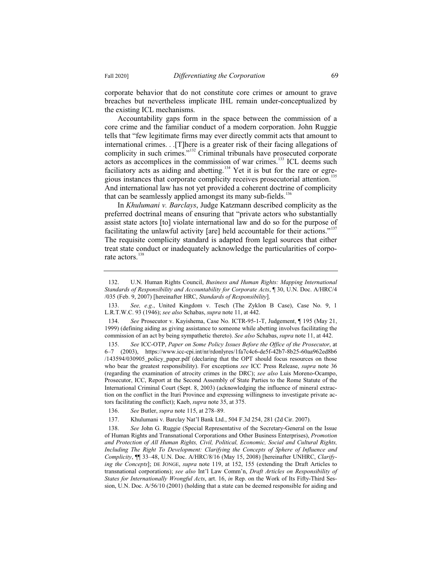corporate behavior that do not constitute core crimes or amount to grave breaches but nevertheless implicate IHL remain under-conceptualized by the existing ICL mechanisms.

Accountability gaps form in the space between the commission of a core crime and the familiar conduct of a modern corporation. John Ruggie tells that "few legitimate firms may ever directly commit acts that amount to international crimes. . .[T]here is a greater risk of their facing allegations of complicity in such crimes."<sup>132</sup> Criminal tribunals have prosecuted corporate actors as accomplices in the commission of war crimes.<sup>133</sup> ICL deems such faciliatory acts as aiding and abetting.<sup>134</sup> Yet it is but for the rare or egregious instances that corporate complicity receives prosecutorial attention.<sup>135</sup> And international law has not yet provided a coherent doctrine of complicity that can be seamlessly applied amongst its many sub-fields.<sup>136</sup>

In *Khulumani v. Barclays*, Judge Katzmann described complicity as the preferred doctrinal means of ensuring that "private actors who substantially assist state actors [to] violate international law and do so for the purpose of facilitating the unlawful activity [are] held accountable for their actions."<sup>137</sup> The requisite complicity standard is adapted from legal sources that either treat state conduct or inadequately acknowledge the particularities of corporate actors.<sup>138</sup>

137. Khulumani v. Barclay Nat'l Bank Ltd., 504 F.3d 254, 281 (2d Cir. 2007).

138. *See* John G. Ruggie (Special Representative of the Secretary-General on the Issue of Human Rights and Transnational Corporations and Other Business Enterprises), *Promotion and Protection of All Human Rights, Civil, Political, Economic, Social and Cultural Rights, Including The Right To Development: Clarifying the Concepts of Sphere of Influence and Complicity*, ¶¶ 33–48, U.N. Doc. A/HRC/8/16 (May 15, 2008) [hereinafter UNHRC, *Clarifying the Concepts*]; DE JONGE, *supra* note 119, at 152, 155 (extending the Draft Articles to transnational corporations); *see also* Int'l Law Comm'n, *Draft Articles on Responsibility of States for Internationally Wrongful Acts*, art. 16, *in* Rep. on the Work of Its Fifty-Third Session, U.N. Doc. A/56/10 (2001) (holding that a state can be deemed responsible for aiding and

<sup>132.</sup> U.N. Human Rights Council, *Business and Human Rights: Mapping International Standards of Responsibility and Accountability for Corporate Acts*, ¶ 30, U.N. Doc. A/HRC/4 /035 (Feb. 9, 2007) [hereinafter HRC, *Standards of Responsibility*].

<sup>133.</sup> *See, e.g*., United Kingdom v. Tesch (The Zyklon B Case), Case No. 9, 1 L.R.T.W.C. 93 (1946); *see also* Schabas, *supra* note 11, at 442.

<sup>134.</sup> *See* Prosecutor v. Kayishema, Case No. ICTR-95-1-T, Judgement, ¶ 195 (May 21, 1999) (defining aiding as giving assistance to someone while abetting involves facilitating the commission of an act by being sympathetic thereto). *See also* Schabas, *supra* note 11, at 442.

<sup>135.</sup> *See* ICC-OTP, *Paper on Some Policy Issues Before the Office of the Prosecutor*, at 6–7 (2003), https://www.icc-cpi.int/nr/rdonlyres/1fa7c4c6-de5f-42b7-8b25-60aa962ed8b6 /143594/030905\_policy\_paper.pdf (declaring that the OPT should focus resources on those who bear the greatest responsibility). For exceptions *see* ICC Press Release, *supra* note 36 (regarding the examination of atrocity crimes in the DRC); *see also* Luis Moreno-Ocampo, Prosecutor, ICC, Report at the Second Assembly of State Parties to the Rome Statute of the International Criminal Court (Sept. 8, 2003) (acknowledging the influence of mineral extraction on the conflict in the Ituri Province and expressing willingness to investigate private actors facilitating the conflict); Kaeb, *supra* note 35, at 375.

<sup>136.</sup> *See* Butler, *supra* note 115, at 278–89.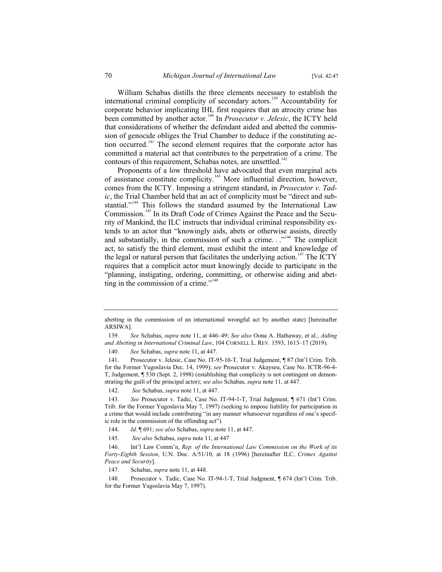William Schabas distills the three elements necessary to establish the international criminal complicity of secondary actors.<sup>139</sup> Accountability for corporate behavior implicating IHL first requires that an atrocity crime has been committed by another actor.<sup>140</sup> In *Prosecutor v. Jelesic*, the ICTY held that considerations of whether the defendant aided and abetted the commission of genocide obliges the Trial Chamber to deduce if the constituting action occurred.<sup>141</sup> The second element requires that the corporate actor has committed a material act that contributes to the perpetration of a crime. The contours of this requirement, Schabas notes, are unsettled.<sup>142</sup>

Proponents of a low threshold have advocated that even marginal acts of assistance constitute complicity.<sup>143</sup> More influential direction, however, comes from the ICTY. Imposing a stringent standard, in *Prosecutor v. Tadic*, the Trial Chamber held that an act of complicity must be "direct and substantial."<sup>144</sup> This follows the standard assumed by the International Law Commission.<sup>145</sup> In its Draft Code of Crimes Against the Peace and the Security of Mankind, the ILC instructs that individual criminal responsibility extends to an actor that "knowingly aids, abets or otherwise assists, directly and substantially, in the commission of such a crime.  $\cdot$ .<sup>146</sup> The complicit act, to satisfy the third element, must exhibit the intent and knowledge of the legal or natural person that facilitates the underlying action.<sup>147</sup> The ICTY requires that a complicit actor must knowingly decide to participate in the "planning, instigating, ordering, committing, or otherwise aiding and abetting in the commission of a crime."<sup>148</sup>

145. *See also* Schabas, *supra* note 11, at 447

147. Schabas, *supra* note 11, at 448.

abetting in the commission of an international wrongful act by another state) [hereinafter ARSIWA].

<sup>139.</sup> *See* Schabas, *supra* note 11, at 446–49; *See also* Oona A. Hathaway, et al., *Aiding and Abetting in International Criminal Law*, 104 CORNELL L. REV. 1593, 1613–17 (2019).

<sup>140.</sup> *See* Schabas, *supra* note 11, at 447.

<sup>141.</sup> Prosecutor v. Jelesic, Case No. IT-95-10-T, Trial Judgement, ¶ 87 (Int'l Crim. Trib. for the Former Yugoslavia Dec. 14, 1999); *see* Prosecutor v. Akayseu, Case No. ICTR-96-4- T, Judgement, ¶ 530 (Sept. 2, 1998) (establishing that complicity is not contingent on demonstrating the guilt of the principal actor); *see also* Schabas, *supra* note 11, at 447.

<sup>142.</sup> *See* Schabas, *supra* note 11, at 447.

<sup>143.</sup> *See* Prosecutor v. Tadic, Case No. IT-94-1-T, Trial Judgment, ¶ 671 (Int'l Crim. Trib. for the Former Yugoslavia May 7, 1997) (seeking to impose liability for participation in a crime that would include contributing "in any manner whatsoever regardless of one's specific role in the commission of the offending act").

<sup>144.</sup> *Id.* ¶ 691; *see also* Schabas, *supra* note 11, at 447.

<sup>146.</sup> Int'l Law Comm'n, *Rep. of the International Law Commission on the Work of its Forty-Eighth Session*, U.N. Doc. A/51/10, at 18 (1996) [hereinafter ILC, *Crimes Against Peace and Security*].

<sup>148.</sup> Prosecutor v. Tadic, Case No. IT-94-1-T, Trial Judgment, ¶ 674 (Int'l Crim. Trib. for the Former Yugoslavia May 7, 1997).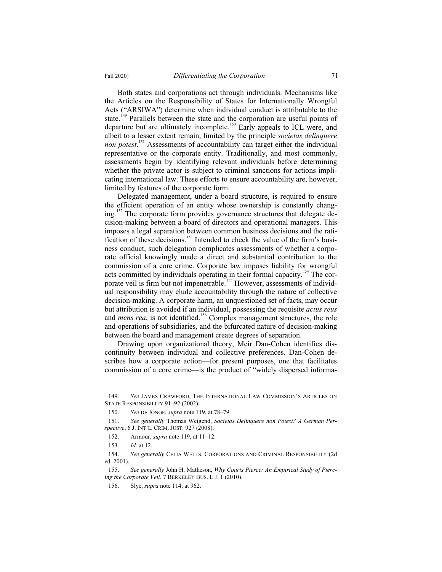Both states and corporations act through individuals. Mechanisms like the Articles on the Responsibility of States for Internationally Wrongful Acts ("ARSIWA") determine when individual conduct is attributable to the state.<sup>149</sup> Parallels between the state and the corporation are useful points of departure but are ultimately incomplete.<sup>150</sup> Early appeals to ICL were, and albeit to a lesser extent remain, limited by the principle *societas delinquere non potest*. <sup>151</sup> Assessments of accountability can target either the individual representative or the corporate entity. Traditionally, and most commonly, assessments begin by identifying relevant individuals before determining whether the private actor is subject to criminal sanctions for actions implicating international law. These efforts to ensure accountability are, however, limited by features of the corporate form.

Delegated management, under a board structure, is required to ensure the efficient operation of an entity whose ownership is constantly changing.<sup>152</sup> The corporate form provides governance structures that delegate decision-making between a board of directors and operational managers. This imposes a legal separation between common business decisions and the ratification of these decisions.<sup>153</sup> Intended to check the value of the firm's business conduct, such delegation complicates assessments of whether a corporate official knowingly made a direct and substantial contribution to the commission of a core crime. Corporate law imposes liability for wrongful acts committed by individuals operating in their formal capacity.<sup>154</sup> The corporate veil is firm but not impenetrable.<sup>155</sup> However, assessments of individual responsibility may elude accountability through the nature of collective decision-making. A corporate harm, an unquestioned set of facts, may occur but attribution is avoided if an individual, possessing the requisite *actus reus* and *mens rea*, is not identified.<sup>156</sup> Complex management structures, the role and operations of subsidiaries, and the bifurcated nature of decision-making between the board and management create degrees of separation.

Drawing upon organizational theory, Meir Dan-Cohen identifies discontinuity between individual and collective preferences. Dan-Cohen describes how a corporate action—for present purposes, one that facilitates commission of a core crime—is the product of "widely dispersed informa-

154. *See generally* CELIA WELLS, CORPORATIONS AND CRIMINAL RESPONSIBILITY (2d ed. 2001).

155. *See generally* John H. Matheson, *Why Courts Pierce: An Empirical Study of Piercing the Corporate Veil*, 7 BERKELEY BUS. L.J. 1 (2010).

<sup>149.</sup> *See* JAMES CRAWFORD, THE INTERNATIONAL LAW COMMISSION'S ARTICLES ON STATE RESPONSIBILITY 91–92 (2002).

<sup>150.</sup> *See* DE JONGE, *supra* note 119, at 78–79.

<sup>151.</sup> *See generally* Thomas Weigend, *Societas Delinquere non Potest? A German Perspective*, 6 J. INT'L. CRIM. JUST. 927 (2008).

<sup>152.</sup> Armour, *supra* note 119, at 11–12.

<sup>153.</sup> *Id.* at 12.

<sup>156.</sup> Slye, *supra* note 114, at 962.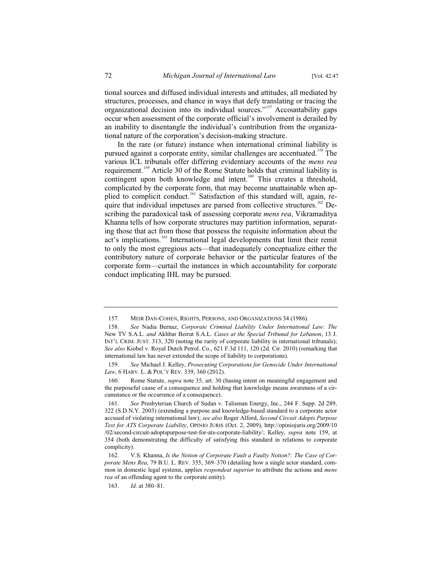tional sources and diffused individual interests and attitudes, all mediated by structures, processes, and chance in ways that defy translating or tracing the organizational decision into its individual sources."<sup>157</sup> Accountability gaps occur when assessment of the corporate official's involvement is derailed by an inability to disentangle the individual's contribution from the organizational nature of the corporation's decision-making structure.

In the rare (or future) instance when international criminal liability is pursued against a corporate entity, similar challenges are accentuated.<sup>158</sup> The various ICL tribunals offer differing evidentiary accounts of the *mens rea* requirement.<sup>159</sup> Article 30 of the Rome Statute holds that criminal liability is contingent upon both knowledge and intent.<sup>160</sup> This creates a threshold, complicated by the corporate form, that may become unattainable when applied to complicit conduct.<sup>161</sup> Satisfaction of this standard will, again, require that individual impetuses are parsed from collective structures.<sup>162</sup> Describing the paradoxical task of assessing corporate *mens rea*, Vikramaditya Khanna tells of how corporate structures may partition information, separating those that act from those that possess the requisite information about the act's implications.<sup>163</sup> International legal developments that limit their remit to only the most egregious acts—that inadequately conceptualize either the contributory nature of corporate behavior or the particular features of the corporate form—curtail the instances in which accountability for corporate conduct implicating IHL may be pursued.

<sup>157.</sup> MEIR DAN-COHEN, RIGHTS, PERSONS, AND ORGANIZATIONS 34 (1986).

<sup>158.</sup> *See* Nadia Bernaz, *Corporate Criminal Liability Under International Law: The*  New TV S.A.L. *and* Akhbar Beirut S.A.L. *Cases at the Special Tribunal for Lebanon*, 13 J. INT'L CRIM. JUST. 313, 320 (noting the rarity of corporate liability in international tribunals); *See also* Kiobel v. Royal Dutch Petrol. Co., 621 F.3d 111, 120 (2d. Cir. 2010) (remarking that international law has never extended the scope of liability to corporations).

<sup>159.</sup> *See* Michael J. Kelley, *Prosecuting Corporations for Genocide Under International Law*, 6 HARV. L. & POL'Y REV. 339, 360 (2012).

<sup>160.</sup> Rome Statute, *supra* note 35, art. 30 (basing intent on meaningful engagement and the purposeful cause of a consequence and holding that knowledge means awareness of a circumstance or the occurrence of a consequence).

<sup>161.</sup> *See* Presbyterian Church of Sudan v. Talisman Energy, Inc., 244 F. Supp. 2d 289, 322 (S.D.N.Y. 2003) (extending a purpose and knowledge-based standard to a corporate actor accused of violating international law); *see also* Roger Alford, *Second Circuit Adopts Purpose Test for ATS Corporate Liability*, OPINIO JURIS (Oct. 2, 2009), http://opiniojuris.org/2009/10 /02/second-circuit-adoptspurpose-test-for-ats-corporate-liability/; Kelley, *supra* note 159, at 354 (both demonstrating the difficulty of satisfying this standard in relations to corporate complicity).

<sup>162.</sup> V.S. Khanna, *Is the Notion of Corporate Fault a Faulty Notion?: The Case of Corporate Mens Rea*, 79 B.U. L. REV. 355, 369–370 (detailing how a single actor standard, common in domestic legal systems, applies *respondeat superior* to attribute the actions and *mens rea* of an offending agent to the corporate entity).

<sup>163.</sup> *Id.* at 380–81.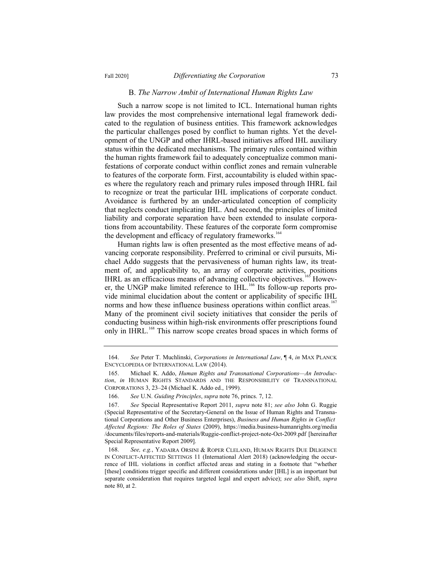#### B. *The Narrow Ambit of International Human Rights Law*

Such a narrow scope is not limited to ICL. International human rights law provides the most comprehensive international legal framework dedicated to the regulation of business entities. This framework acknowledges the particular challenges posed by conflict to human rights. Yet the development of the UNGP and other IHRL-based initiatives afford IHL auxiliary status within the dedicated mechanisms. The primary rules contained within the human rights framework fail to adequately conceptualize common manifestations of corporate conduct within conflict zones and remain vulnerable to features of the corporate form. First, accountability is eluded within spaces where the regulatory reach and primary rules imposed through IHRL fail to recognize or treat the particular IHL implications of corporate conduct. Avoidance is furthered by an under-articulated conception of complicity that neglects conduct implicating IHL. And second, the principles of limited liability and corporate separation have been extended to insulate corporations from accountability. These features of the corporate form compromise the development and efficacy of regulatory frameworks.<sup>16</sup>

Human rights law is often presented as the most effective means of advancing corporate responsibility. Preferred to criminal or civil pursuits, Michael Addo suggests that the pervasiveness of human rights law, its treatment of, and applicability to, an array of corporate activities, positions IHRL as an efficacious means of advancing collective objectives.<sup>165</sup> However, the UNGP make limited reference to IHL.<sup>166</sup> Its follow-up reports provide minimal elucidation about the content or applicability of specific IHL norms and how these influence business operations within conflict areas.<sup>1</sup> Many of the prominent civil society initiatives that consider the perils of conducting business within high-risk environments offer prescriptions found only in IHRL.<sup>168</sup> This narrow scope creates broad spaces in which forms of

<sup>164.</sup> *See* Peter T. Muchlinski, *Corporations in International Law*, ¶ 4, *in* MAX PLANCK ENCYCLOPEDIA OF INTERNATIONAL LAW (2014).

<sup>165.</sup> Michael K. Addo, *Human Rights and Transnational Corporations—An Introduction*, *in* HUMAN RIGHTS STANDARDS AND THE RESPONSIBILITY OF TRANSNATIONAL CORPORATIONS 3, 23–24 (Michael K. Addo ed., 1999).

<sup>166.</sup> *See* U.N. *Guiding Principles*, *supra* note 76, princs. 7, 12.

<sup>167.</sup> *See* Special Representative Report 2011, *supra* note 81; *see also* John G. Ruggie (Special Representative of the Secretary-General on the Issue of Human Rights and Transnational Corporations and Other Business Enterprises), *Business and Human Rights in Conflict Affected Regions: The Roles of States* (2009), https://media.business-humanrights.org/media /documents/files/reports-and-materials/Ruggie-conflict-project-note-Oct-2009.pdf [hereinafter Special Representative Report 2009].

<sup>168.</sup> *See, e.g.*, YADAIRA ORSINI & ROPER CLELAND, HUMAN RIGHTS DUE DILIGENCE IN CONFLICT-AFFECTED SETTINGS 11 (International Alert 2018) (acknowledging the occurrence of IHL violations in conflict affected areas and stating in a footnote that "whether [these] conditions trigger specific and different considerations under [IHL] is an important but separate consideration that requires targeted legal and expert advice); *see also* Shift, *supra* note 80, at 2.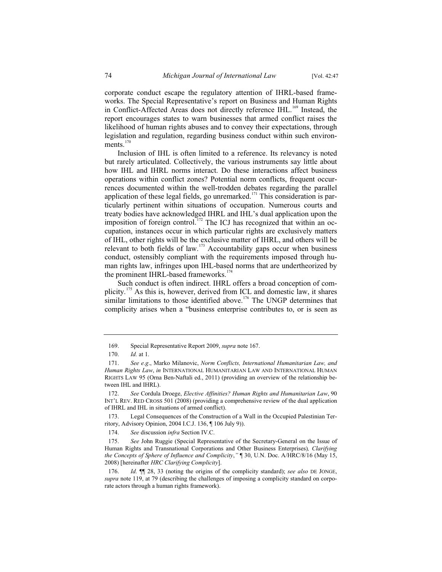corporate conduct escape the regulatory attention of IHRL-based frameworks. The Special Representative's report on Business and Human Rights in Conflict-Affected Areas does not directly reference IHL.<sup>169</sup> Instead, the report encourages states to warn businesses that armed conflict raises the likelihood of human rights abuses and to convey their expectations, through legislation and regulation, regarding business conduct within such environ $ments.<sup>170</sup>$ 

Inclusion of IHL is often limited to a reference. Its relevancy is noted but rarely articulated. Collectively, the various instruments say little about how IHL and IHRL norms interact. Do these interactions affect business operations within conflict zones? Potential norm conflicts, frequent occurrences documented within the well-trodden debates regarding the parallel application of these legal fields, go unremarked.<sup>171</sup> This consideration is particularly pertinent within situations of occupation. Numerous courts and treaty bodies have acknowledged IHRL and IHL's dual application upon the imposition of foreign control.<sup>172</sup> The ICJ has recognized that within an occupation, instances occur in which particular rights are exclusively matters of IHL, other rights will be the exclusive matter of IHRL, and others will be relevant to both fields of law.<sup>173</sup> Accountability gaps occur when business conduct, ostensibly compliant with the requirements imposed through human rights law, infringes upon IHL-based norms that are undertheorized by the prominent IHRL-based frameworks.<sup>174</sup>

Such conduct is often indirect. IHRL offers a broad conception of complicity.<sup>175</sup> As this is, however, derived from ICL and domestic law, it shares similar limitations to those identified above.<sup>176</sup> The UNGP determines that complicity arises when a "business enterprise contributes to, or is seen as

<sup>169.</sup> Special Representative Report 2009, *supra* note 167.

<sup>170.</sup> *Id.* at 1.

<sup>171.</sup> *See e.g*., Marko Milanovic, *Norm Conflicts, International Humanitarian Law, and Human Rights Law*, *in* INTERNATIONAL HUMANITARIAN LAW AND INTERNATIONAL HUMAN RIGHTS LAW 95 (Orna Ben-Naftali ed., 2011) (providing an overview of the relationship between IHL and IHRL).

<sup>172.</sup> *See* Cordula Droege, *Elective Affinities? Human Rights and Humanitarian Law*, 90 INT'L REV. RED CROSS 501 (2008) (providing a comprehensive review of the dual application of IHRL and IHL in situations of armed conflict).

<sup>173.</sup> Legal Consequences of the Construction of a Wall in the Occupied Palestinian Territory, Advisory Opinion, 2004 I.C.J. 136, ¶ 106 July 9)).

<sup>174.</sup> *See* discussion *infra* Section IV.C.

<sup>175.</sup> *See* John Ruggie (Special Representative of the Secretary-General on the Issue of Human Rights and Transnational Corporations and Other Business Enterprises)*, Clarifying the Concepts of Sphere of Influence and Complicity*,*"* ¶ 30, U.N. Doc. A/HRC/8/16 (May 15, 2008) [hereinafter *HRC Clarifying Complicity*].

<sup>176.</sup> *Id.* ¶¶ 28, 33 (noting the origins of the complicity standard); *see also* DE JONGE, *supra* note 119, at 79 (describing the challenges of imposing a complicity standard on corporate actors through a human rights framework).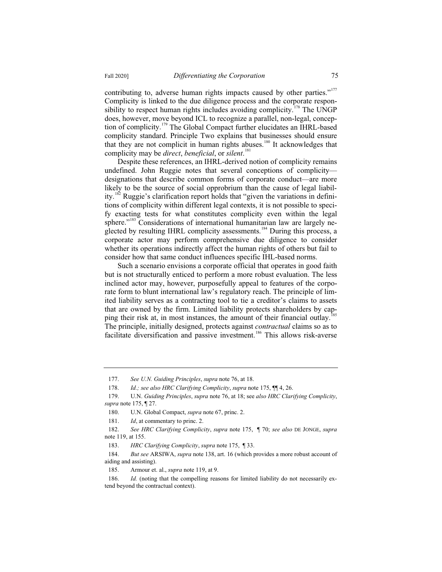contributing to, adverse human rights impacts caused by other parties."<sup>177</sup> Complicity is linked to the due diligence process and the corporate responsibility to respect human rights includes avoiding complicity.<sup>178</sup> The UNGP does, however, move beyond ICL to recognize a parallel, non-legal, conception of complicity.<sup>179</sup> The Global Compact further elucidates an IHRL-based complicity standard. Principle Two explains that businesses should ensure that they are not complicit in human rights abuses.<sup>180</sup> It acknowledges that complicity may be *direct*, *beneficial*, or *silent*. 181

Despite these references, an IHRL-derived notion of complicity remains undefined. John Ruggie notes that several conceptions of complicity designations that describe common forms of corporate conduct—are more likely to be the source of social opprobrium than the cause of legal liability.<sup>182</sup> Ruggie's clarification report holds that "given the variations in definitions of complicity within different legal contexts, it is not possible to specify exacting tests for what constitutes complicity even within the legal sphere."<sup>183</sup> Considerations of international humanitarian law are largely neglected by resulting IHRL complicity assessments.<sup>184</sup> During this process, a corporate actor may perform comprehensive due diligence to consider whether its operations indirectly affect the human rights of others but fail to consider how that same conduct influences specific IHL-based norms.

Such a scenario envisions a corporate official that operates in good faith but is not structurally enticed to perform a more robust evaluation. The less inclined actor may, however, purposefully appeal to features of the corporate form to blunt international law's regulatory reach. The principle of limited liability serves as a contracting tool to tie a creditor's claims to assets that are owned by the firm. Limited liability protects shareholders by capping their risk at, in most instances, the amount of their financial outlay.<sup>1</sup> The principle, initially designed, protects against *contractual* claims so as to facilitate diversification and passive investment.<sup>186</sup> This allows risk-averse

<sup>177.</sup> *See U.N. Guiding Principles*, *supra* note 76, at 18.

<sup>178.</sup> *Id.; see also HRC Clarifying Complicity*, *supra* note 175, ¶¶ 4, 26.

<sup>179.</sup> U.N. *Guiding Principles*, *supra* note 76, at 18; see *also HRC Clarifying Complicity*, *supra* note 175, ¶ 27.

<sup>180.</sup> U.N. Global Compact, *supra* note 67, princ. 2.

<sup>181.</sup> *Id*, at commentary to princ. 2.

<sup>182.</sup> *See HRC Clarifying Complicity*, *supra* note 175, ¶ 70; *see also* DE JONGE, *supra* note 119, at 155.

<sup>183.</sup> *HRC Clarifying Complicity*, *supra* note 175, ¶ 33.

<sup>184.</sup> *But see* ARSIWA, *supra* note 138, art. 16 (which provides a more robust account of aiding and assisting).

<sup>185.</sup> Armour et. al., *supra* note 119, at 9.

<sup>186.</sup> *Id.* (noting that the compelling reasons for limited liability do not necessarily extend beyond the contractual context).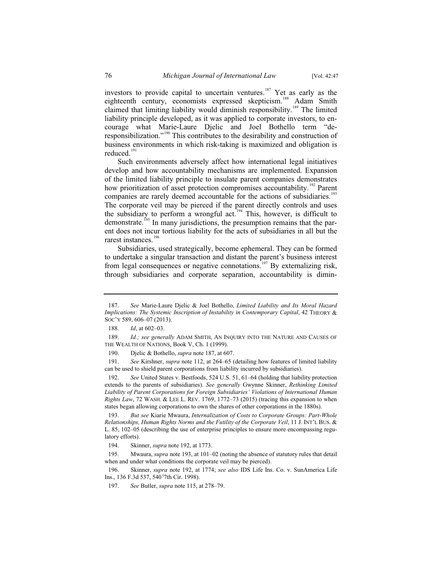investors to provide capital to uncertain ventures.<sup>187</sup> Yet as early as the eighteenth century, economists expressed skepticism.<sup>188</sup> Adam Smith claimed that limiting liability would diminish responsibility.<sup>189</sup> The limited liability principle developed, as it was applied to corporate investors, to encourage what Marie-Laure Djelic and Joel Bothello term "deresponsibilization."<sup>190</sup> This contributes to the desirability and construction of business environments in which risk-taking is maximized and obligation is reduced.<sup>191</sup>

Such environments adversely affect how international legal initiatives develop and how accountability mechanisms are implemented. Expansion of the limited liability principle to insulate parent companies demonstrates how prioritization of asset protection compromises accountability.<sup>192</sup> Parent companies are rarely deemed accountable for the actions of subsidiaries.<sup>193</sup> The corporate veil may be pierced if the parent directly controls and uses the subsidiary to perform a wrongful act.<sup>194</sup> This, however, is difficult to demonstrate.<sup>195</sup> In many jurisdictions, the presumption remains that the parent does not incur tortious liability for the acts of subsidiaries in all but the rarest instances.<sup>196</sup>

Subsidiaries, used strategically, become ephemeral. They can be formed to undertake a singular transaction and distant the parent's business interest from legal consequences or negative connotations.<sup>197</sup> By externalizing risk, through subsidiaries and corporate separation, accountability is dimin-

<sup>187.</sup> *See* Marie-Laure Djelic & Joel Bothello, *Limited Liability and Its Moral Hazard Implications: The Systemic Inscription of Instability in Contemporary Capital*, 42 THEORY & SOC'Y 589, 606–07 (2013).

<sup>188.</sup> *Id*, at 602–03.

<sup>189.</sup> *Id.; see generally* ADAM SMITH, AN INQUIRY INTO THE NATURE AND CAUSES OF THE WEALTH OF NATIONS, Book V, Ch. 1 (1999).

<sup>190.</sup> Djelic & Bothello, *supra* note 187, at 607.

<sup>191.</sup> *See* Kirshner, *supra* note 112, at 264–65 (detailing how features of limited liability can be used to shield parent corporations from liability incurred by subsidiaries).

<sup>192.</sup> *See* United States v. Bestfoods, 524 U.S. 51, 61–64 (holding that liability protection extends to the parents of subsidiaries). *See generally* Gwynne Skinner, *Rethinking Limited Liability of Parent Corporations for Foreign Subsidiaries' Violations of International Human Rights Law*, 72 WASH.&LEE L. REV. 1769, 1772–73 (2015) (tracing this expansion to when states began allowing corporations to own the shares of other corporations in the 1880s).

<sup>193.</sup> *But see* Kiarie Mwaura, *Internalization of Costs to Corporate Groups: Part-Whole Relationships, Human Rights Norms and the Futility of the Corporate Veil*, 11 J. INT'L BUS. & L. 85, 102–05 (describing the use of enterprise principles to ensure more encompassing regulatory efforts).

<sup>194.</sup> Skinner, *supra* note 192, at 1773.

<sup>195.</sup> Mwaura, *supra* note 193, at 101–02 (noting the absence of statutory rules that detail when and under what conditions the corporate veil may be pierced).

<sup>196.</sup> Skinner, *supra* note 192, at 1774; *see also* IDS Life Ins. Co. v. SunAmerica Life Ins., 136 F.3d 537, 540 ( 7th Cir. 1998).

<sup>197.</sup> *See* Butler, *supra* note 115, at 278–79.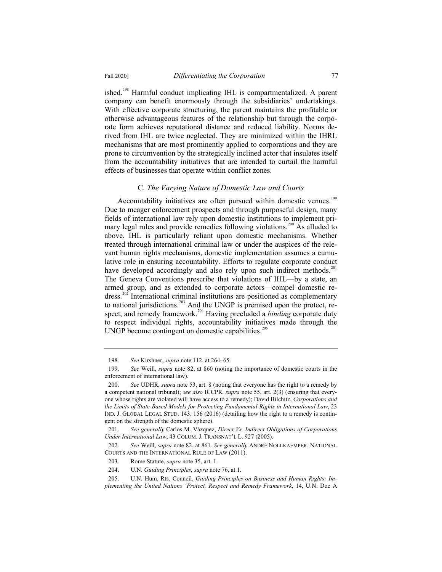ished.<sup>198</sup> Harmful conduct implicating IHL is compartmentalized. A parent company can benefit enormously through the subsidiaries' undertakings. With effective corporate structuring, the parent maintains the profitable or otherwise advantageous features of the relationship but through the corporate form achieves reputational distance and reduced liability. Norms derived from IHL are twice neglected. They are minimized within the IHRL mechanisms that are most prominently applied to corporations and they are prone to circumvention by the strategically inclined actor that insulates itself from the accountability initiatives that are intended to curtail the harmful effects of businesses that operate within conflict zones.

#### C*. The Varying Nature of Domestic Law and Courts*

Accountability initiatives are often pursued within domestic venues.<sup>199</sup> Due to meager enforcement prospects and through purposeful design, many fields of international law rely upon domestic institutions to implement primary legal rules and provide remedies following violations.<sup>200</sup> As alluded to above, IHL is particularly reliant upon domestic mechanisms. Whether treated through international criminal law or under the auspices of the relevant human rights mechanisms, domestic implementation assumes a cumulative role in ensuring accountability. Efforts to regulate corporate conduct have developed accordingly and also rely upon such indirect methods.<sup>201</sup> The Geneva Conventions prescribe that violations of IHL—by a state, an armed group, and as extended to corporate actors—compel domestic redress.<sup>202</sup> International criminal institutions are positioned as complementary to national jurisdictions.<sup>203</sup> And the UNGP is premised upon the protect, respect, and remedy framework.<sup>204</sup> Having precluded a *binding* corporate duty to respect individual rights, accountability initiatives made through the UNGP become contingent on domestic capabilities.

<sup>198.</sup> *See* Kirshner, *supra* note 112, at 264–65.

<sup>199.</sup> *See* Weill, *supra* note 82, at 860 (noting the importance of domestic courts in the enforcement of international law).

<sup>200.</sup> *See* UDHR, *supra* note 53, art. 8 (noting that everyone has the right to a remedy by a competent national tribunal); *see also* ICCPR, *supra* note 55, art. 2(3) (ensuring that everyone whose rights are violated will have access to a remedy); David Bilchitz, *Corporations and the Limits of State-Based Models for Protecting Fundamental Rights in International Law*, 23 IND. J. GLOBAL LEGAL STUD. 143, 156 (2016) (detailing how the right to a remedy is contingent on the strength of the domestic sphere).

<sup>201.</sup> *See generally* Carlos M. Vázquez, *Direct Vs. Indirect Obligations of Corporations Under International Law*, 43 COLUM. J. TRANSNAT'L L. 927 (2005).

<sup>202.</sup> *See* Weill, *supra* note 82, at 861. *See generally* ANDRÉ NOLLKAEMPER, NATIONAL COURTS AND THE INTERNATIONAL RULE OF LAW (2011).

<sup>203.</sup> Rome Statute, *supra* note 35, art. 1.

<sup>204.</sup> U.N. *Guiding Principles*, *supra* note 76, at 1.

<sup>205.</sup> U.N. Hum. Rts. Council, *Guiding Principles on Business and Human Rights: Implementing the United Nations 'Protect, Respect and Remedy Framework*, 14, U.N. Doc A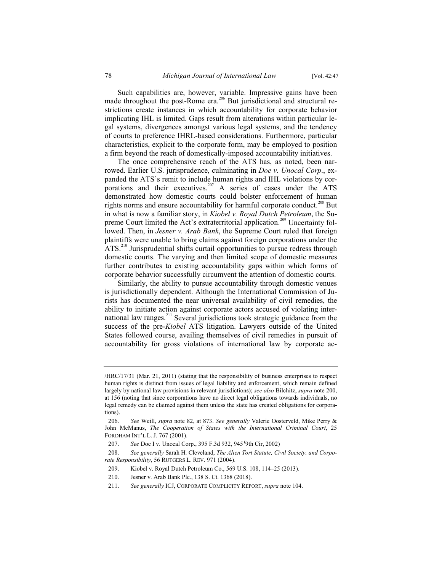Such capabilities are, however, variable. Impressive gains have been made throughout the post-Rome era.<sup>206</sup> But jurisdictional and structural restrictions create instances in which accountability for corporate behavior implicating IHL is limited. Gaps result from alterations within particular legal systems, divergences amongst various legal systems, and the tendency of courts to preference IHRL-based considerations. Furthermore, particular characteristics, explicit to the corporate form, may be employed to position a firm beyond the reach of domestically-imposed accountability initiatives.

The once comprehensive reach of the ATS has, as noted, been narrowed. Earlier U.S. jurisprudence, culminating in *Doe v. Unocal Corp*., expanded the ATS's remit to include human rights and IHL violations by corporations and their executives.<sup>207</sup> A series of cases under the ATS demonstrated how domestic courts could bolster enforcement of human rights norms and ensure accountability for harmful corporate conduct.<sup>208</sup> But in what is now a familiar story, in *Kiobel v. Royal Dutch Petroleum*, the Supreme Court limited the Act's extraterritorial application.<sup>209</sup> Uncertainty followed. Then, in *Jesner v. Arab Bank*, the Supreme Court ruled that foreign plaintiffs were unable to bring claims against foreign corporations under the ATS.<sup>210</sup> Jurisprudential shifts curtail opportunities to pursue redress through domestic courts. The varying and then limited scope of domestic measures further contributes to existing accountability gaps within which forms of corporate behavior successfully circumvent the attention of domestic courts.

Similarly, the ability to pursue accountability through domestic venues is jurisdictionally dependent. Although the International Commission of Jurists has documented the near universal availability of civil remedies, the ability to initiate action against corporate actors accused of violating international law ranges.<sup>211</sup> Several jurisdictions took strategic guidance from the success of the pre-*Kiobel* ATS litigation. Lawyers outside of the United States followed course, availing themselves of civil remedies in pursuit of accountability for gross violations of international law by corporate ac-

<sup>/</sup>HRC/17/31 (Mar. 21, 2011) (stating that the responsibility of business enterprises to respect human rights is distinct from issues of legal liability and enforcement, which remain defined largely by national law provisions in relevant jurisdictions); *see also* Bilchitz, *supra* note 200, at 156 (noting that since corporations have no direct legal obligations towards individuals, no legal remedy can be claimed against them unless the state has created obligations for corporations).

<sup>206.</sup> *See* Weill, *supra* note 82, at 873. *See generally* Valerie Oosterveld, Mike Perry & John McManus, *The Cooperation of States with the International Criminal Court*, 25 FORDHAM INT'L L. J. 767 (2001).

<sup>207.</sup> *See* Doe I v. Unocal Corp., 395 F.3d 932, 945 ( 9th Cir, 2002)

<sup>208.</sup> *See generally* Sarah H. Cleveland, *The Alien Tort Statute, Civil Society, and Corporate Responsibility*, 56 RUTGERS L. REV. 971 (2004).

<sup>209.</sup> Kiobel v. Royal Dutch Petroleum Co., 569 U.S. 108, 114–25 (2013).

<sup>210.</sup> Jesner v. Arab Bank Plc., 138 S. Ct. 1368 (2018).

<sup>211.</sup> *See generally* ICJ, CORPORATE COMPLICITY REPORT, *supra* note 104.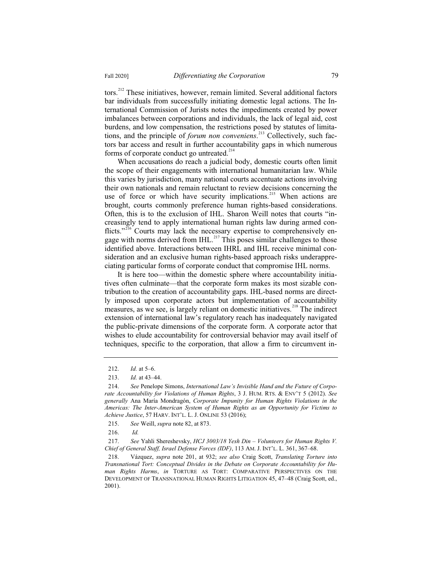tors.<sup>212</sup> These initiatives, however, remain limited. Several additional factors bar individuals from successfully initiating domestic legal actions. The International Commission of Jurists notes the impediments created by power imbalances between corporations and individuals, the lack of legal aid, cost burdens, and low compensation, the restrictions posed by statutes of limitations, and the principle of *forum non conveniens*. <sup>213</sup> Collectively, such factors bar access and result in further accountability gaps in which numerous forms of corporate conduct go untreated.<sup>214</sup>

When accusations do reach a judicial body, domestic courts often limit the scope of their engagements with international humanitarian law. While this varies by jurisdiction, many national courts accentuate actions involving their own nationals and remain reluctant to review decisions concerning the use of force or which have security implications.<sup>215</sup> When actions are brought, courts commonly preference human rights-based considerations. Often, this is to the exclusion of IHL. Sharon Weill notes that courts "increasingly tend to apply international human rights law during armed conflicts."<sup>216</sup> Courts may lack the necessary expertise to comprehensively engage with norms derived from IHL.<sup>217</sup> This poses similar challenges to those identified above. Interactions between IHRL and IHL receive minimal consideration and an exclusive human rights-based approach risks underappreciating particular forms of corporate conduct that compromise IHL norms.

It is here too—within the domestic sphere where accountability initiatives often culminate—that the corporate form makes its most sizable contribution to the creation of accountability gaps. IHL-based norms are directly imposed upon corporate actors but implementation of accountability measures, as we see, is largely reliant on domestic initiatives.<sup>218</sup> The indirect extension of international law's regulatory reach has inadequately navigated the public-private dimensions of the corporate form. A corporate actor that wishes to elude accountability for controversial behavior may avail itself of techniques, specific to the corporation, that allow a firm to circumvent in-

<sup>212.</sup> *Id.* at 5–6.

<sup>213.</sup> *Id.* at 43–44.

<sup>214.</sup> *See* Penelope Simons, *International Law's Invisible Hand and the Future of Corporate Accountability for Violations of Human Rights*, 3 J. HUM. RTS.&ENV'T 5 (2012). *See generally* Ana María Mondragón, *Corporate Impunity for Human Rights Violations in the Americas: The Inter-American System of Human Rights as an Opportunity for Victims to Achieve Justice*, 57 HARV. INT'L. L. J. ONLINE 53 (2016);

<sup>215.</sup> *See* Weill, *supra* note 82, at 873.

<sup>216.</sup> *Id.*

<sup>217.</sup> *See* Yahli Shereshevsky, *HCJ 3003/18 Yesh Din – Volunteers for Human Rights V. Chief of General Staff, Israel Defense Forces (IDF)*, 113 AM. J. INT'L. L. 361, 367–68.

<sup>218.</sup> Vázquez, *supra* note 201, at 932; *see also* Craig Scott, *Translating Torture into Transnational Tort: Conceptual Divides in the Debate on Corporate Accountability for Human Rights Harms*, *in* TORTURE AS TORT: COMPARATIVE PERSPECTIVES ON THE DEVELOPMENT OF TRANSNATIONAL HUMAN RIGHTS LITIGATION 45, 47–48 (Craig Scott, ed., 2001).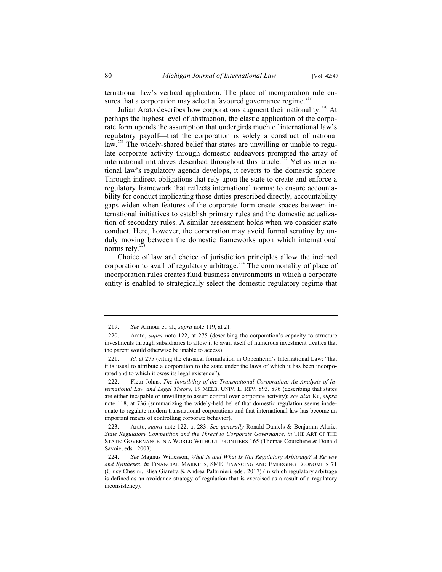ternational law's vertical application. The place of incorporation rule ensures that a corporation may select a favoured governance regime.<sup>219</sup>

Julian Arato describes how corporations augment their nationality.<sup>220</sup> At perhaps the highest level of abstraction, the elastic application of the corporate form upends the assumption that undergirds much of international law's regulatory payoff—that the corporation is solely a construct of national law.<sup>221</sup> The widely-shared belief that states are unwilling or unable to regulate corporate activity through domestic endeavors prompted the array of international initiatives described throughout this article.<sup>222</sup> Yet as international law's regulatory agenda develops, it reverts to the domestic sphere. Through indirect obligations that rely upon the state to create and enforce a regulatory framework that reflects international norms; to ensure accountability for conduct implicating those duties prescribed directly, accountability gaps widen when features of the corporate form create spaces between international initiatives to establish primary rules and the domestic actualization of secondary rules. A similar assessment holds when we consider state conduct. Here, however, the corporation may avoid formal scrutiny by unduly moving between the domestic frameworks upon which international norms rely. $^{2}$ 

Choice of law and choice of jurisdiction principles allow the inclined corporation to avail of regulatory arbitrage.<sup>224</sup> The commonality of place of incorporation rules creates fluid business environments in which a corporate entity is enabled to strategically select the domestic regulatory regime that

<sup>219.</sup> *See* Armour et. al., *supra* note 119, at 21.

<sup>220.</sup> Arato, *supra* note 122, at 275 (describing the corporation's capacity to structure investments through subsidiaries to allow it to avail itself of numerous investment treaties that the parent would otherwise be unable to access).

<sup>221.</sup> *Id,* at 275 (citing the classical formulation in Oppenheim's International Law: "that it is usual to attribute a corporation to the state under the laws of which it has been incorporated and to which it owes its legal existence").

<sup>222.</sup> Fleur Johns, *The Invisibility of the Transnational Corporation: An Analysis of International Law and Legal Theory*, 19 MELB. UNIV. L. REV. 893, 896 (describing that states are either incapable or unwilling to assert control over corporate activity); *see also* Ku, *supra*  note 118, at 736 (summarizing the widely-held belief that domestic regulation seems inadequate to regulate modern transnational corporations and that international law has become an important means of controlling corporate behavior).

<sup>223.</sup> Arato, *supra* note 122, at 283. *See generally* Ronald Daniels & Benjamin Alarie, *State Regulatory Competition and the Threat to Corporate Governance*, *in* THE ART OF THE STATE: GOVERNANCE IN A WORLD WITHOUT FRONTIERS 165 (Thomas Courchene & Donald Savoie, eds., 2003).

<sup>224.</sup> *See* Magnus Willesson, *What Is and What Is Not Regulatory Arbitrage? A Review and Syntheses*, *in* FINANCIAL MARKETS, SME FINANCING AND EMERGING ECONOMIES 71 (Giusy Chesini, Elisa Giaretta & Andrea Paltrinieri, eds., 2017) (in which regulatory arbitrage is defined as an avoidance strategy of regulation that is exercised as a result of a regulatory inconsistency).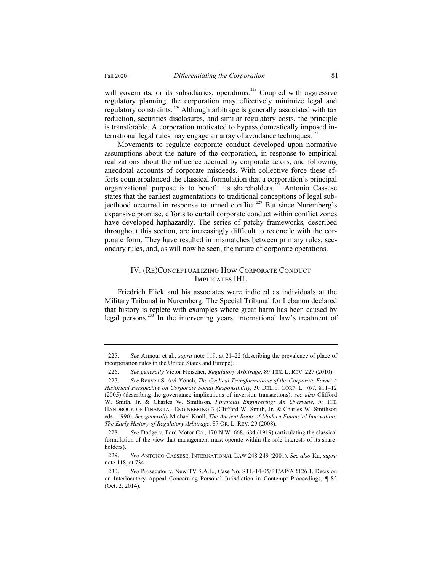will govern its, or its subsidiaries, operations.<sup>225</sup> Coupled with aggressive regulatory planning, the corporation may effectively minimize legal and regulatory constraints.<sup>226</sup> Although arbitrage is generally associated with tax reduction, securities disclosures, and similar regulatory costs, the principle is transferable. A corporation motivated to bypass domestically imposed international legal rules may engage an array of avoidance techniques.<sup>227</sup>

Movements to regulate corporate conduct developed upon normative assumptions about the nature of the corporation, in response to empirical realizations about the influence accrued by corporate actors, and following anecdotal accounts of corporate misdeeds. With collective force these efforts counterbalanced the classical formulation that a corporation's principal organizational purpose is to benefit its shareholders.<sup>228</sup> Antonio Cassese states that the earliest augmentations to traditional conceptions of legal subjecthood occurred in response to armed conflict.<sup>229</sup> But since Nuremberg's expansive promise, efforts to curtail corporate conduct within conflict zones have developed haphazardly. The series of patchy frameworks, described throughout this section, are increasingly difficult to reconcile with the corporate form. They have resulted in mismatches between primary rules, secondary rules, and, as will now be seen, the nature of corporate operations.

## IV. (Re)Conceptualizing How Corporate Conduct Implicates IHL

Friedrich Flick and his associates were indicted as individuals at the Military Tribunal in Nuremberg. The Special Tribunal for Lebanon declared that history is replete with examples where great harm has been caused by legal persons.<sup>230</sup> In the intervening years, international law's treatment of

<sup>225.</sup> *See* Armour et al., *supra* note 119, at 21–22 (describing the prevalence of place of incorporation rules in the United States and Europe).

<sup>226.</sup> *See generally* Victor Fleischer, *Regulatory Arbitrage*, 89 TEX. L. REV. 227 (2010).

<sup>227.</sup> *See* Reuven S. Avi-Yonah, *The Cyclical Transformations of the Corporate Form: A Historical Perspective on Corporate Social Responsibility*, 30 DEL. J. CORP. L. 767, 811–12 (2005) (describing the governance implications of inversion transactions); *see also* Clifford W. Smith, Jr. & Charles W. Smithson, *Financial Engineering: An Overview*, *in* THE HANDBOOK OF FINANCIAL ENGINEERING 3 (Clifford W. Smith, Jr. & Charles W. Smithson eds., 1990). *See generally* Michael Knoll, *The Ancient Roots of Modern Financial Innovation: The Early History of Regulatory Arbitrage*, 87 OR. L. REV. 29 (2008).

<sup>228.</sup> *See* Dodge v. Ford Motor Co., 170 N.W. 668, 684 (1919) (articulating the classical formulation of the view that management must operate within the sole interests of its shareholders).

<sup>229.</sup> *See* ANTONIO CASSESE, INTERNATIONAL LAW 248-249 (2001). *See also* Ku, *supra* note 118, at 734.

<sup>230.</sup> *See* Prosecutor v. New TV S.A.L., Case No. STL-14-05/PT/AP/AR126.1, Decision on Interlocutory Appeal Concerning Personal Jurisdiction in Contempt Proceedings, ¶ 82 (Oct. 2, 2014).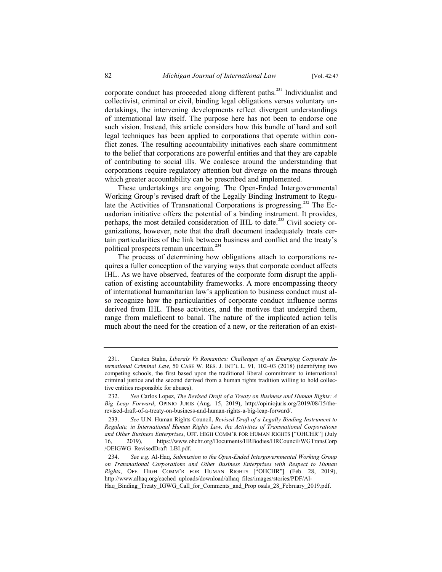corporate conduct has proceeded along different paths.<sup>231</sup> Individualist and collectivist, criminal or civil, binding legal obligations versus voluntary undertakings, the intervening developments reflect divergent understandings of international law itself. The purpose here has not been to endorse one such vision. Instead, this article considers how this bundle of hard and soft legal techniques has been applied to corporations that operate within conflict zones. The resulting accountability initiatives each share commitment to the belief that corporations are powerful entities and that they are capable of contributing to social ills. We coalesce around the understanding that corporations require regulatory attention but diverge on the means through which greater accountability can be prescribed and implemented.

These undertakings are ongoing. The Open-Ended Intergovernmental Working Group's revised draft of the Legally Binding Instrument to Regulate the Activities of Transnational Corporations is progressing.<sup>232</sup> The Ecuadorian initiative offers the potential of a binding instrument. It provides, perhaps, the most detailed consideration of IHL to date.<sup>233</sup> Civil society organizations, however, note that the draft document inadequately treats certain particularities of the link between business and conflict and the treaty's political prospects remain uncertain.<sup>234</sup>

The process of determining how obligations attach to corporations requires a fuller conception of the varying ways that corporate conduct affects IHL. As we have observed, features of the corporate form disrupt the application of existing accountability frameworks. A more encompassing theory of international humanitarian law's application to business conduct must also recognize how the particularities of corporate conduct influence norms derived from IHL. These activities, and the motives that undergird them, range from maleficent to banal. The nature of the implicated action tells much about the need for the creation of a new, or the reiteration of an exist-

<sup>231.</sup> Carsten Stahn, *Liberals Vs Romantics: Challenges of an Emerging Corporate International Criminal Law*, 50 CASE W. RES. J. INT'L L. 91, 102–03 (2018) (identifying two competing schools, the first based upon the traditional liberal commitment to international criminal justice and the second derived from a human rights tradition willing to hold collective entities responsible for abuses).

<sup>232.</sup> *See* Carlos Lopez, *The Revised Draft of a Treaty on Business and Human Rights: A Big Leap Forward*, OPINIO JURIS (Aug. 15, 2019), http://opiniojuris.org/2019/08/15/therevised-draft-of-a-treaty-on-business-and-human-rights-a-big-leap-forward/.

<sup>233.</sup> *See* U.N. Human Rights Council, *Revised Draft of a Legally Binding Instrument to Regulate, in International Human Rights Law, the Activities of Transnational Corporations and Other Business Enterprises*, OFF. HIGH COMM'R FOR HUMAN RIGHTS ["OHCHR"] (July 16, 2019), https://www.ohchr.org/Documents/HRBodies/HRCouncil/WGTransCorp /OEIGWG\_RevisedDraft\_LBI.pdf.

<sup>234.</sup> *See e.g.* Al-Haq, *Submission to the Open-Ended Intergovernmental Working Group on Transnational Corporations and Other Business Enterprises with Respect to Human Rights*, OFF. HIGH COMM'R FOR HUMAN RIGHTS ["OHCHR"] (Feb. 28, 2019), http://www.alhaq.org/cached\_uploads/download/alhaq\_files/images/stories/PDF/Al-Haq\_Binding\_Treaty\_IGWG\_Call\_for\_Comments\_and\_Prop osals\_28\_February\_2019.pdf.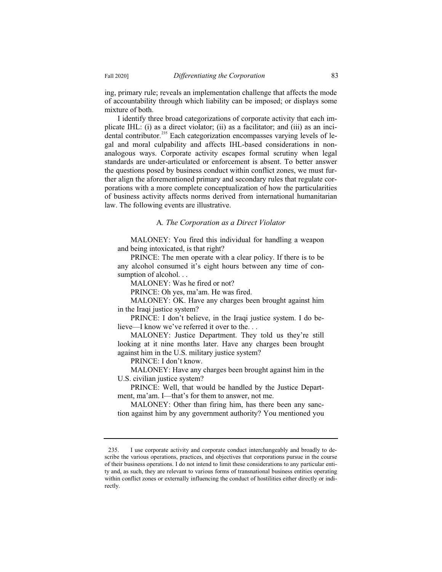ing, primary rule; reveals an implementation challenge that affects the mode of accountability through which liability can be imposed; or displays some mixture of both.

I identify three broad categorizations of corporate activity that each implicate IHL: (i) as a direct violator; (ii) as a facilitator; and (iii) as an incidental contributor.<sup>235</sup> Each categorization encompasses varying levels of legal and moral culpability and affects IHL-based considerations in nonanalogous ways. Corporate activity escapes formal scrutiny when legal standards are under-articulated or enforcement is absent. To better answer the questions posed by business conduct within conflict zones, we must further align the aforementioned primary and secondary rules that regulate corporations with a more complete conceptualization of how the particularities of business activity affects norms derived from international humanitarian law. The following events are illustrative.

# A*. The Corporation as a Direct Violator*

MALONEY: You fired this individual for handling a weapon and being intoxicated, is that right?

PRINCE: The men operate with a clear policy. If there is to be any alcohol consumed it's eight hours between any time of consumption of alcohol...

MALONEY: Was he fired or not?

PRINCE: Oh yes, ma'am. He was fired.

MALONEY: OK. Have any charges been brought against him in the Iraqi justice system?

PRINCE: I don't believe, in the Iraqi justice system. I do believe—I know we've referred it over to the. . .

MALONEY: Justice Department. They told us they're still looking at it nine months later. Have any charges been brought against him in the U.S. military justice system?

PRINCE: I don't know.

MALONEY: Have any charges been brought against him in the U.S. civilian justice system?

PRINCE: Well, that would be handled by the Justice Department, ma'am. I—that's for them to answer, not me.

MALONEY: Other than firing him, has there been any sanction against him by any government authority? You mentioned you

<sup>235.</sup> I use corporate activity and corporate conduct interchangeably and broadly to describe the various operations, practices, and objectives that corporations pursue in the course of their business operations. I do not intend to limit these considerations to any particular entity and, as such, they are relevant to various forms of transnational business entities operating within conflict zones or externally influencing the conduct of hostilities either directly or indirectly.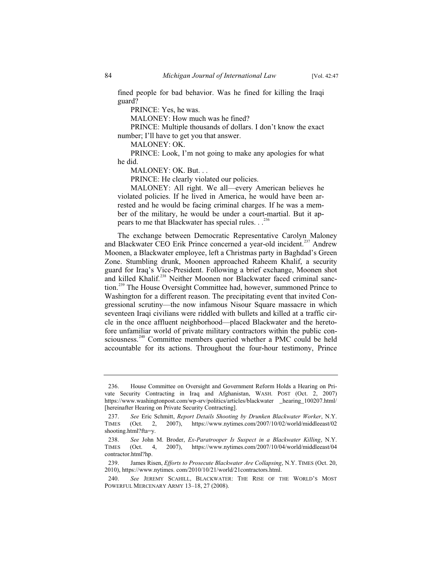fined people for bad behavior. Was he fined for killing the Iraqi guard?

PRINCE: Yes, he was.

MALONEY: How much was he fined?

PRINCE: Multiple thousands of dollars. I don't know the exact number; I'll have to get you that answer.

MALONEY: OK.

PRINCE: Look, I'm not going to make any apologies for what he did.

MALONEY: OK. But. . .

PRINCE: He clearly violated our policies.

MALONEY: All right. We all—every American believes he violated policies. If he lived in America, he would have been arrested and he would be facing criminal charges. If he was a member of the military, he would be under a court-martial. But it appears to me that Blackwater has special rules.  $.$ <sup>236</sup>

The exchange between Democratic Representative Carolyn Maloney and Blackwater CEO Erik Prince concerned a year-old incident.<sup>237</sup> Andrew Moonen, a Blackwater employee, left a Christmas party in Baghdad's Green Zone. Stumbling drunk, Moonen approached Raheem Khalif, a security guard for Iraq's Vice-President. Following a brief exchange, Moonen shot and killed Khalif.<sup>238</sup> Neither Moonen nor Blackwater faced criminal sanction.<sup>239</sup> The House Oversight Committee had, however, summoned Prince to Washington for a different reason. The precipitating event that invited Congressional scrutiny—the now infamous Nisour Square massacre in which seventeen Iraqi civilians were riddled with bullets and killed at a traffic circle in the once affluent neighborhood—placed Blackwater and the heretofore unfamiliar world of private military contractors within the public consciousness.<sup>240</sup> Committee members queried whether a PMC could be held accountable for its actions. Throughout the four-hour testimony, Prince

<sup>236.</sup> House Committee on Oversight and Government Reform Holds a Hearing on Private Security Contracting in Iraq and Afghanistan, WASH. POST (Oct. 2, 2007) https://www.washingtonpost.com/wp-srv/politics/articles/blackwater \_hearing\_100207.html/ [hereinafter Hearing on Private Security Contracting].

<sup>237.</sup> *See* Eric Schmitt, *Report Details Shooting by Drunken Blackwater Worker*, N.Y. TIMES (Oct. 2, 2007), https://www.nytimes.com/2007/10/02/world/middleeast/02 shooting.html?fta=y.

<sup>238.</sup> *See* John M. Broder, *Ex-Paratrooper Is Suspect in a Blackwater Killing*, N.Y. TIMES (Oct. 4, 2007), https://www.nytimes.com/2007/10/04/world/middleeast/04 contractor.html?hp.

<sup>239.</sup> James Risen, *Efforts to Prosecute Blackwater Are Collapsing*, N.Y. TIMES (Oct. 20, 2010), https://www.nytimes. com/2010/10/21/world/21contractors.html.

<sup>240.</sup> *See* JEREMY SCAHILL, BLACKWATER: THE RISE OF THE WORLD'S MOST POWERFUL MERCENARY ARMY 13–18, 27 (2008).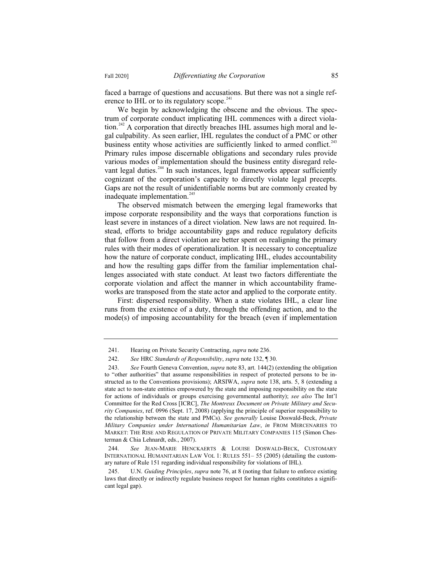faced a barrage of questions and accusations. But there was not a single reference to IHL or to its regulatory scope.<sup>241</sup>

We begin by acknowledging the obscene and the obvious. The spectrum of corporate conduct implicating IHL commences with a direct violation.<sup>242</sup> A corporation that directly breaches IHL assumes high moral and legal culpability. As seen earlier, IHL regulates the conduct of a PMC or other business entity whose activities are sufficiently linked to armed conflict.<sup>243</sup> Primary rules impose discernable obligations and secondary rules provide various modes of implementation should the business entity disregard relevant legal duties. $^{244}$  In such instances, legal frameworks appear sufficiently cognizant of the corporation's capacity to directly violate legal precepts. Gaps are not the result of unidentifiable norms but are commonly created by inadequate implementation.<sup>245</sup>

The observed mismatch between the emerging legal frameworks that impose corporate responsibility and the ways that corporations function is least severe in instances of a direct violation. New laws are not required. Instead, efforts to bridge accountability gaps and reduce regulatory deficits that follow from a direct violation are better spent on realigning the primary rules with their modes of operationalization. It is necessary to conceptualize how the nature of corporate conduct, implicating IHL, eludes accountability and how the resulting gaps differ from the familiar implementation challenges associated with state conduct. At least two factors differentiate the corporate violation and affect the manner in which accountability frameworks are transposed from the state actor and applied to the corporate entity.

First: dispersed responsibility. When a state violates IHL, a clear line runs from the existence of a duty, through the offending action, and to the mode(s) of imposing accountability for the breach (even if implementation

<sup>241.</sup> Hearing on Private Security Contracting, *supra* note 236.

<sup>242.</sup> *See* HRC *Standards of Responsibility*, *supra* note 132, ¶ 30.

<sup>243.</sup> *See* Fourth Geneva Convention, *supra* note 83, art. 144(2) (extending the obligation to "other authorities" that assume responsibilities in respect of protected persons to be instructed as to the Conventions provisions); ARSIWA, *supra* note 138, arts. 5, 8 (extending a state act to non-state entities empowered by the state and imposing responsibility on the state for actions of individuals or groups exercising governmental authority); *see also* The Int'l Committee for the Red Cross [ICRC], *The Montreux Document on Private Military and Security Companies*, ref. 0996 (Sept. 17, 2008) (applying the principle of superior responsibility to the relationship between the state and PMCs). *See generally* Louise Doswald-Beck, *Private Military Companies under International Humanitarian Law*, *in* FROM MERCENARIES TO MARKET: THE RISE AND REGULATION OF PRIVATE MILITARY COMPANIES 115 (Simon Chesterman & Chia Lehnardt, eds., 2007).

<sup>244.</sup> *See* JEAN-MARIE HENCKAERTS & LOUISE DOSWALD-BECK, CUSTOMARY INTERNATIONAL HUMANITARIAN LAW VOL 1: RULES 551– 55 (2005) (detailing the customary nature of Rule 151 regarding individual responsibility for violations of IHL).

<sup>245.</sup> U.N. *Guiding Principles*, *supra* note 76, at 8 (noting that failure to enforce existing laws that directly or indirectly regulate business respect for human rights constitutes a significant legal gap).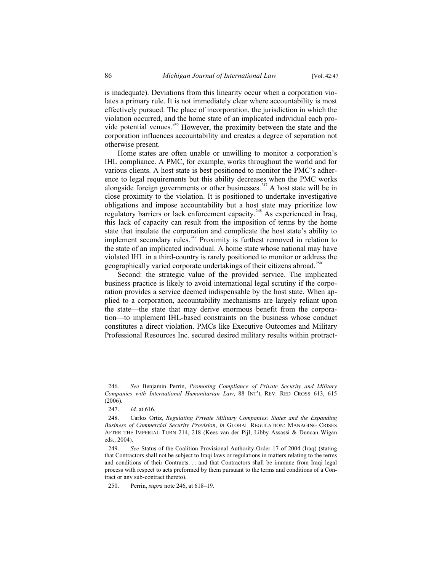is inadequate). Deviations from this linearity occur when a corporation violates a primary rule. It is not immediately clear where accountability is most effectively pursued. The place of incorporation, the jurisdiction in which the violation occurred, and the home state of an implicated individual each provide potential venues.<sup>246</sup> However, the proximity between the state and the corporation influences accountability and creates a degree of separation not otherwise present.

Home states are often unable or unwilling to monitor a corporation's IHL compliance. A PMC, for example, works throughout the world and for various clients. A host state is best positioned to monitor the PMC's adherence to legal requirements but this ability decreases when the PMC works alongside foreign governments or other businesses.<sup>247</sup> A host state will be in close proximity to the violation. It is positioned to undertake investigative obligations and impose accountability but a host state may prioritize low regulatory barriers or lack enforcement capacity.<sup>248</sup> As experienced in Iraq, this lack of capacity can result from the imposition of terms by the home state that insulate the corporation and complicate the host state's ability to implement secondary rules.<sup>249</sup> Proximity is furthest removed in relation to the state of an implicated individual. A home state whose national may have violated IHL in a third-country is rarely positioned to monitor or address the geographically varied corporate undertakings of their citizens abroad.<sup>250</sup>

Second: the strategic value of the provided service. The implicated business practice is likely to avoid international legal scrutiny if the corporation provides a service deemed indispensable by the host state. When applied to a corporation, accountability mechanisms are largely reliant upon the state—the state that may derive enormous benefit from the corporation—to implement IHL-based constraints on the business whose conduct constitutes a direct violation. PMCs like Executive Outcomes and Military Professional Resources Inc. secured desired military results within protract-

<sup>246.</sup> *See* Benjamin Perrin, *Promoting Compliance of Private Security and Military Companies with International Humanitarian Law*, 88 INT'L REV. RED CROSS 613, 615 (2006).

<sup>247.</sup> *Id.* at 616.

<sup>248.</sup> Carlos Ortiz, *Regulating Private Military Companies: States and the Expanding Business of Commercial Security Provision*, *in* GLOBAL REGULATION: MANAGING CRISES AFTER THE IMPERIAL TURN 214, 218 (Kees van der Pijl, Libby Assassi & Duncan Wigan eds., 2004).

<sup>249.</sup> *See* Status of the Coalition Provisional Authority Order 17 of 2004 (Iraq) (stating that Contractors shall not be subject to Iraqi laws or regulations in matters relating to the terms and conditions of their Contracts. . . and that Contractors shall be immune from Iraqi legal process with respect to acts preformed by them pursuant to the terms and conditions of a Contract or any sub-contract thereto).

<sup>250.</sup> Perrin, *supra* note 246, at 618–19.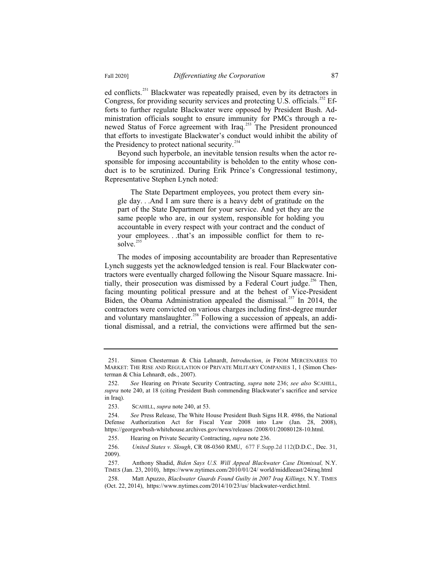ed conflicts.<sup>251</sup> Blackwater was repeatedly praised, even by its detractors in Congress, for providing security services and protecting U.S. officials.<sup>252</sup> Efforts to further regulate Blackwater were opposed by President Bush. Administration officials sought to ensure immunity for PMCs through a renewed Status of Force agreement with Iraq.<sup>253</sup> The President pronounced that efforts to investigate Blackwater's conduct would inhibit the ability of the Presidency to protect national security.<sup>254</sup>

Beyond such hyperbole, an inevitable tension results when the actor responsible for imposing accountability is beholden to the entity whose conduct is to be scrutinized. During Erik Prince's Congressional testimony, Representative Stephen Lynch noted:

The State Department employees, you protect them every single day. . .And I am sure there is a heavy debt of gratitude on the part of the State Department for your service. And yet they are the same people who are, in our system, responsible for holding you accountable in every respect with your contract and the conduct of your employees. . .that's an impossible conflict for them to re- $\frac{255}{100}$ 

The modes of imposing accountability are broader than Representative Lynch suggests yet the acknowledged tension is real. Four Blackwater contractors were eventually charged following the Nisour Square massacre. Initially, their prosecution was dismissed by a Federal Court judge.<sup>256</sup> Then, facing mounting political pressure and at the behest of Vice-President Biden, the Obama Administration appealed the dismissal.<sup>257</sup> In 2014, the contractors were convicted on various charges including first-degree murder and voluntary manslaughter.<sup>258</sup> Following a succession of appeals, an additional dismissal, and a retrial, the convictions were affirmed but the sen-

<sup>251.</sup> Simon Chesterman & Chia Lehnardt, *Introduction*, *in* FROM MERCENARIES TO MARKET: THE RISE AND REGULATION OF PRIVATE MILITARY COMPANIES 1, 1 (Simon Chesterman & Chia Lehnardt, eds., 2007).

<sup>252.</sup> *See* Hearing on Private Security Contracting, *supra* note 236; *see also* SCAHILL, *supra* note 240, at 18 (citing President Bush commending Blackwater's sacrifice and service in Iraq).

<sup>253.</sup> SCAHILL, *supra* note 240, at 53.

<sup>254.</sup> *See* Press Release, The White House President Bush Signs H.R. 4986, the National Defense Authorization Act for Fiscal Year 2008 into Law (Jan. 28, 2008), https://georgewbush-whitehouse.archives.gov/news/releases /2008/01/20080128-10.html.

<sup>255.</sup> Hearing on Private Security Contracting, *supra* note 236.

<sup>256.</sup> *United States v. Slough*, CR 08-0360 RMU, 677 F.Supp.2d 112(D.D.C., Dec. 31, 2009).

<sup>257.</sup> Anthony Shadid, *Biden Says U.S. Will Appeal Blackwater Case Dismissal,* N.Y. TIMES (Jan. 23, 2010), https://www.nytimes.com/2010/01/24/ world/middleeast/24iraq.html

<sup>258.</sup> Matt Apuzzo, *Blackwater Guards Found Guilty in 2007 Iraq Killings,* N.Y. TIMES (Oct. 22, 2014), https://www.nytimes.com/2014/10/23/us/ blackwater-verdict.html.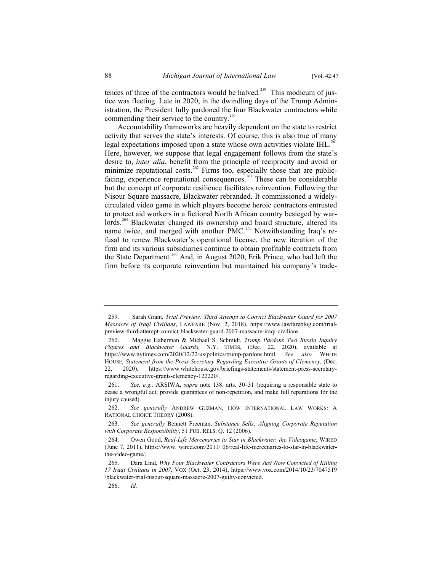tences of three of the contractors would be halved.<sup>259</sup> This modicum of justice was fleeting. Late in 2020, in the dwindling days of the Trump Administration, the President fully pardoned the four Blackwater contractors while commending their service to the country.<sup>260</sup>

Accountability frameworks are heavily dependent on the state to restrict activity that serves the state's interests. Of course, this is also true of many legal expectations imposed upon a state whose own activities violate IHL.<sup>261</sup> Here, however, we suppose that legal engagement follows from the state's desire to, *inter alia*, benefit from the principle of reciprocity and avoid or minimize reputational costs.<sup>262</sup> Firms too, especially those that are publicfacing, experience reputational consequences.<sup>263</sup> These can be considerable but the concept of corporate resilience facilitates reinvention. Following the Nisour Square massacre, Blackwater rebranded. It commissioned a widelycirculated video game in which players become heroic contractors entrusted to protect aid workers in a fictional North African country besieged by warlords.<sup>264</sup> Blackwater changed its ownership and board structure, altered its name twice, and merged with another PMC.<sup>265</sup> Notwithstanding Iraq's refusal to renew Blackwater's operational license, the new iteration of the firm and its various subsidiaries continue to obtain profitable contracts from the State Department.<sup>266</sup> And, in August 2020, Erik Prince, who had left the firm before its corporate reinvention but maintained his company's trade-

266. *Id.*

<sup>259.</sup> Sarah Grant, *Trial Preview: Third Attempt to Convict Blackwater Guard for 2007 Massacre of Iraqi Civilians*, LAWFARE (Nov. 2, 2018), https://www.lawfareblog.com/trialpreview-third-attempt-convict-blackwater-guard-2007-massacre-iraqi-civilians.

<sup>260.</sup> Maggie Haberman & Michael S. Schmidt, *Trump Pardons Two Russia Inquiry Figures and Blackwater Guards,* N.Y. TIMES, (Dec. 22, 2020), available at https://www.nytimes.com/2020/12/22/us/politics/trump-pardons.html. *See also* WHITE HOUSE, *Statement from the Press Secretary Regarding Executive Grants of Clemency*, (Dec. 22, 2020), https://www.whitehouse.gov/briefings-statements/statement-press-secretaryregarding-executive-grants-clemency-122220/.

<sup>261.</sup> *See, e.g.,* ARSIWA, *supra* note 138, arts. 30–31 (requiring a responsible state to cease a wrongful act; provide guarantees of non-repetition, and make full reparations for the injury caused).

<sup>262.</sup> *See generally* ANDREW GUZMAN, HOW INTERNATIONAL LAW WORKS: A RATIONAL CHOICE THEORY (2008).

<sup>263.</sup> *See generally* Bennett Freeman, *Substance Sells: Aligning Corporate Reputation with Corporate Responsibility*, 51 PUB. RELS. Q. 12 (2006).

<sup>264.</sup> Owen Good, *Real-Life Mercenaries to Star in Blackwater, the Videogame*, WIRED (June 7, 2011), https://www. wired.com/2011/ 06/real-life-mercenaries-to-star-in-blackwaterthe-video-game/.

<sup>265.</sup> Dara Lind, *Why Four Blackwater Contractors Were Just Now Convicted of Killing 17 Iraqi Civilians in 2007*, VOX (Oct. 23, 2014), https://www.vox.com/2014/10/23/7047519 /blackwater-trial-nisour-square-massacre-2007-guilty-convicted.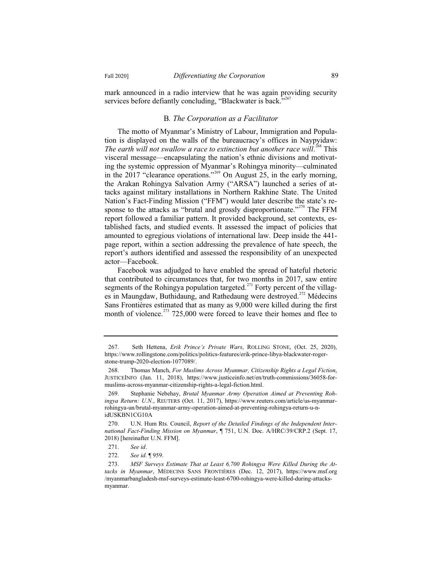mark announced in a radio interview that he was again providing security services before defiantly concluding, "Blackwater is back."<sup>267</sup>

## B*. The Corporation as a Facilitator*

The motto of Myanmar's Ministry of Labour, Immigration and Population is displayed on the walls of the bureaucracy's offices in Naypyidaw: The earth will not swallow a race to extinction but another race will.<sup>268</sup> This visceral message—encapsulating the nation's ethnic divisions and motivating the systemic oppression of Myanmar's Rohingya minority—culminated in the 2017 "clearance operations."<sup>269</sup> On August 25, in the early morning, the Arakan Rohingya Salvation Army ("ARSA") launched a series of attacks against military installations in Northern Rakhine State. The United Nation's Fact-Finding Mission ("FFM") would later describe the state's response to the attacks as "brutal and grossly disproportionate."<sup>270</sup> The FFM report followed a familiar pattern. It provided background, set contexts, established facts, and studied events. It assessed the impact of policies that amounted to egregious violations of international law. Deep inside the 441 page report, within a section addressing the prevalence of hate speech, the report's authors identified and assessed the responsibility of an unexpected actor—Facebook.

Facebook was adjudged to have enabled the spread of hateful rhetoric that contributed to circumstances that, for two months in 2017, saw entire segments of the Rohingya population targeted.<sup> $271$ </sup> Forty percent of the villages in Maungdaw, Buthidaung, and Rathedaung were destroyed.<sup>272</sup> Médecins Sans Frontières estimated that as many as 9,000 were killed during the first month of violence.<sup>273</sup> 725,000 were forced to leave their homes and flee to

<sup>267.</sup> Seth Hettena, *Erik Prince's Private Wars*, ROLLING STONE, (Oct. 25, 2020), https://www.rollingstone.com/politics/politics-features/erik-prince-libya-blackwater-rogerstone-trump-2020-election-1077089/.

<sup>268.</sup> Thomas Manch, *For Muslims Across Myanmar, Citizenship Rights a Legal Fiction*, JUSTICEINFO (Jan. 11, 2018), https://www.justiceinfo.net/en/truth-commissions/36058-formuslims-across-myanmar-citizenship-rights-a-legal-fiction.html.

<sup>269.</sup> Stephanie Nebehay, *Brutal Myanmar Army Operation Aimed at Preventing Rohingya Return: U.N.*, REUTERS (Oct. 11, 2017), https://www.reuters.com/article/us-myanmarrohingya-un/brutal-myanmar-army-operation-aimed-at-preventing-rohingya-return-u-nidUSKBN1CG10A

<sup>270.</sup> U.N. Hum Rts. Council, *Report of the Detailed Findings of the Independent International Fact-Finding Mission on Myanmar*, ¶ 751, U.N. Doc. A/HRC/39/CRP.2 (Sept. 17, 2018) [hereinafter U.N. FFM].

<sup>271.</sup> *See id*.

<sup>272.</sup> *See id.* ¶ 959.

<sup>273.</sup> *MSF Surveys Estimate That at Least 6,700 Rohingya Were Killed During the Attacks in Myanmar*, MÉDECINS SANS FRONTIÈRES (Dec. 12, 2017), https://www.msf.org /myanmarbangladesh-msf-surveys-estimate-least-6700-rohingya-were-killed-during-attacksmyanmar.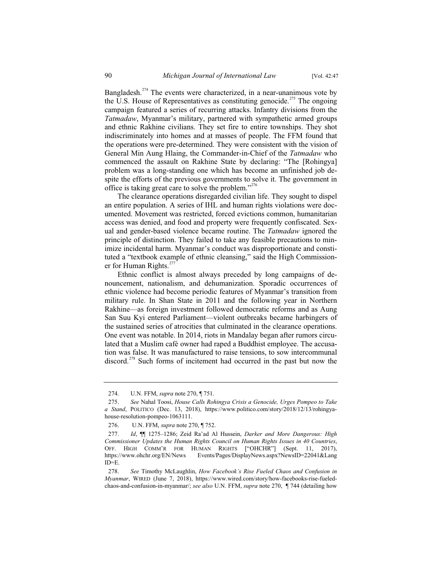Bangladesh.<sup>274</sup> The events were characterized, in a near-unanimous vote by the U.S. House of Representatives as constituting genocide.<sup>275</sup> The ongoing campaign featured a series of recurring attacks. Infantry divisions from the *Tatmadaw*, Myanmar's military, partnered with sympathetic armed groups and ethnic Rakhine civilians. They set fire to entire townships. They shot indiscriminately into homes and at masses of people. The FFM found that the operations were pre-determined. They were consistent with the vision of General Min Aung Hlaing, the Commander-in-Chief of the *Tatmadaw* who commenced the assault on Rakhine State by declaring: "The [Rohingya] problem was a long-standing one which has become an unfinished job despite the efforts of the previous governments to solve it. The government in office is taking great care to solve the problem."<sup>276</sup>

The clearance operations disregarded civilian life. They sought to dispel an entire population. A series of IHL and human rights violations were documented. Movement was restricted, forced evictions common, humanitarian access was denied, and food and property were frequently confiscated. Sexual and gender-based violence became routine. The *Tatmadaw* ignored the principle of distinction. They failed to take any feasible precautions to minimize incidental harm. Myanmar's conduct was disproportionate and constituted a "textbook example of ethnic cleansing," said the High Commissioner for Human Rights. $277$ 

Ethnic conflict is almost always preceded by long campaigns of denouncement, nationalism, and dehumanization. Sporadic occurrences of ethnic violence had become periodic features of Myanmar's transition from military rule. In Shan State in 2011 and the following year in Northern Rakhine—as foreign investment followed democratic reforms and as Aung San Suu Kyi entered Parliament—violent outbreaks became harbingers of the sustained series of atrocities that culminated in the clearance operations. One event was notable. In 2014, riots in Mandalay began after rumors circulated that a Muslim café owner had raped a Buddhist employee. The accusation was false. It was manufactured to raise tensions, to sow intercommunal discord.<sup>278</sup> Such forms of incitement had occurred in the past but now the

<sup>274.</sup> U.N. FFM, *supra* note 270, ¶ 751.

<sup>275.</sup> *See* Nahal Toosi, *House Calls Rohingya Crisis a Genocide, Urges Pompeo to Take a Stand*, POLITICO (Dec. 13, 2018), https://www.politico.com/story/2018/12/13/rohingyahouse-resolution-pompeo-1063111.

<sup>276.</sup> U.N. FFM, *supra* note 270, ¶ 752.

<sup>277.</sup> *Id*, ¶¶ 1275–1286; Zeid Ra'ad Al Hussein, *Darker and More Dangerous: High Commissioner Updates the Human Rights Council on Human Rights Issues in 40 Countries*, OFF. HIGH COMM'R FOR HUMAN RIGHTS ["OHCHR"] (Sept. 11, 2017), https://www.ohchr.org/EN/News Events/Pages/DisplayNews.aspx?NewsID=22041&Lang ID=E.

<sup>278.</sup> *See* Timothy McLaughlin, *How Facebook's Rise Fueled Chaos and Confusion in Myanmar*, WIRED (June 7, 2018), https://www.wired.com/story/how-facebooks-rise-fueledchaos-and-confusion-in-myanmar/; *see also* U.N. FFM, *supra* note 270, ¶ 744 (detailing how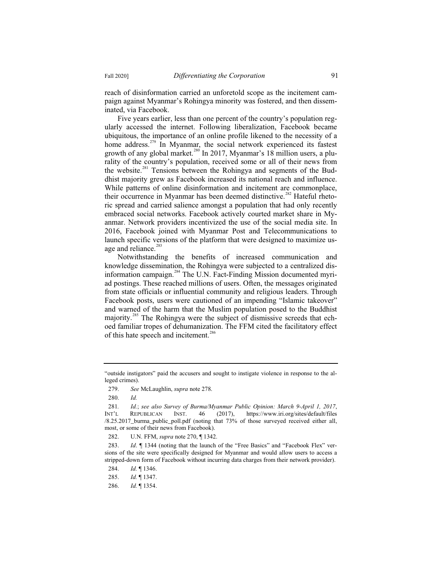reach of disinformation carried an unforetold scope as the incitement campaign against Myanmar's Rohingya minority was fostered, and then disseminated, via Facebook.

Five years earlier, less than one percent of the country's population regularly accessed the internet. Following liberalization, Facebook became ubiquitous, the importance of an online profile likened to the necessity of a home address.<sup>279</sup> In Myanmar, the social network experienced its fastest growth of any global market.<sup>280</sup> In 2017, Myanmar's 18 million users, a plurality of the country's population, received some or all of their news from the website.<sup>281</sup> Tensions between the Rohingya and segments of the Buddhist majority grew as Facebook increased its national reach and influence. While patterns of online disinformation and incitement are commonplace, their occurrence in Myanmar has been deemed distinctive.<sup>282</sup> Hateful rhetoric spread and carried salience amongst a population that had only recently embraced social networks. Facebook actively courted market share in Myanmar. Network providers incentivized the use of the social media site. In 2016, Facebook joined with Myanmar Post and Telecommunications to launch specific versions of the platform that were designed to maximize usage and reliance. $283$ 

Notwithstanding the benefits of increased communication and knowledge dissemination, the Rohingya were subjected to a centralized disinformation campaign.<sup>284</sup> The U.N. Fact-Finding Mission documented myriad postings. These reached millions of users. Often, the messages originated from state officials or influential community and religious leaders. Through Facebook posts, users were cautioned of an impending "Islamic takeover" and warned of the harm that the Muslim population posed to the Buddhist majority.<sup>285</sup> The Rohingya were the subject of dismissive screeds that echoed familiar tropes of dehumanization. The FFM cited the facilitatory effect of this hate speech and incitement.<sup>286</sup>

<sup>&</sup>quot;outside instigators" paid the accusers and sought to instigate violence in response to the alleged crimes).

<sup>279.</sup> *See* McLaughlin, *supra* note 278.

<sup>280.</sup> *Id.*

<sup>281</sup>*. Id.*; *see also Survey of Burma/Myanmar Public Opinion: March 9-April 1, 2017*, INT'L REPUBLICAN INST. 46 (2017), https://www.iri.org/sites/default/files /8.25.2017\_burma\_public\_poll.pdf (noting that 73% of those surveyed received either all, most, or some of their news from Facebook).

<sup>282.</sup> U.N. FFM, *supra* note 270, ¶ 1342.

<sup>283.</sup> *Id*. ¶ 1344 (noting that the launch of the "Free Basics" and "Facebook Flex" versions of the site were specifically designed for Myanmar and would allow users to access a stripped-down form of Facebook without incurring data charges from their network provider).

<sup>284.</sup> *Id.* ¶ 1346.

<sup>285.</sup> *Id.* ¶ 1347.

<sup>286.</sup> *Id.* ¶ 1354.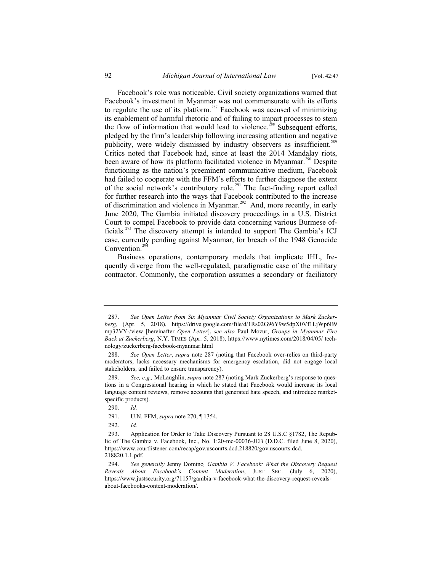Facebook's role was noticeable. Civil society organizations warned that Facebook's investment in Myanmar was not commensurate with its efforts to regulate the use of its platform.<sup>287</sup> Facebook was accused of minimizing its enablement of harmful rhetoric and of failing to impart processes to stem the flow of information that would lead to violence.<sup>288</sup> Subsequent efforts, pledged by the firm's leadership following increasing attention and negative publicity, were widely dismissed by industry observers as insufficient.<sup>289</sup> Critics noted that Facebook had, since at least the 2014 Mandalay riots, been aware of how its platform facilitated violence in Myanmar.<sup>290</sup> Despite functioning as the nation's preeminent communicative medium, Facebook had failed to cooperate with the FFM's efforts to further diagnose the extent of the social network's contributory role.<sup>291</sup> The fact-finding report called for further research into the ways that Facebook contributed to the increase of discrimination and violence in Myanmar.<sup>292</sup> And, more recently, in early June 2020, The Gambia initiated discovery proceedings in a U.S. District Court to compel Facebook to provide data concerning various Burmese officials.<sup>293</sup> The discovery attempt is intended to support The Gambia's ICJ case, currently pending against Myanmar, for breach of the 1948 Genocide Convention. $29$ 

Business operations, contemporary models that implicate IHL, frequently diverge from the well-regulated, paradigmatic case of the military contractor. Commonly, the corporation assumes a secondary or faciliatory

292. *Id.*

<sup>287.</sup> *See Open Letter from Six Myanmar Civil Society Organizations to Mark Zuckerberg*, (Apr. 5, 2018), https://drive.google.com/file/d/1Rs02G96Y9w5dpX0Vf1LjWp6B9 mp32VY-/view [hereinafter *Open Letter*], *see also* Paul Mozur, *Groups in Myanmar Fire Back at Zuckerberg*, N.Y. TIMES (Apr. 5, 2018), https://www.nytimes.com/2018/04/05/ technology/zuckerberg-facebook-myanmar.html

<sup>288.</sup> *See Open Letter*, *supra* note 287 (noting that Facebook over-relies on third-party moderators, lacks necessary mechanisms for emergency escalation, did not engage local stakeholders, and failed to ensure transparency).

<sup>289.</sup> *See, e.g.,* McLaughlin, *supra* note 287 (noting Mark Zuckerberg's response to questions in a Congressional hearing in which he stated that Facebook would increase its local language content reviews, remove accounts that generated hate speech, and introduce marketspecific products).

<sup>290.</sup> *Id.*

<sup>291.</sup> U.N. FFM, *supra* note 270, ¶ 1354.

<sup>293.</sup> Application for Order to Take Discovery Pursuant to 28 U.S.C §1782, The Republic of The Gambia v. Facebook, Inc., No. 1:20-mc-00036-JEB (D.D.C. filed June 8, 2020), https://www.courtlistener.com/recap/gov.uscourts.dcd.218820/gov.uscourts.dcd. 218820.1.1.pdf.

<sup>294.</sup> *See generally* Jenny Domino*, Gambia V. Facebook: What the Discovery Request Reveals About Facebook's Content Moderation*, JUST SEC. (July 6, 2020), https://www.justsecurity.org/71157/gambia-v-facebook-what-the-discovery-request-revealsabout-facebooks-content-moderation/.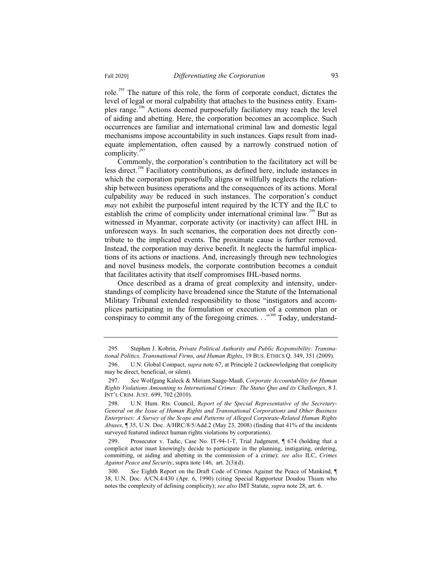role.<sup>295</sup> The nature of this role, the form of corporate conduct, dictates the level of legal or moral culpability that attaches to the business entity. Examples range.<sup>296</sup> Actions deemed purposefully faciliatory may reach the level of aiding and abetting. Here, the corporation becomes an accomplice. Such occurrences are familiar and international criminal law and domestic legal mechanisms impose accountability in such instances. Gaps result from inadequate implementation, often caused by a narrowly construed notion of complicity. $297$ 

Commonly, the corporation's contribution to the facilitatory act will be less direct.<sup>298</sup> Faciliatory contributions, as defined here, include instances in which the corporation purposefully aligns or willfully neglects the relationship between business operations and the consequences of its actions. Moral culpability *may* be reduced in such instances. The corporation's conduct *may* not exhibit the purposeful intent required by the ICTY and the ILC to establish the crime of complicity under international criminal law.<sup>299</sup> But as witnessed in Myanmar, corporate activity (or inactivity) can affect IHL in unforeseen ways. In such scenarios, the corporation does not directly contribute to the implicated events. The proximate cause is further removed. Instead, the corporation may derive benefit. It neglects the harmful implications of its actions or inactions. And, increasingly through new technologies and novel business models, the corporate contribution becomes a conduit that facilitates activity that itself compromises IHL-based norms.

Once described as a drama of great complexity and intensity, understandings of complicity have broadened since the Statute of the International Military Tribunal extended responsibility to those "instigators and accomplices participating in the formulation or execution of a common plan or conspiracy to commit any of the foregoing crimes.  $\cdot$ <sup>300</sup> Today, understand-

<sup>295.</sup> Stephen J. Kobrin, *Private Political Authority and Public Responsibility: Transnational Politics, Transnational Firms, and Human Rights*, 19 BUS. ETHICS Q. 349, 351 (2009).

<sup>296.</sup> U.N. Global Compact, *supra* note 67, at Principle 2 (acknowledging that complicity may be direct, beneficial, or silent).

<sup>297.</sup> *See* Wolfgang Kaleck & Miriam Saage-Maaß, *Corporate Accountability for Human Rights Violations Amounting to International Crimes: The Status Quo and its Challenges*, 8 J. INT'L CRIM. JUST. 699, 702 (2010).

<sup>298.</sup> U.N. Hum. Rts. Council, *Report of the Special Representative of the Secretary-General on the Issue of Human Rights and Transnational Corporations and Other Business Enterprises: A Survey of the Scope and Patterns of Alleged Corporate-Related Human Rights Abuses*, ¶ 35, U.N. Doc. A/HRC/8/5/Add.2 (May 23, 2008) (finding that 41% of the incidents surveyed featured indirect human rights violations by corporations).

<sup>299.</sup> Prosecutor v. Tadic, Case No. IT-94-1-T, Trial Judgment, ¶ 674 (holding that a complicit actor must knowingly decide to participate in the planning, instigating, ordering, committing, or aiding and abetting in the commission of a crime); *see also* ILC, *Crimes Against Peace and Security*, supra note 146, art. 2(3)(d).

<sup>300.</sup> *See* Eighth Report on the Draft Code of Crimes Against the Peace of Mankind, ¶ 38, U.N. Doc. A/CN.4/430 (Apr. 6, 1990) (citing Special Rapporteur Doudou Thiam who notes the complexity of defining complicity); *see also* IMT Statute, *supra* note 28, art. 6.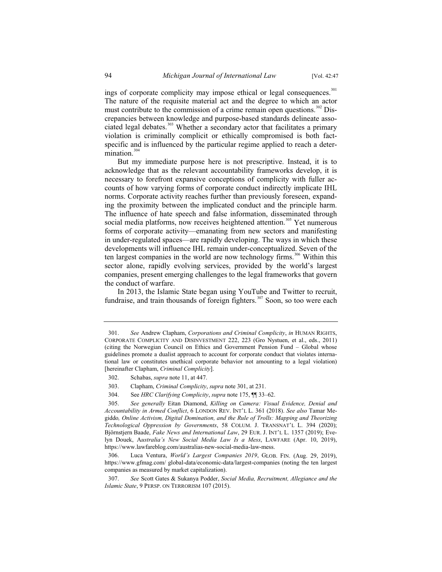ings of corporate complicity may impose ethical or legal consequences.<sup>301</sup> The nature of the requisite material act and the degree to which an actor must contribute to the commission of a crime remain open questions.<sup>302</sup> Discrepancies between knowledge and purpose-based standards delineate associated legal debates.<sup>303</sup> Whether a secondary actor that facilitates a primary violation is criminally complicit or ethically compromised is both factspecific and is influenced by the particular regime applied to reach a determination. $304$ 

But my immediate purpose here is not prescriptive. Instead, it is to acknowledge that as the relevant accountability frameworks develop, it is necessary to forefront expansive conceptions of complicity with fuller accounts of how varying forms of corporate conduct indirectly implicate IHL norms. Corporate activity reaches further than previously foreseen, expanding the proximity between the implicated conduct and the principle harm. The influence of hate speech and false information, disseminated through social media platforms, now receives heightened attention.<sup>305</sup> Yet numerous forms of corporate activity—emanating from new sectors and manifesting in under-regulated spaces—are rapidly developing. The ways in which these developments will influence IHL remain under-conceptualized. Seven of the ten largest companies in the world are now technology firms.<sup>306</sup> Within this sector alone, rapidly evolving services, provided by the world's largest companies, present emerging challenges to the legal frameworks that govern the conduct of warfare.

In 2013, the Islamic State began using YouTube and Twitter to recruit, fundraise, and train thousands of foreign fighters.<sup>307</sup> Soon, so too were each

304. See *HRC Clarifying Complicity*, *supra* note 175, ¶¶ 33–62.

<sup>301.</sup> *See* Andrew Clapham, *Corporations and Criminal Complicity*, *in* HUMAN RIGHTS, CORPORATE COMPLICITY AND DISINVESTMENT 222, 223 (Gro Nystuen, et al., eds., 2011) (citing the Norwegian Council on Ethics and Government Pension Fund – Global whose guidelines promote a dualist approach to account for corporate conduct that violates international law or constitutes unethical corporate behavior not amounting to a legal violation) [hereinafter Clapham, *Criminal Complicity*].

<sup>302.</sup> Schabas, *supra* note 11, at 447.

<sup>303.</sup> Clapham, *Criminal Complicity*, *supra* note 301, at 231.

<sup>305.</sup> *See generally* Eitan Diamond, *Killing on Camera: Visual Evidence, Denial and Accountability in Armed Conflict*, 6 LONDON REV. INT'L L. 361 (2018). *See also* Tamar Megiddo*, Online Activism, Digital Domination, and the Rule of Trolls: Mapping and Theorizing Technological Oppression by Governments*, 58 COLUM. J. TRANSNAT'L L. 394 (2020); Björnstjern Baade, *Fake News and International Law*, 29 EUR. J. INT'L L. 1357 (2019); Evelyn Douek, A*ustralia's New Social Media Law Is a Mess*, LAWFARE (Apr. 10, 2019), https://www.lawfareblog.com/australias-new-social-media-law-mess.

<sup>306.</sup> Luca Ventura, *World's Largest Companies 2019*, GLOB. FIN. (Aug. 29, 2019), https://www.gfmag.com/ global-data/economic-data/largest-companies (noting the ten largest companies as measured by market capitalization).

<sup>307.</sup> *See* Scott Gates & Sukanya Podder, *Social Media, Recruitment, Allegiance and the Islamic State*, 9 PERSP. ON TERRORISM 107 (2015).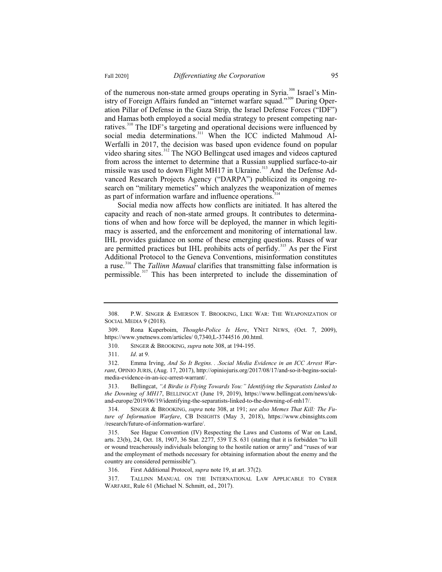of the numerous non-state armed groups operating in Syria.<sup>308</sup> Israel's Ministry of Foreign Affairs funded an "internet warfare squad."<sup>309</sup> During Oper-

ation Pillar of Defense in the Gaza Strip, the Israel Defense Forces ("IDF") and Hamas both employed a social media strategy to present competing narratives.<sup>310</sup> The IDF's targeting and operational decisions were influenced by social media determinations.<sup>311</sup> When the ICC indicted Mahmoud Al-Werfalli in 2017, the decision was based upon evidence found on popular video sharing sites.<sup>312</sup> The NGO Bellingcat used images and videos captured from across the internet to determine that a Russian supplied surface-to-air missile was used to down Flight MH17 in Ukraine.<sup>313</sup> And the Defense Advanced Research Projects Agency ("DARPA") publicized its ongoing research on "military memetics" which analyzes the weaponization of memes as part of information warfare and influence operations.<sup>314</sup>

Social media now affects how conflicts are initiated. It has altered the capacity and reach of non-state armed groups. It contributes to determinations of when and how force will be deployed, the manner in which legitimacy is asserted, and the enforcement and monitoring of international law. IHL provides guidance on some of these emerging questions. Ruses of war are permitted practices but IHL prohibits acts of perfidy.<sup>315</sup> As per the First Additional Protocol to the Geneva Conventions, misinformation constitutes a ruse.<sup>316</sup> The *Tallinn Manual* clarifies that transmitting false information is permissible.<sup>317</sup> This has been interpreted to include the dissemination of

<sup>308.</sup> P.W. SINGER & EMERSON T. BROOKING, LIKE WAR: THE WEAPONIZATION OF SOCIAL MEDIA 9 (2018).

<sup>309.</sup> Rona Kuperboim, *Thought-Police Is Here*, YNET NEWS, (Oct. 7, 2009), https://www.ynetnews.com/articles/ 0,7340,L-3744516 ,00.html.

<sup>310.</sup> SINGER & BROOKING, *supra* note 308, at 194-195.

<sup>311.</sup> *Id*. at 9.

<sup>312.</sup> Emma Irving, *And So It Begins. . .Social Media Evidence in an ICC Arrest Warrant*, OPINIO JURIS, (Aug. 17, 2017), http://opiniojuris.org/2017/08/17/and-so-it-begins-socialmedia-evidence-in-an-icc-arrest-warrant/.

<sup>313.</sup> Bellingcat, *"A Birdie is Flying Towards You:" Identifying the Separatists Linked to the Downing of MH17*, BELLINGCAT (June 19, 2019), https://www.bellingcat.com/news/ukand-europe/2019/06/19/identifying-the-separatists-linked-to-the-downing-of-mh17/.

<sup>314.</sup> SINGER & BROOKING, *supra* note 308, at 191; *see also Memes That Kill: The Future of Information Warfare*, CB INSIGHTS (May 3, 2018), https://www.cbinsights.com /research/future-of-information-warfare/.

<sup>315.</sup> See Hague Convention (IV) Respecting the Laws and Customs of War on Land, arts. 23(b), 24, Oct. 18, 1907, 36 Stat. 2277, 539 T.S. 631 (stating that it is forbidden "to kill or wound treacherously individuals belonging to the hostile nation or army" and "ruses of war and the employment of methods necessary for obtaining information about the enemy and the country are considered permissible").

<sup>316.</sup> First Additional Protocol, *supra* note 19, at art. 37(2).

<sup>317.</sup> TALLINN MANUAL ON THE INTERNATIONAL LAW APPLICABLE TO CYBER WARFARE, Rule 61 (Michael N. Schmitt, ed., 2017).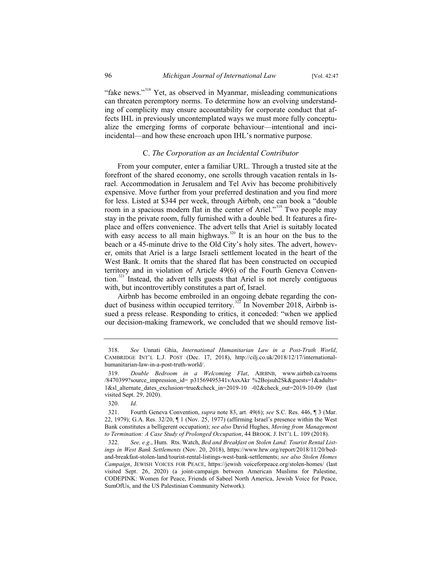"fake news."<sup>318</sup> Yet, as observed in Myanmar, misleading communications can threaten peremptory norms. To determine how an evolving understanding of complicity may ensure accountability for corporate conduct that affects IHL in previously uncontemplated ways we must more fully conceptualize the emerging forms of corporate behaviour—intentional and inciincidental—and how these encroach upon IHL's normative purpose.

#### C. *The Corporation as an Incidental Contributor*

From your computer, enter a familiar URL. Through a trusted site at the forefront of the shared economy, one scrolls through vacation rentals in Israel. Accommodation in Jerusalem and Tel Aviv has become prohibitively expensive. Move further from your preferred destination and you find more for less. Listed at \$344 per week, through Airbnb, one can book a "double room in a spacious modern flat in the center of Ariel."<sup>319</sup> Two people may stay in the private room, fully furnished with a double bed. It features a fireplace and offers convenience. The advert tells that Ariel is suitably located with easy access to all main highways.<sup>320</sup> It is an hour on the bus to the beach or a 45-minute drive to the Old City's holy sites. The advert, however, omits that Ariel is a large Israeli settlement located in the heart of the West Bank. It omits that the shared flat has been constructed on occupied territory and in violation of Article 49(6) of the Fourth Geneva Convention.<sup>321</sup> Instead, the advert tells guests that Ariel is not merely contiguous with, but incontrovertibly constitutes a part of, Israel.

Airbnb has become embroiled in an ongoing debate regarding the conduct of business within occupied territory.<sup>322</sup> In November 2018, Airbnb issued a press release. Responding to critics, it conceded: "when we applied our decision-making framework, we concluded that we should remove list-

<sup>318.</sup> *See* Unnati Ghia, *International Humanitarian Law in a Post-Truth World*, CAMBRIDGE INT'L L.J. POST (Dec. 17, 2018), http://cilj.co.uk/2018/12/17/internationalhumanitarian-law-in-a-post-truth-world/.

<sup>319.</sup> *Double Bedroom in a Welcoming Flat*, AIRBNB, www.airbnb.ca/rooms /8470399?source\_impression\_id= p31569495341vAsxAkr %2Bojsuh2Sk&guests=1&adults= 1&sl\_alternate\_dates\_exclusion=true&check\_in=2019-10 -02&check\_out=2019-10-09 (last visited Sept. 29, 2020).

<sup>320.</sup> *Id.*

<sup>321.</sup> Fourth Geneva Convention, *supra* note 83, art. 49(6); *see* S.C. Res. 446, ¶ 3 (Mar. 22, 1979); G.A. Res. 32/20, ¶ 1 (Nov. 25, 1977) (affirming Israel's presence within the West Bank constitutes a belligerent occupation); *see also* David Hughes, *Moving from Management to Termination: A Case Study of Prolonged Occupation*, 44 BROOK. J. INT'L L. 109 (2018).

<sup>322.</sup> *See, e.g*., Hum. Rts. Watch, *Bed and Breakfast on Stolen Land: Tourist Rental Listings in West Bank Settlements* (Nov. 20, 2018), https://www.hrw.org/report/2018/11/20/bedand-breakfast-stolen-land/tourist-rental-listings-west-bank-settlements; *see also Stolen Homes Campaign*, JEWISH VOICES FOR PEACE, https://jewish voiceforpeace.org/stolen-homes/ (last visited Sept. 26, 2020) (a joint-campaign between American Muslims for Palestine, CODEPINK: Women for Peace, Friends of Sabeel North America, Jewish Voice for Peace, SumOfUs, and the US Palestinian Community Network).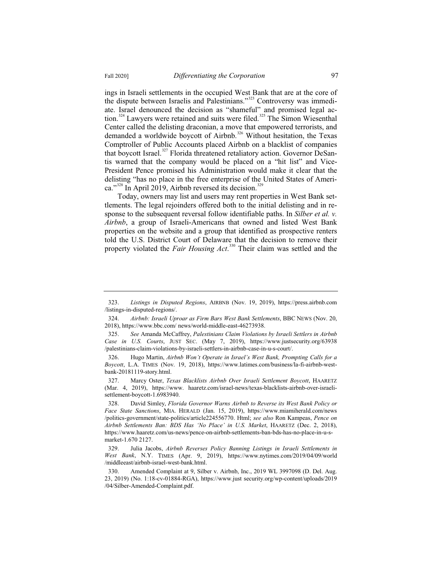ings in Israeli settlements in the occupied West Bank that are at the core of the dispute between Israelis and Palestinians."<sup>323</sup> Controversy was immediate. Israel denounced the decision as "shameful" and promised legal action.<sup>324</sup> Lawyers were retained and suits were filed.<sup>325</sup> The Simon Wiesenthal Center called the delisting draconian, a move that empowered terrorists, and demanded a worldwide boycott of Airbnb.<sup>326</sup> Without hesitation, the Texas Comptroller of Public Accounts placed Airbnb on a blacklist of companies that boycott Israel.<sup>327</sup> Florida threatened retaliatory action. Governor DeSantis warned that the company would be placed on a "hit list" and Vice-President Pence promised his Administration would make it clear that the delisting "has no place in the free enterprise of the United States of America." $3^{228}$  In April 2019, Airbnb reversed its decision. $3^{29}$ 

Today, owners may list and users may rent properties in West Bank settlements. The legal rejoinders offered both to the initial delisting and in response to the subsequent reversal follow identifiable paths. In *Silber et al. v. Airbnb*, a group of Israeli-Americans that owned and listed West Bank properties on the website and a group that identified as prospective renters told the U.S. District Court of Delaware that the decision to remove their property violated the *Fair Housing Act*. <sup>330</sup> Their claim was settled and the

<sup>323.</sup> *Listings in Disputed Regions*, AIRBNB (Nov. 19, 2019), https://press.airbnb.com /listings-in-disputed-regions/.

<sup>324.</sup> *Airbnb: Israeli Uproar as Firm Bars West Bank Settlements*, BBC NEWS (Nov. 20, 2018), https://www.bbc.com/ news/world-middle-east-46273938.

<sup>325.</sup> *See* Amanda McCaffrey, *Palestinians Claim Violations by Israeli Settlers in Airbnb Case in U.S. Courts*, JUST SEC. (May 7, 2019), https://www.justsecurity.org/63938 /palestinians-claim-violations-by-israeli-settlers-in-airbnb-case-in-u-s-court/.

<sup>326.</sup> Hugo Martin, *Airbnb Won't Operate in Israel's West Bank, Prompting Calls for a Boycott*, L.A. TIMES (Nov. 19, 2018), https://www.latimes.com/business/la-fi-airbnb-westbank-20181119-story.html.

<sup>327.</sup> Marcy Oster, *Texas Blacklists Airbnb Over Israeli Settlement Boycott*, HAARETZ (Mar. 4, 2019), https://www. haaretz.com/israel-news/texas-blacklists-airbnb-over-israelisettlement-boycott-1.6983940.

<sup>328.</sup> David Simley, *Florida Governor Warns Airbnb to Reverse its West Bank Policy or Face State Sanctions*, MIA. HERALD (Jan. 15, 2019), https://www.miamiherald.com/news /politics-government/state-politics/article224556770. Html; *see also* Ron Kampeas, *Pence on Airbnb Settlements Ban: BDS Has 'No Place' in U.S. Market*, HAARETZ (Dec. 2, 2018), https://www.haaretz.com/us-news/pence-on-airbnb-settlements-ban-bds-has-no-place-in-u-smarket-1.670 2127.

<sup>329.</sup> Julia Jacobs, *Airbnb Reverses Policy Banning Listings in Israeli Settlements in West Bank*, N.Y. TIMES (Apr. 9, 2019), https://www.nytimes.com/2019/04/09/world /middleeast/airbnb-israel-west-bank.html.

<sup>330.</sup> Amended Complaint at 9, Silber v. Airbnb, Inc., 2019 WL 3997098 (D. Del. Aug. 23, 2019) (No. 1:18-cv-01884-RGA), https://www.just security.org/wp-content/uploads/2019 /04/Silber-Amended-Complaint.pdf.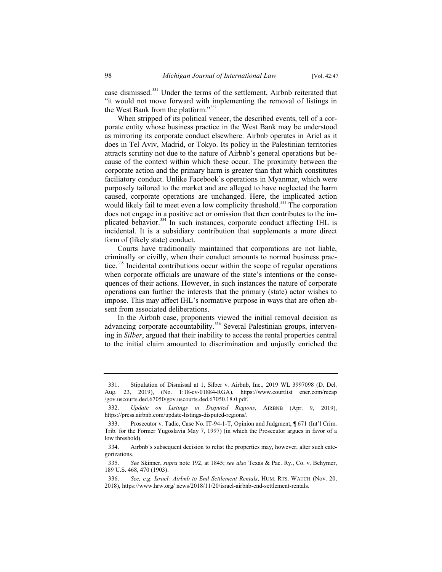case dismissed.<sup>331</sup> Under the terms of the settlement, Airbnb reiterated that "it would not move forward with implementing the removal of listings in the West Bank from the platform."<sup>332</sup>

When stripped of its political veneer, the described events, tell of a corporate entity whose business practice in the West Bank may be understood as mirroring its corporate conduct elsewhere. Airbnb operates in Ariel as it does in Tel Aviv, Madrid, or Tokyo. Its policy in the Palestinian territories attracts scrutiny not due to the nature of Airbnb's general operations but because of the context within which these occur. The proximity between the corporate action and the primary harm is greater than that which constitutes faciliatory conduct. Unlike Facebook's operations in Myanmar, which were purposely tailored to the market and are alleged to have neglected the harm caused, corporate operations are unchanged. Here, the implicated action would likely fail to meet even a low complicity threshold.<sup>333</sup> The corporation does not engage in a positive act or omission that then contributes to the implicated behavior.<sup>334</sup> In such instances, corporate conduct affecting IHL is incidental. It is a subsidiary contribution that supplements a more direct form of (likely state) conduct.

Courts have traditionally maintained that corporations are not liable, criminally or civilly, when their conduct amounts to normal business practice.<sup>335</sup> Incidental contributions occur within the scope of regular operations when corporate officials are unaware of the state's intentions or the consequences of their actions. However, in such instances the nature of corporate operations can further the interests that the primary (state) actor wishes to impose. This may affect IHL's normative purpose in ways that are often absent from associated deliberations.

In the Airbnb case, proponents viewed the initial removal decision as advancing corporate accountability.<sup>336</sup> Several Palestinian groups, intervening in *Silber*, argued that their inability to access the rental properties central to the initial claim amounted to discrimination and unjustly enriched the

<sup>331.</sup> Stipulation of Dismissal at 1, Silber v. Airbnb, Inc., 2019 WL 3997098 (D. Del. Aug. 23, 2019), (No. 1:18-cv-01884-RGA), https://www.courtlist ener.com/recap /gov.uscourts.ded.67050/gov.uscourts.ded.67050.18.0.pdf.

<sup>332.</sup> *Update on Listings in Disputed Regions*, AIRBNB (Apr. 9, 2019), https://press.airbnb.com/update-listings-disputed-regions/.

<sup>333.</sup> Prosecutor v. Tadic, Case No. IT-94-1-T, Opinion and Judgment, ¶ 671 (Int'l Crim. Trib. for the Former Yugoslavia May 7, 1997) (in which the Prosecutor argues in favor of a low threshold).

<sup>334.</sup> Airbnb's subsequent decision to relist the properties may, however, alter such categorizations.

<sup>335.</sup> *See* Skinner, *supra* note 192, at 1845; *see also* Texas & Pac. Ry., Co. v. Behymer, 189 U.S. 468, 470 (1903).

<sup>336.</sup> *See, e.g. Israel: Airbnb to End Settlement Rentals*, HUM. RTS. WATCH (Nov. 20, 2018), https://www.hrw.org/ news/2018/11/20/israel-airbnb-end-settlement-rentals.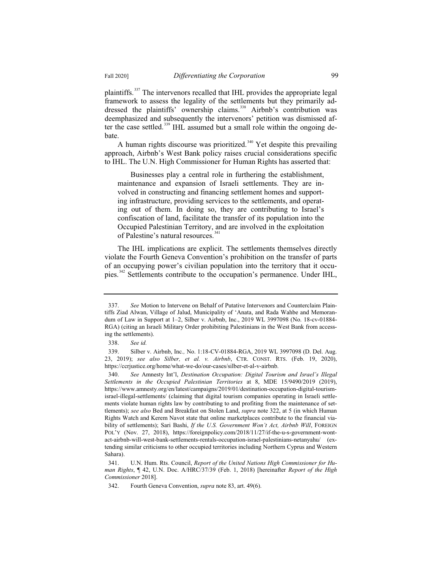plaintiffs.<sup>337</sup> The intervenors recalled that IHL provides the appropriate legal framework to assess the legality of the settlements but they primarily addressed the plaintiffs' ownership claims.<sup>338</sup> Airbnb's contribution was deemphasized and subsequently the intervenors' petition was dismissed after the case settled.<sup>339</sup> IHL assumed but a small role within the ongoing debate.

A human rights discourse was prioritized.<sup>340</sup> Yet despite this prevailing approach, Airbnb's West Bank policy raises crucial considerations specific to IHL. The U.N. High Commissioner for Human Rights has asserted that:

Businesses play a central role in furthering the establishment, maintenance and expansion of Israeli settlements. They are involved in constructing and financing settlement homes and supporting infrastructure, providing services to the settlements, and operating out of them. In doing so, they are contributing to Israel's confiscation of land, facilitate the transfer of its population into the Occupied Palestinian Territory, and are involved in the exploitation of Palestine's natural resources.<sup>341</sup>

The IHL implications are explicit. The settlements themselves directly violate the Fourth Geneva Convention's prohibition on the transfer of parts of an occupying power's civilian population into the territory that it occupies.<sup>342</sup> Settlements contribute to the occupation's permanence. Under IHL,

<sup>337.</sup> *See* Motion to Intervene on Behalf of Putative Intervenors and Counterclaim Plaintiffs Ziad Alwan, Village of Jalud, Municipality of 'Anata, and Rada Wahbe and Memorandum of Law in Support at 1–2, Silber v. Airbnb, Inc., 2019 WL 3997098 (No. 18-cv-01884- RGA) (citing an Israeli Military Order prohibiting Palestinians in the West Bank from accessing the settlements).

<sup>338.</sup> *See id.*

<sup>339.</sup> Silber v. Airbnb, Inc*.,* No. 1:18-CV-01884-RGA, 2019 WL 3997098 (D. Del. Aug. 23, 2019); *see also Silber, et al. v. Airbnb*, CTR. CONST. RTS. (Feb. 19, 2020), https://ccrjustice.org/home/what-we-do/our-cases/silber-et-al-v-airbnb.

<sup>340.</sup> *See* Amnesty Int'l, *Destination Occupation: Digital Tourism and Israel's Illegal Settlements in the Occupied Palestinian Territories* at 8, MDE 15/9490/2019 (2019), https://www.amnesty.org/en/latest/campaigns/2019/01/destination-occupation-digital-tourismisrael-illegal-settlements/ (claiming that digital tourism companies operating in Israeli settlements violate human rights law by contributing to and profiting from the maintenance of settlements); *see also* Bed and Breakfast on Stolen Land, *supra* note 322, at 5 (in which Human Rights Watch and Kerem Navot state that online marketplaces contribute to the financial viability of settlements); Sari Bashi, *If the U.S. Government Won't Act, Airbnb Will*, FOREIGN POL'Y (Nov. 27, 2018), https://foreignpolicy.com/2018/11/27/if-the-u-s-government-wontact-airbnb-will-west-bank-settlements-rentals-occupation-israel-palestinians-netanyahu/ (extending similar criticisms to other occupied territories including Northern Cyprus and Western Sahara).

<sup>341.</sup> U.N. Hum. Rts. Council, *Report of the United Nations High Commissioner for Human Rights*, ¶ 42, U.N. Doc. A/HRC/37/39 (Feb. 1, 2018) [hereinafter *Report of the High Commissioner* 2018].

<sup>342.</sup> Fourth Geneva Convention, *supra* note 83, art. 49(6).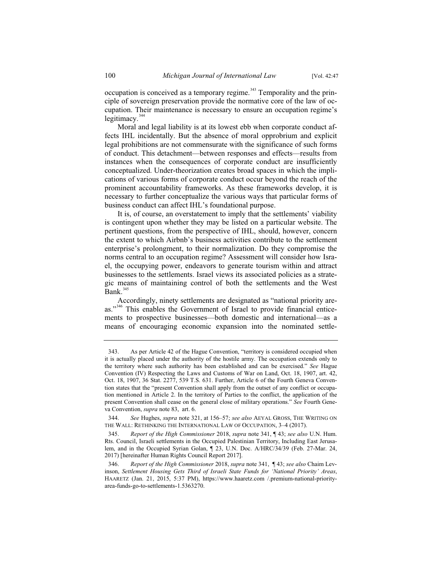occupation is conceived as a temporary regime.<sup>343</sup> Temporality and the principle of sovereign preservation provide the normative core of the law of occupation. Their maintenance is necessary to ensure an occupation regime's legitimacy. $344$ 

Moral and legal liability is at its lowest ebb when corporate conduct affects IHL incidentally. But the absence of moral opprobrium and explicit legal prohibitions are not commensurate with the significance of such forms of conduct. This detachment—between responses and effects—results from instances when the consequences of corporate conduct are insufficiently conceptualized. Under-theorization creates broad spaces in which the implications of various forms of corporate conduct occur beyond the reach of the prominent accountability frameworks. As these frameworks develop, it is necessary to further conceptualize the various ways that particular forms of business conduct can affect IHL's foundational purpose.

It is, of course, an overstatement to imply that the settlements' viability is contingent upon whether they may be listed on a particular website. The pertinent questions, from the perspective of IHL, should, however, concern the extent to which Airbnb's business activities contribute to the settlement enterprise's prolongment, to their normalization. Do they compromise the norms central to an occupation regime? Assessment will consider how Israel, the occupying power, endeavors to generate tourism within and attract businesses to the settlements. Israel views its associated policies as a strategic means of maintaining control of both the settlements and the West Bank.<sup>345</sup>

Accordingly, ninety settlements are designated as "national priority areas."<sup>346</sup> This enables the Government of Israel to provide financial enticements to prospective businesses—both domestic and international—as a means of encouraging economic expansion into the nominated settle-

<sup>343.</sup> As per Article 42 of the Hague Convention, "territory is considered occupied when it is actually placed under the authority of the hostile army. The occupation extends only to the territory where such authority has been established and can be exercised." *See* Hague Convention (IV) Respecting the Laws and Customs of War on Land, Oct. 18, 1907, art. 42, Oct. 18, 1907, 36 Stat. 2277, 539 T.S. 631. Further, Article 6 of the Fourth Geneva Convention states that the "present Convention shall apply from the outset of any conflict or occupation mentioned in Article 2. In the territory of Parties to the conflict, the application of the present Convention shall cease on the general close of military operations." *See* Fourth Geneva Convention, *supra* note 83, art. 6.

<sup>344.</sup> *See* Hughes, *supra* note 321, at 156–57; *see also* AEYAL GROSS, THE WRITING ON THE WALL: RETHINKING THE INTERNATIONAL LAW OF OCCUPATION, 3–4 (2017).

<sup>345.</sup> *Report of the High Commissioner* 2018, *supra* note 341, ¶ 43; *see also* U.N. Hum. Rts. Council, Israeli settlements in the Occupied Palestinian Territory, Including East Jerusalem, and in the Occupied Syrian Golan, ¶ 23, U.N. Doc. A/HRC/34/39 (Feb. 27-Mar. 24, 2017) [hereinafter Human Rights Council Report 2017].

<sup>346.</sup> *Report of the High Commissioner* 2018, *supra* note 341, ¶ 43; *see also* Chaim Levinson, *Settlement Housing Gets Third of Israeli State Funds for 'National Priority' Areas*, HAARETZ (Jan. 21, 2015, 5:37 PM), https://www.haaretz.com /.premium-national-priorityarea-funds-go-to-settlements-1.5363270.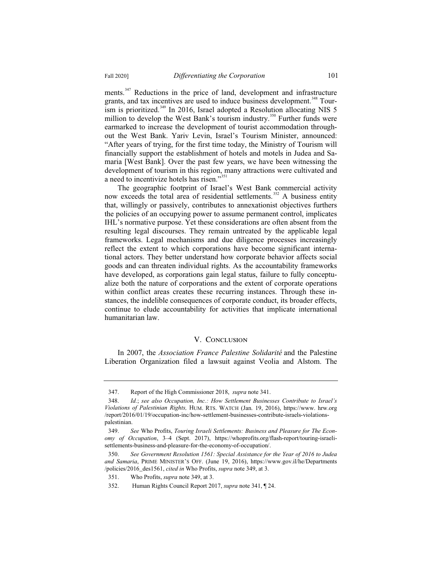ments.<sup>347</sup> Reductions in the price of land, development and infrastructure grants, and tax incentives are used to induce business development.<sup>348</sup> Tourism is prioritized.<sup>349</sup> In 2016, Israel adopted a Resolution allocating NIS 5 million to develop the West Bank's tourism industry.<sup>350</sup> Further funds were earmarked to increase the development of tourist accommodation throughout the West Bank. Yariv Levin, Israel's Tourism Minister, announced: "After years of trying, for the first time today, the Ministry of Tourism will financially support the establishment of hotels and motels in Judea and Samaria [West Bank]. Over the past few years, we have been witnessing the development of tourism in this region, many attractions were cultivated and a need to incentivize hotels has risen."<sup>351</sup>

The geographic footprint of Israel's West Bank commercial activity now exceeds the total area of residential settlements.<sup>352</sup> A business entity that, willingly or passively, contributes to annexationist objectives furthers the policies of an occupying power to assume permanent control, implicates IHL's normative purpose. Yet these considerations are often absent from the resulting legal discourses. They remain untreated by the applicable legal frameworks. Legal mechanisms and due diligence processes increasingly reflect the extent to which corporations have become significant international actors. They better understand how corporate behavior affects social goods and can threaten individual rights. As the accountability frameworks have developed, as corporations gain legal status, failure to fully conceptualize both the nature of corporations and the extent of corporate operations within conflict areas creates these recurring instances. Through these instances, the indelible consequences of corporate conduct, its broader effects, continue to elude accountability for activities that implicate international humanitarian law.

#### V. CONCLUSION

In 2007, the *Association France Palestine Solidarité* and the Palestine Liberation Organization filed a lawsuit against Veolia and Alstom. The

<sup>347.</sup> Report of the High Commissioner 2018, *supra* note 341.

<sup>348.</sup> *Id.*; *see also Occupation, Inc.: How Settlement Businesses Contribute to Israel's Violations of Palestinian Rights,* HUM. RTS. WATCH (Jan. 19, 2016), https://www. hrw.org /report/2016/01/19/occupation-inc/how-settlement-businesses-contribute-israels-violationspalestinian.

<sup>349.</sup> *See* Who Profits, *Touring Israeli Settlements: Business and Pleasure for The Economy of Occupation*, 3–4 (Sept. 2017), https://whoprofits.org/flash-report/touring-israelisettlements-business-and-pleasure-for-the-economy-of-occupation/.

<sup>350.</sup> *See Government Resolution 1561: Special Assistance for the Year of 2016 to Judea and Samaria*, PRIME MINISTER'S OFF. (June 19, 2016), https://www.gov.il/he/Departments /policies/2016\_des1561, *cited in* Who Profits, *supra* note 349, at 3.

<sup>351.</sup> Who Profits, *supra* note 349, at 3.

<sup>352.</sup> Human Rights Council Report 2017, *supra* note 341, ¶ 24.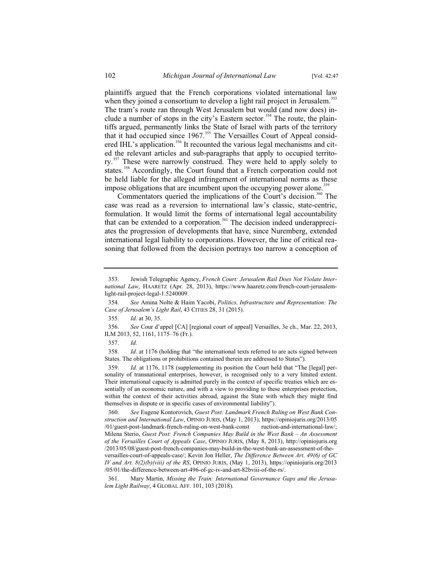plaintiffs argued that the French corporations violated international law when they joined a consortium to develop a light rail project in Jerusalem.<sup>353</sup> The tram's route ran through West Jerusalem but would (and now does) include a number of stops in the city's Eastern sector.<sup>354</sup> The route, the plaintiffs argued, permanently links the State of Israel with parts of the territory that it had occupied since 1967.<sup>355</sup> The Versailles Court of Appeal considered IHL's application.<sup>356</sup> It recounted the various legal mechanisms and cited the relevant articles and sub-paragraphs that apply to occupied territory.<sup>357</sup> These were narrowly construed. They were held to apply solely to states.<sup>358</sup> Accordingly, the Court found that a French corporation could not be held liable for the alleged infringement of international norms as these impose obligations that are incumbent upon the occupying power alone.<sup>359</sup>

Commentators queried the implications of the Court's decision.<sup>360</sup> The case was read as a reversion to international law's classic, state-centric, formulation. It would limit the forms of international legal accountability that can be extended to a corporation.<sup>361</sup> The decision indeed underappreciates the progression of developments that have, since Nuremberg, extended international legal liability to corporations. However, the line of critical reasoning that followed from the decision portrays too narrow a conception of

355. *Id.* at 30, 35.

356. *See* Cour d'appel [CA] [regional court of appeal] Versailles, 3e ch., Mar. 22, 2013, ILM 2013, 52, 1161, 1175–76 (Fr.).

357. *Id.*

358. *Id*. at 1176 (holding that "the international texts referred to are acts signed between States. The obligations or prohibitions contained therein are addressed to States").

359. *Id.* at 1176, 1178 (supplementing its position the Court held that "The [legal] personality of transnational enterprises, however, is recognised only to a very limited extent. Their international capacity is admitted purely in the context of specific treaties which are essentially of an economic nature, and with a view to providing to these enterprises protection, within the context of their activities abroad, against the State with which they might find themselves in dispute or in specific cases of environmental liability").

360. *See* Eugene Kontorovich, *Guest Post: Landmark French Ruling on West Bank Construction and International Law*, OPINIO JURIS, (May 1, 2013), https://opiniojuris.org/2013/05 /01/guest-post-landmark-french-ruling-on-west-bank-const ruction-and-international-law/; Milena Sterio, *Guest Post: French Companies May Build in the West Bank – An Assessment of the Versailles Court of Appeals Case*, OPINIO JURIS, (May 8, 2013), http://opiniojuris.org /2013/05/08/guest-post-french-companies-may-build-in-the-west-bank-an-assessment-of-theversailles-court-of-appeals-case/; Kevin Jon Heller, *The Difference Between Art. 49(6) of GC IV and Art. 8(2)(b)(viii) of the RS*, OPINIO JURIS, (May 1, 2013), https://opiniojuris.org/2013 /05/01/the-difference-between-art-496-of-gc-iv-and-art-82bviii-of-the-rs/.

361. Mary Martin, *Missing the Train: International Governance Gaps and the Jerusalem Light Railway*, 4 GLOBAL AFF. 101, 103 (2018).

<sup>353.</sup> Jewish Telegraphic Agency, *French Court: Jerusalem Rail Does Not Violate International Law*, HAARETZ (Apr. 28, 2013), https://www.haaretz.com/french-court-jerusalemlight-rail-project-legal-1.5240009.

<sup>354.</sup> *See* Amina Nolte & Haim Yacobi, *Politics, Infrastructure and Representation: The Case of Jerusalem's Light Rail*, 43 CITIES 28, 31 (2015).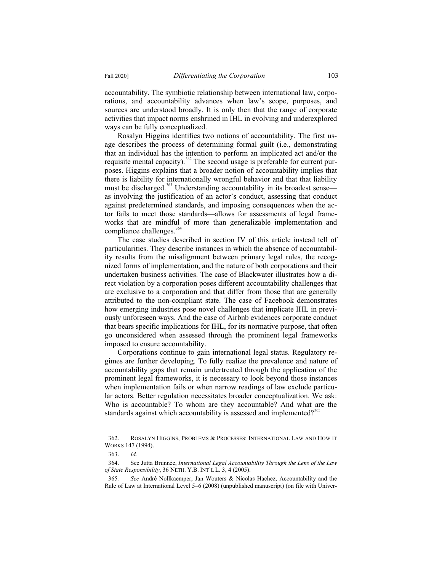accountability. The symbiotic relationship between international law, corporations, and accountability advances when law's scope, purposes, and sources are understood broadly. It is only then that the range of corporate activities that impact norms enshrined in IHL in evolving and underexplored ways can be fully conceptualized.

Rosalyn Higgins identifies two notions of accountability. The first usage describes the process of determining formal guilt (i.e., demonstrating that an individual has the intention to perform an implicated act and/or the requisite mental capacity).<sup>362</sup> The second usage is preferable for current purposes. Higgins explains that a broader notion of accountability implies that there is liability for internationally wrongful behavior and that that liability must be discharged.<sup>363</sup> Understanding accountability in its broadest sense as involving the justification of an actor's conduct, assessing that conduct against predetermined standards, and imposing consequences when the actor fails to meet those standards—allows for assessments of legal frameworks that are mindful of more than generalizable implementation and compliance challenges.<sup>364</sup>

The case studies described in section IV of this article instead tell of particularities. They describe instances in which the absence of accountability results from the misalignment between primary legal rules, the recognized forms of implementation, and the nature of both corporations and their undertaken business activities. The case of Blackwater illustrates how a direct violation by a corporation poses different accountability challenges that are exclusive to a corporation and that differ from those that are generally attributed to the non-compliant state. The case of Facebook demonstrates how emerging industries pose novel challenges that implicate IHL in previously unforeseen ways. And the case of Airbnb evidences corporate conduct that bears specific implications for IHL, for its normative purpose, that often go unconsidered when assessed through the prominent legal frameworks imposed to ensure accountability.

Corporations continue to gain international legal status. Regulatory regimes are further developing. To fully realize the prevalence and nature of accountability gaps that remain undertreated through the application of the prominent legal frameworks, it is necessary to look beyond those instances when implementation fails or when narrow readings of law exclude particular actors. Better regulation necessitates broader conceptualization. We ask: Who is accountable? To whom are they accountable? And what are the standards against which accountability is assessed and implemented?<sup>365</sup>

<sup>362.</sup> ROSALYN HIGGINS, PROBLEMS & PROCESSES: INTERNATIONAL LAW AND HOW IT WORKS 147 (1994).

<sup>363.</sup> *Id.*

<sup>364.</sup> See Jutta Brunnée, *International Legal Accountability Through the Lens of the Law of State Responsibility*, 36 NETH. Y.B. INT'L L. 3, 4 (2005).

<sup>365</sup>*. See* André Nollkaemper, Jan Wouters & Nicolas Hachez, Accountability and the Rule of Law at International Level 5–6 (2008) (unpublished manuscript) (on file with Univer-